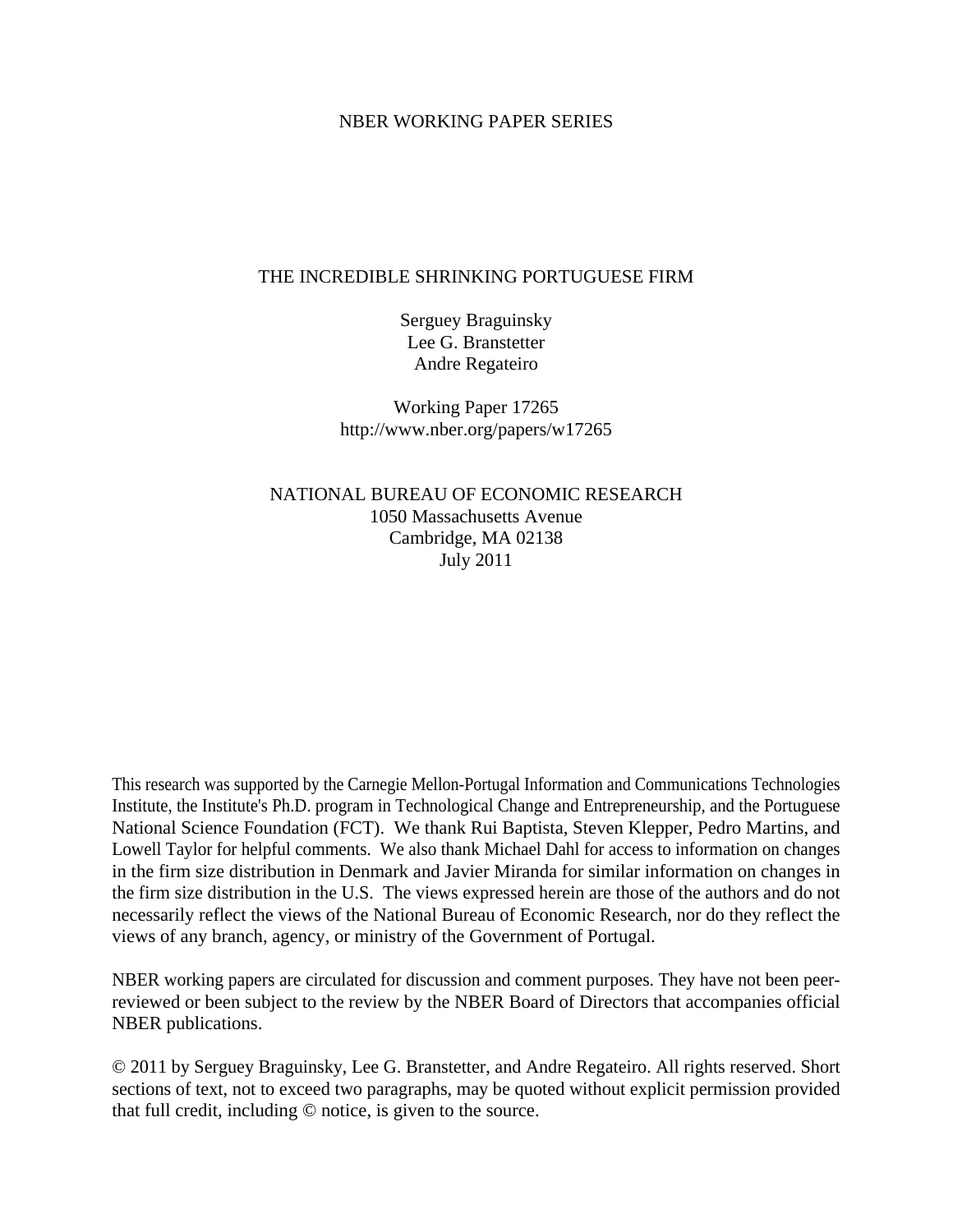## NBER WORKING PAPER SERIES

### THE INCREDIBLE SHRINKING PORTUGUESE FIRM

Serguey Braguinsky Lee G. Branstetter Andre Regateiro

Working Paper 17265 http://www.nber.org/papers/w17265

NATIONAL BUREAU OF ECONOMIC RESEARCH 1050 Massachusetts Avenue Cambridge, MA 02138 July 2011

This research was supported by the Carnegie Mellon-Portugal Information and Communications Technologies Institute, the Institute's Ph.D. program in Technological Change and Entrepreneurship, and the Portuguese National Science Foundation (FCT). We thank Rui Baptista, Steven Klepper, Pedro Martins, and Lowell Taylor for helpful comments. We also thank Michael Dahl for access to information on changes in the firm size distribution in Denmark and Javier Miranda for similar information on changes in the firm size distribution in the U.S. The views expressed herein are those of the authors and do not necessarily reflect the views of the National Bureau of Economic Research, nor do they reflect the views of any branch, agency, or ministry of the Government of Portugal.

NBER working papers are circulated for discussion and comment purposes. They have not been peerreviewed or been subject to the review by the NBER Board of Directors that accompanies official NBER publications.

© 2011 by Serguey Braguinsky, Lee G. Branstetter, and Andre Regateiro. All rights reserved. Short sections of text, not to exceed two paragraphs, may be quoted without explicit permission provided that full credit, including © notice, is given to the source.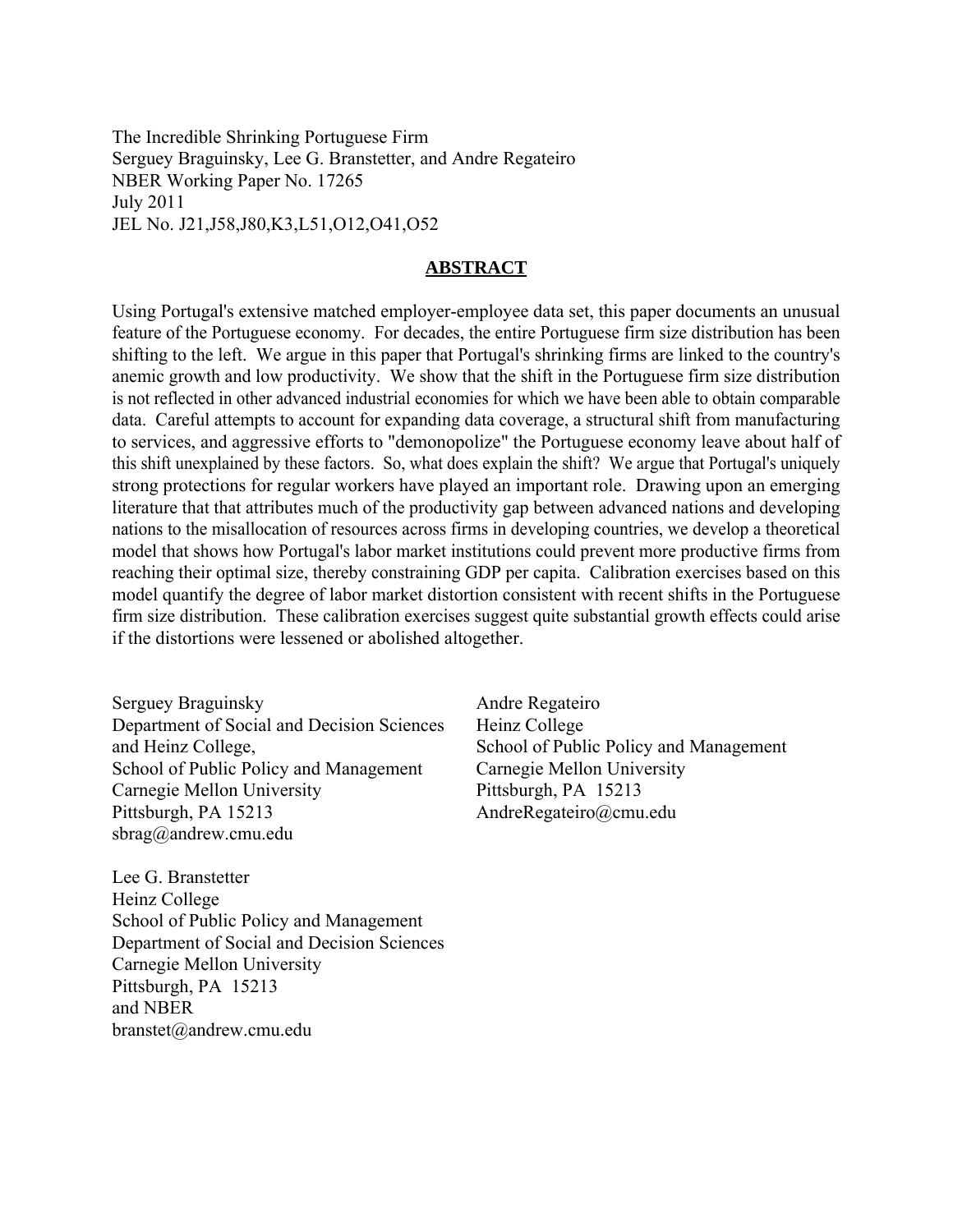The Incredible Shrinking Portuguese Firm Serguey Braguinsky, Lee G. Branstetter, and Andre Regateiro NBER Working Paper No. 17265 July 2011 JEL No. J21,J58,J80,K3,L51,O12,O41,O52

## **ABSTRACT**

Using Portugal's extensive matched employer-employee data set, this paper documents an unusual feature of the Portuguese economy. For decades, the entire Portuguese firm size distribution has been shifting to the left. We argue in this paper that Portugal's shrinking firms are linked to the country's anemic growth and low productivity. We show that the shift in the Portuguese firm size distribution is not reflected in other advanced industrial economies for which we have been able to obtain comparable data. Careful attempts to account for expanding data coverage, a structural shift from manufacturing to services, and aggressive efforts to "demonopolize" the Portuguese economy leave about half of this shift unexplained by these factors. So, what does explain the shift? We argue that Portugal's uniquely strong protections for regular workers have played an important role. Drawing upon an emerging literature that that attributes much of the productivity gap between advanced nations and developing nations to the misallocation of resources across firms in developing countries, we develop a theoretical model that shows how Portugal's labor market institutions could prevent more productive firms from reaching their optimal size, thereby constraining GDP per capita. Calibration exercises based on this model quantify the degree of labor market distortion consistent with recent shifts in the Portuguese firm size distribution. These calibration exercises suggest quite substantial growth effects could arise if the distortions were lessened or abolished altogether.

Serguey Braguinsky Department of Social and Decision Sciences and Heinz College, School of Public Policy and Management Carnegie Mellon University Pittsburgh, PA 15213 sbrag@andrew.cmu.edu

Lee G. Branstetter Heinz College School of Public Policy and Management Department of Social and Decision Sciences Carnegie Mellon University Pittsburgh, PA 15213 and NBER branstet@andrew.cmu.edu

Andre Regateiro Heinz College School of Public Policy and Management Carnegie Mellon University Pittsburgh, PA 15213 AndreRegateiro@cmu.edu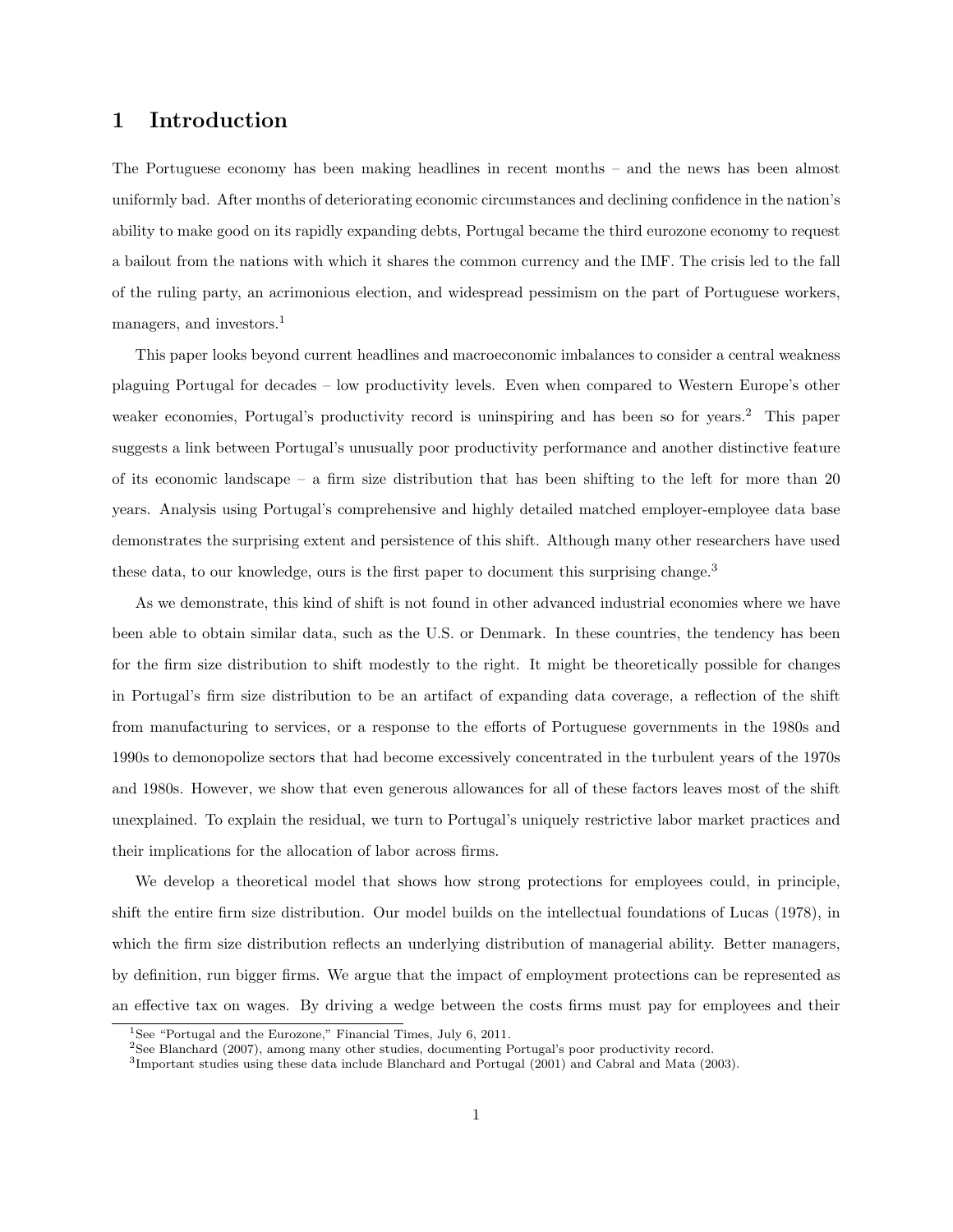## 1 Introduction

The Portuguese economy has been making headlines in recent months – and the news has been almost uniformly bad. After months of deteriorating economic circumstances and declining confidence in the nation's ability to make good on its rapidly expanding debts, Portugal became the third eurozone economy to request a bailout from the nations with which it shares the common currency and the IMF. The crisis led to the fall of the ruling party, an acrimonious election, and widespread pessimism on the part of Portuguese workers, managers, and investors.<sup>1</sup>

This paper looks beyond current headlines and macroeconomic imbalances to consider a central weakness plaguing Portugal for decades – low productivity levels. Even when compared to Western Europe's other weaker economies, Portugal's productivity record is uninspiring and has been so for years.<sup>2</sup> This paper suggests a link between Portugal's unusually poor productivity performance and another distinctive feature of its economic landscape – a firm size distribution that has been shifting to the left for more than 20 years. Analysis using Portugal's comprehensive and highly detailed matched employer-employee data base demonstrates the surprising extent and persistence of this shift. Although many other researchers have used these data, to our knowledge, ours is the first paper to document this surprising change.<sup>3</sup>

As we demonstrate, this kind of shift is not found in other advanced industrial economies where we have been able to obtain similar data, such as the U.S. or Denmark. In these countries, the tendency has been for the firm size distribution to shift modestly to the right. It might be theoretically possible for changes in Portugal's firm size distribution to be an artifact of expanding data coverage, a reflection of the shift from manufacturing to services, or a response to the efforts of Portuguese governments in the 1980s and 1990s to demonopolize sectors that had become excessively concentrated in the turbulent years of the 1970s and 1980s. However, we show that even generous allowances for all of these factors leaves most of the shift unexplained. To explain the residual, we turn to Portugal's uniquely restrictive labor market practices and their implications for the allocation of labor across firms.

We develop a theoretical model that shows how strong protections for employees could, in principle, shift the entire firm size distribution. Our model builds on the intellectual foundations of Lucas (1978), in which the firm size distribution reflects an underlying distribution of managerial ability. Better managers, by definition, run bigger firms. We argue that the impact of employment protections can be represented as an effective tax on wages. By driving a wedge between the costs firms must pay for employees and their

<sup>&</sup>lt;sup>1</sup>See "Portugal and the Eurozone," Financial Times, July 6, 2011.

<sup>2</sup>See Blanchard (2007), among many other studies, documenting Portugal's poor productivity record.

<sup>3</sup> Important studies using these data include Blanchard and Portugal (2001) and Cabral and Mata (2003).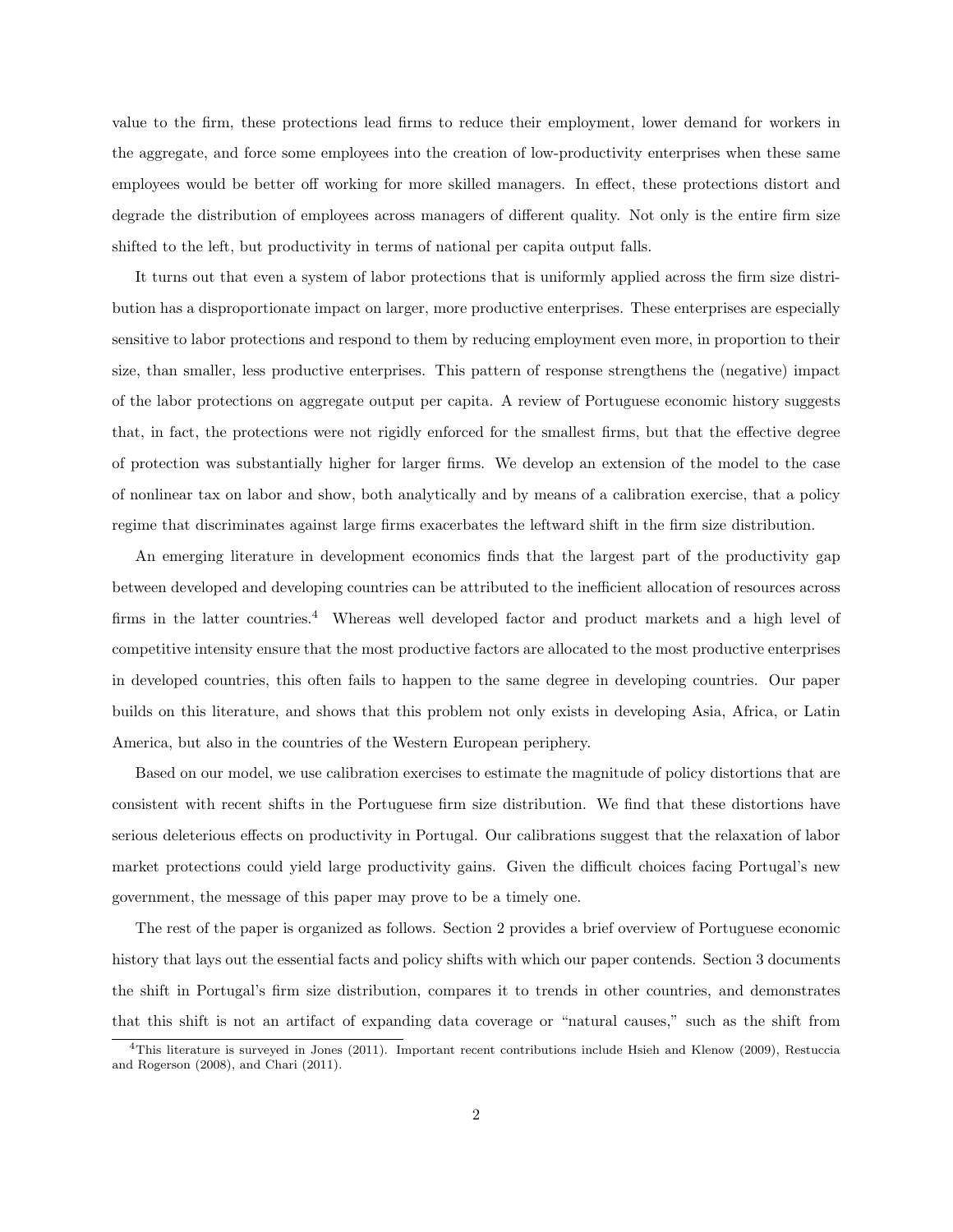value to the firm, these protections lead firms to reduce their employment, lower demand for workers in the aggregate, and force some employees into the creation of low-productivity enterprises when these same employees would be better off working for more skilled managers. In effect, these protections distort and degrade the distribution of employees across managers of different quality. Not only is the entire firm size shifted to the left, but productivity in terms of national per capita output falls.

It turns out that even a system of labor protections that is uniformly applied across the firm size distribution has a disproportionate impact on larger, more productive enterprises. These enterprises are especially sensitive to labor protections and respond to them by reducing employment even more, in proportion to their size, than smaller, less productive enterprises. This pattern of response strengthens the (negative) impact of the labor protections on aggregate output per capita. A review of Portuguese economic history suggests that, in fact, the protections were not rigidly enforced for the smallest firms, but that the effective degree of protection was substantially higher for larger firms. We develop an extension of the model to the case of nonlinear tax on labor and show, both analytically and by means of a calibration exercise, that a policy regime that discriminates against large firms exacerbates the leftward shift in the firm size distribution.

An emerging literature in development economics finds that the largest part of the productivity gap between developed and developing countries can be attributed to the inefficient allocation of resources across firms in the latter countries.<sup>4</sup> Whereas well developed factor and product markets and a high level of competitive intensity ensure that the most productive factors are allocated to the most productive enterprises in developed countries, this often fails to happen to the same degree in developing countries. Our paper builds on this literature, and shows that this problem not only exists in developing Asia, Africa, or Latin America, but also in the countries of the Western European periphery.

Based on our model, we use calibration exercises to estimate the magnitude of policy distortions that are consistent with recent shifts in the Portuguese firm size distribution. We find that these distortions have serious deleterious effects on productivity in Portugal. Our calibrations suggest that the relaxation of labor market protections could yield large productivity gains. Given the difficult choices facing Portugal's new government, the message of this paper may prove to be a timely one.

The rest of the paper is organized as follows. Section 2 provides a brief overview of Portuguese economic history that lays out the essential facts and policy shifts with which our paper contends. Section 3 documents the shift in Portugal's firm size distribution, compares it to trends in other countries, and demonstrates that this shift is not an artifact of expanding data coverage or "natural causes," such as the shift from

<sup>&</sup>lt;sup>4</sup>This literature is surveyed in Jones (2011). Important recent contributions include Hsieh and Klenow (2009), Restuccia and Rogerson (2008), and Chari (2011).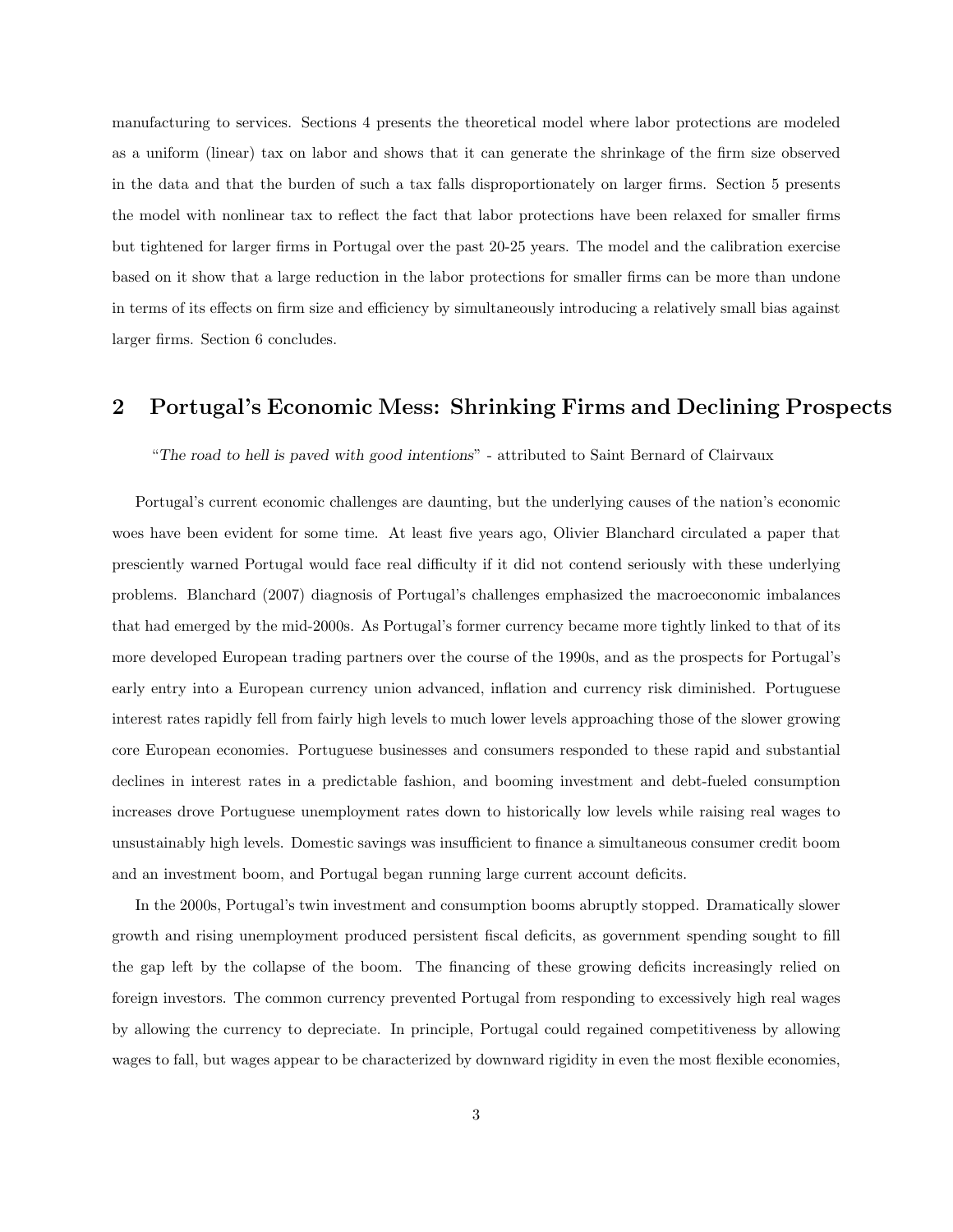manufacturing to services. Sections 4 presents the theoretical model where labor protections are modeled as a uniform (linear) tax on labor and shows that it can generate the shrinkage of the firm size observed in the data and that the burden of such a tax falls disproportionately on larger firms. Section 5 presents the model with nonlinear tax to reflect the fact that labor protections have been relaxed for smaller firms but tightened for larger firms in Portugal over the past 20-25 years. The model and the calibration exercise based on it show that a large reduction in the labor protections for smaller firms can be more than undone in terms of its effects on firm size and efficiency by simultaneously introducing a relatively small bias against larger firms. Section 6 concludes.

## 2 Portugal's Economic Mess: Shrinking Firms and Declining Prospects

#### "The road to hell is paved with good intentions" - attributed to Saint Bernard of Clairvaux

Portugal's current economic challenges are daunting, but the underlying causes of the nation's economic woes have been evident for some time. At least five years ago, Olivier Blanchard circulated a paper that presciently warned Portugal would face real difficulty if it did not contend seriously with these underlying problems. Blanchard (2007) diagnosis of Portugal's challenges emphasized the macroeconomic imbalances that had emerged by the mid-2000s. As Portugal's former currency became more tightly linked to that of its more developed European trading partners over the course of the 1990s, and as the prospects for Portugal's early entry into a European currency union advanced, inflation and currency risk diminished. Portuguese interest rates rapidly fell from fairly high levels to much lower levels approaching those of the slower growing core European economies. Portuguese businesses and consumers responded to these rapid and substantial declines in interest rates in a predictable fashion, and booming investment and debt-fueled consumption increases drove Portuguese unemployment rates down to historically low levels while raising real wages to unsustainably high levels. Domestic savings was insufficient to finance a simultaneous consumer credit boom and an investment boom, and Portugal began running large current account deficits.

In the 2000s, Portugal's twin investment and consumption booms abruptly stopped. Dramatically slower growth and rising unemployment produced persistent fiscal deficits, as government spending sought to fill the gap left by the collapse of the boom. The financing of these growing deficits increasingly relied on foreign investors. The common currency prevented Portugal from responding to excessively high real wages by allowing the currency to depreciate. In principle, Portugal could regained competitiveness by allowing wages to fall, but wages appear to be characterized by downward rigidity in even the most flexible economies,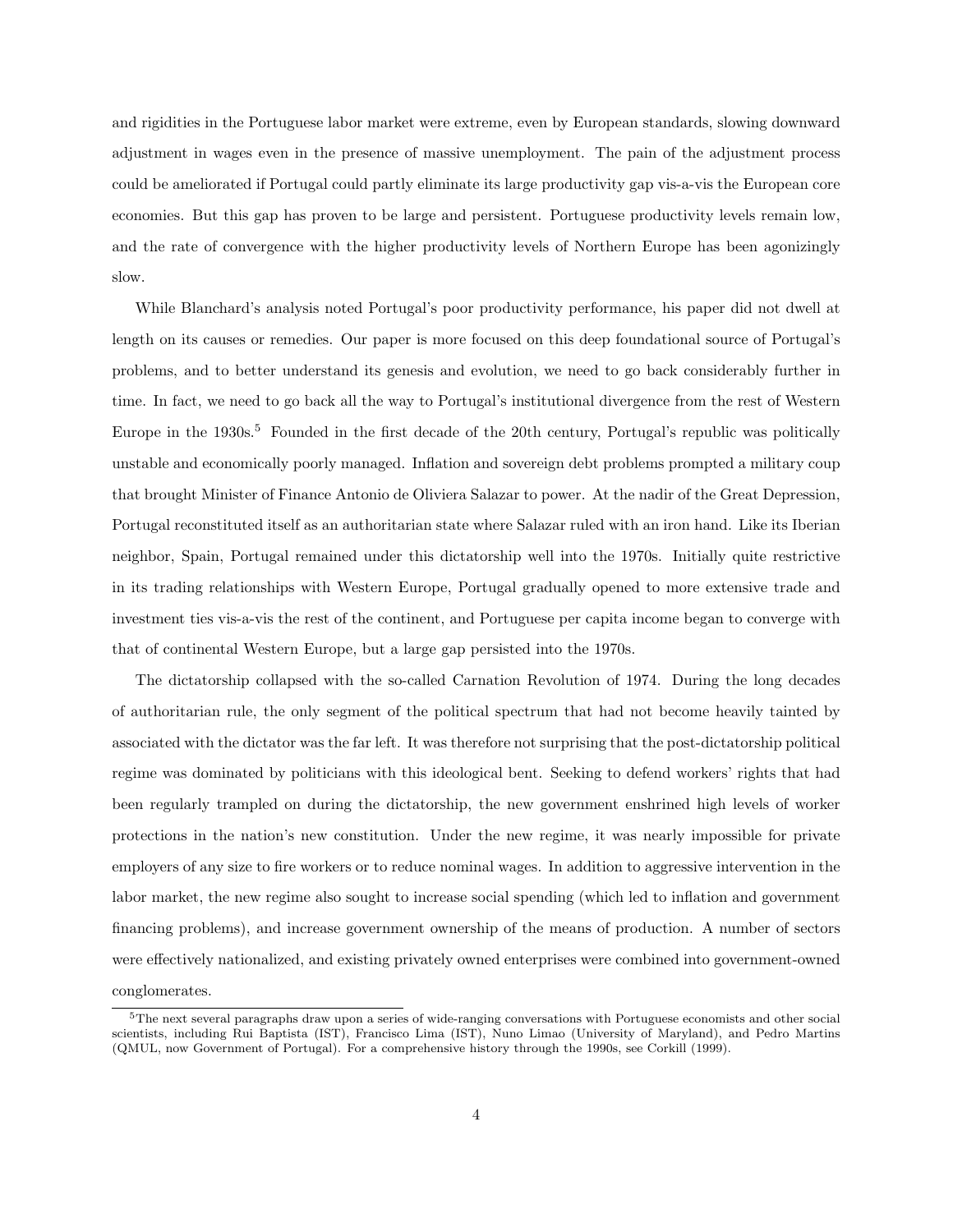and rigidities in the Portuguese labor market were extreme, even by European standards, slowing downward adjustment in wages even in the presence of massive unemployment. The pain of the adjustment process could be ameliorated if Portugal could partly eliminate its large productivity gap vis-a-vis the European core economies. But this gap has proven to be large and persistent. Portuguese productivity levels remain low, and the rate of convergence with the higher productivity levels of Northern Europe has been agonizingly slow.

While Blanchard's analysis noted Portugal's poor productivity performance, his paper did not dwell at length on its causes or remedies. Our paper is more focused on this deep foundational source of Portugal's problems, and to better understand its genesis and evolution, we need to go back considerably further in time. In fact, we need to go back all the way to Portugal's institutional divergence from the rest of Western Europe in the 1930s.<sup>5</sup> Founded in the first decade of the 20th century, Portugal's republic was politically unstable and economically poorly managed. Inflation and sovereign debt problems prompted a military coup that brought Minister of Finance Antonio de Oliviera Salazar to power. At the nadir of the Great Depression, Portugal reconstituted itself as an authoritarian state where Salazar ruled with an iron hand. Like its Iberian neighbor, Spain, Portugal remained under this dictatorship well into the 1970s. Initially quite restrictive in its trading relationships with Western Europe, Portugal gradually opened to more extensive trade and investment ties vis-a-vis the rest of the continent, and Portuguese per capita income began to converge with that of continental Western Europe, but a large gap persisted into the 1970s.

The dictatorship collapsed with the so-called Carnation Revolution of 1974. During the long decades of authoritarian rule, the only segment of the political spectrum that had not become heavily tainted by associated with the dictator was the far left. It was therefore not surprising that the post-dictatorship political regime was dominated by politicians with this ideological bent. Seeking to defend workers' rights that had been regularly trampled on during the dictatorship, the new government enshrined high levels of worker protections in the nation's new constitution. Under the new regime, it was nearly impossible for private employers of any size to fire workers or to reduce nominal wages. In addition to aggressive intervention in the labor market, the new regime also sought to increase social spending (which led to inflation and government financing problems), and increase government ownership of the means of production. A number of sectors were effectively nationalized, and existing privately owned enterprises were combined into government-owned conglomerates.

 $5$ The next several paragraphs draw upon a series of wide-ranging conversations with Portuguese economists and other social scientists, including Rui Baptista (IST), Francisco Lima (IST), Nuno Limao (University of Maryland), and Pedro Martins (QMUL, now Government of Portugal). For a comprehensive history through the 1990s, see Corkill (1999).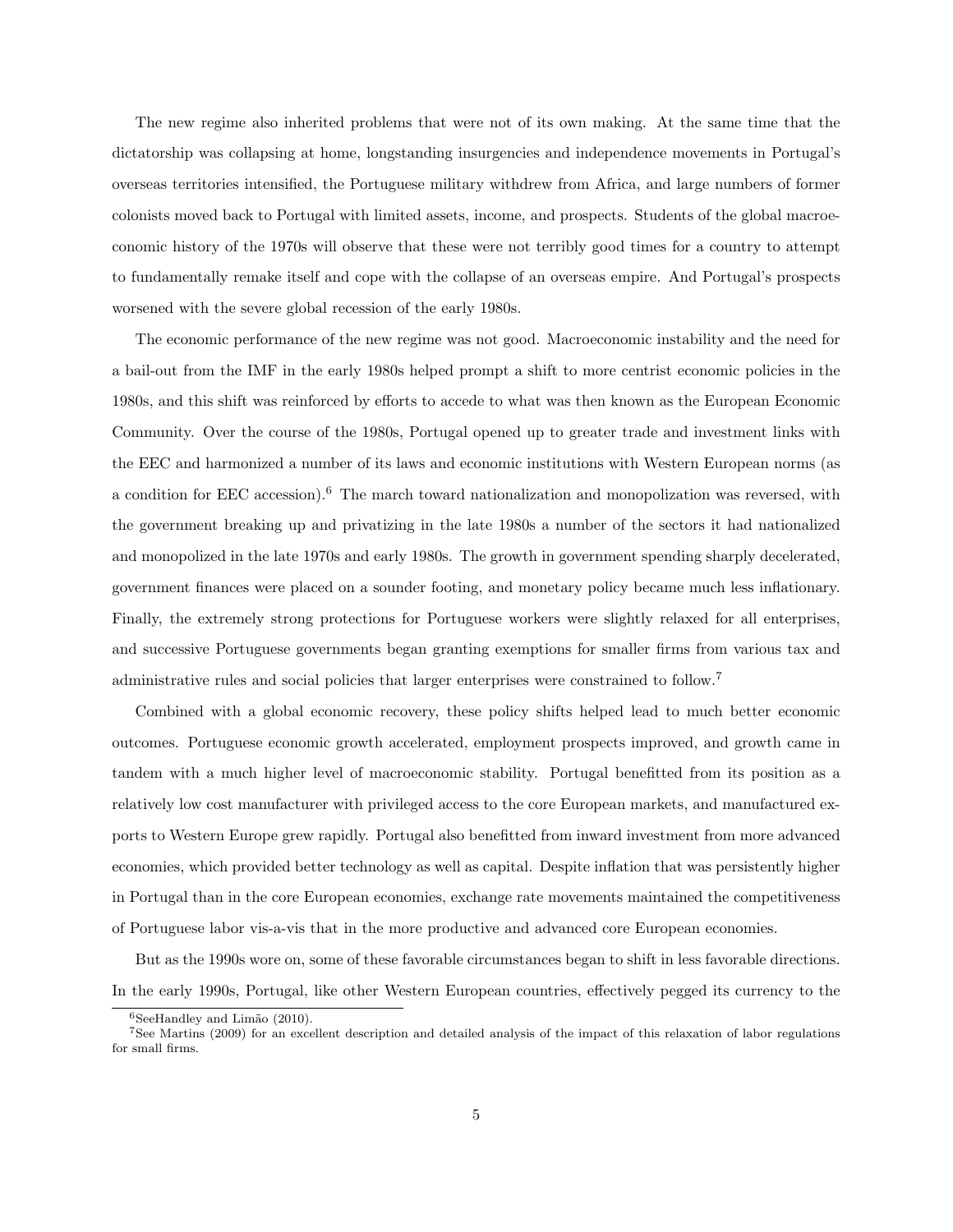The new regime also inherited problems that were not of its own making. At the same time that the dictatorship was collapsing at home, longstanding insurgencies and independence movements in Portugal's overseas territories intensified, the Portuguese military withdrew from Africa, and large numbers of former colonists moved back to Portugal with limited assets, income, and prospects. Students of the global macroeconomic history of the 1970s will observe that these were not terribly good times for a country to attempt to fundamentally remake itself and cope with the collapse of an overseas empire. And Portugal's prospects worsened with the severe global recession of the early 1980s.

The economic performance of the new regime was not good. Macroeconomic instability and the need for a bail-out from the IMF in the early 1980s helped prompt a shift to more centrist economic policies in the 1980s, and this shift was reinforced by efforts to accede to what was then known as the European Economic Community. Over the course of the 1980s, Portugal opened up to greater trade and investment links with the EEC and harmonized a number of its laws and economic institutions with Western European norms (as a condition for EEC accession).<sup>6</sup> The march toward nationalization and monopolization was reversed, with the government breaking up and privatizing in the late 1980s a number of the sectors it had nationalized and monopolized in the late 1970s and early 1980s. The growth in government spending sharply decelerated, government finances were placed on a sounder footing, and monetary policy became much less inflationary. Finally, the extremely strong protections for Portuguese workers were slightly relaxed for all enterprises, and successive Portuguese governments began granting exemptions for smaller firms from various tax and administrative rules and social policies that larger enterprises were constrained to follow.<sup>7</sup>

Combined with a global economic recovery, these policy shifts helped lead to much better economic outcomes. Portuguese economic growth accelerated, employment prospects improved, and growth came in tandem with a much higher level of macroeconomic stability. Portugal benefitted from its position as a relatively low cost manufacturer with privileged access to the core European markets, and manufactured exports to Western Europe grew rapidly. Portugal also benefitted from inward investment from more advanced economies, which provided better technology as well as capital. Despite inflation that was persistently higher in Portugal than in the core European economies, exchange rate movements maintained the competitiveness of Portuguese labor vis-a-vis that in the more productive and advanced core European economies.

But as the 1990s wore on, some of these favorable circumstances began to shift in less favorable directions. In the early 1990s, Portugal, like other Western European countries, effectively pegged its currency to the

 $6$ SeeHandley and Limão (2010).

<sup>7</sup>See Martins (2009) for an excellent description and detailed analysis of the impact of this relaxation of labor regulations for small firms.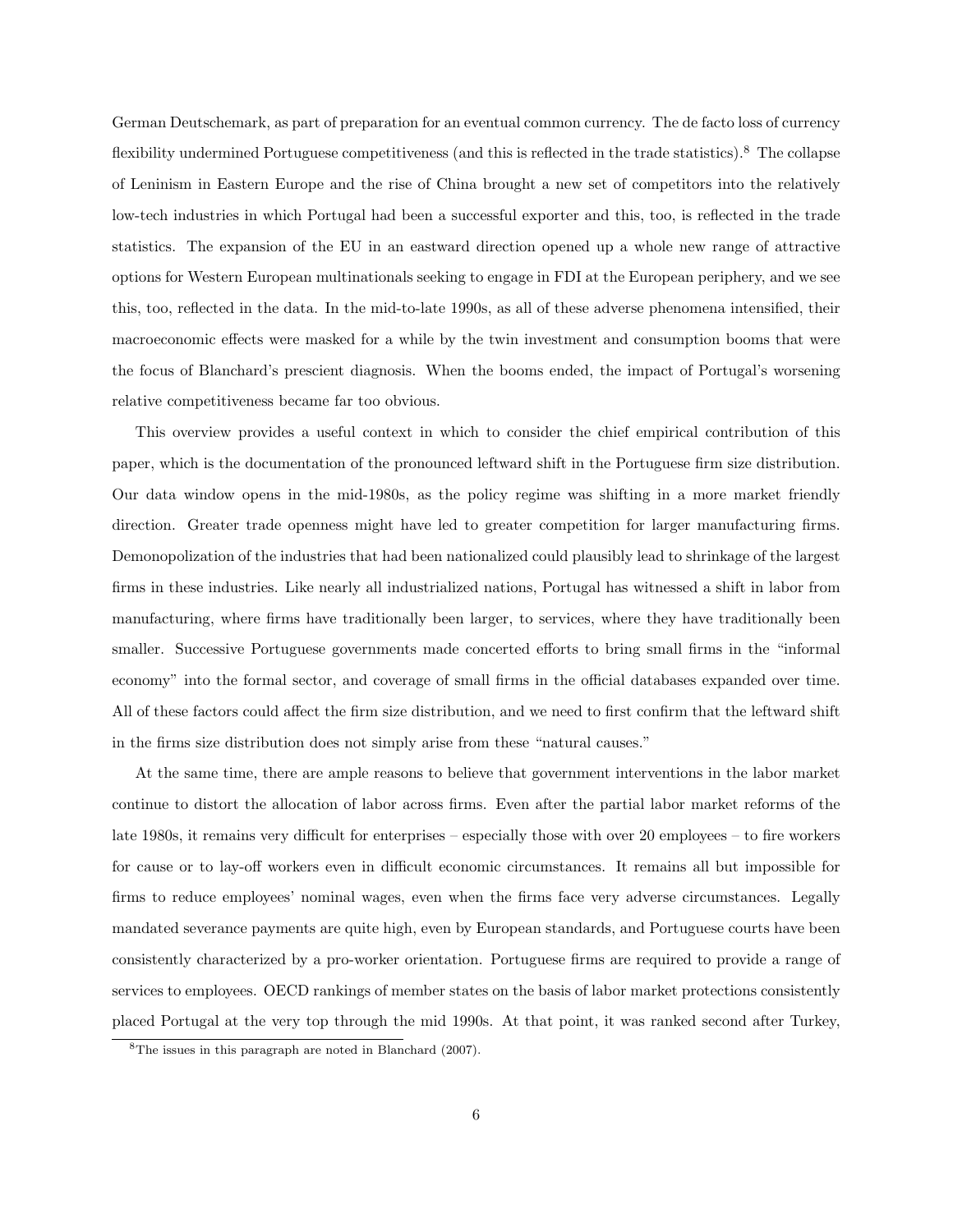German Deutschemark, as part of preparation for an eventual common currency. The de facto loss of currency flexibility undermined Portuguese competitiveness (and this is reflected in the trade statistics).<sup>8</sup> The collapse of Leninism in Eastern Europe and the rise of China brought a new set of competitors into the relatively low-tech industries in which Portugal had been a successful exporter and this, too, is reflected in the trade statistics. The expansion of the EU in an eastward direction opened up a whole new range of attractive options for Western European multinationals seeking to engage in FDI at the European periphery, and we see this, too, reflected in the data. In the mid-to-late 1990s, as all of these adverse phenomena intensified, their macroeconomic effects were masked for a while by the twin investment and consumption booms that were the focus of Blanchard's prescient diagnosis. When the booms ended, the impact of Portugal's worsening relative competitiveness became far too obvious.

This overview provides a useful context in which to consider the chief empirical contribution of this paper, which is the documentation of the pronounced leftward shift in the Portuguese firm size distribution. Our data window opens in the mid-1980s, as the policy regime was shifting in a more market friendly direction. Greater trade openness might have led to greater competition for larger manufacturing firms. Demonopolization of the industries that had been nationalized could plausibly lead to shrinkage of the largest firms in these industries. Like nearly all industrialized nations, Portugal has witnessed a shift in labor from manufacturing, where firms have traditionally been larger, to services, where they have traditionally been smaller. Successive Portuguese governments made concerted efforts to bring small firms in the "informal economy" into the formal sector, and coverage of small firms in the official databases expanded over time. All of these factors could affect the firm size distribution, and we need to first confirm that the leftward shift in the firms size distribution does not simply arise from these "natural causes."

At the same time, there are ample reasons to believe that government interventions in the labor market continue to distort the allocation of labor across firms. Even after the partial labor market reforms of the late 1980s, it remains very difficult for enterprises – especially those with over 20 employees – to fire workers for cause or to lay-off workers even in difficult economic circumstances. It remains all but impossible for firms to reduce employees' nominal wages, even when the firms face very adverse circumstances. Legally mandated severance payments are quite high, even by European standards, and Portuguese courts have been consistently characterized by a pro-worker orientation. Portuguese firms are required to provide a range of services to employees. OECD rankings of member states on the basis of labor market protections consistently placed Portugal at the very top through the mid 1990s. At that point, it was ranked second after Turkey,

<sup>8</sup>The issues in this paragraph are noted in Blanchard (2007).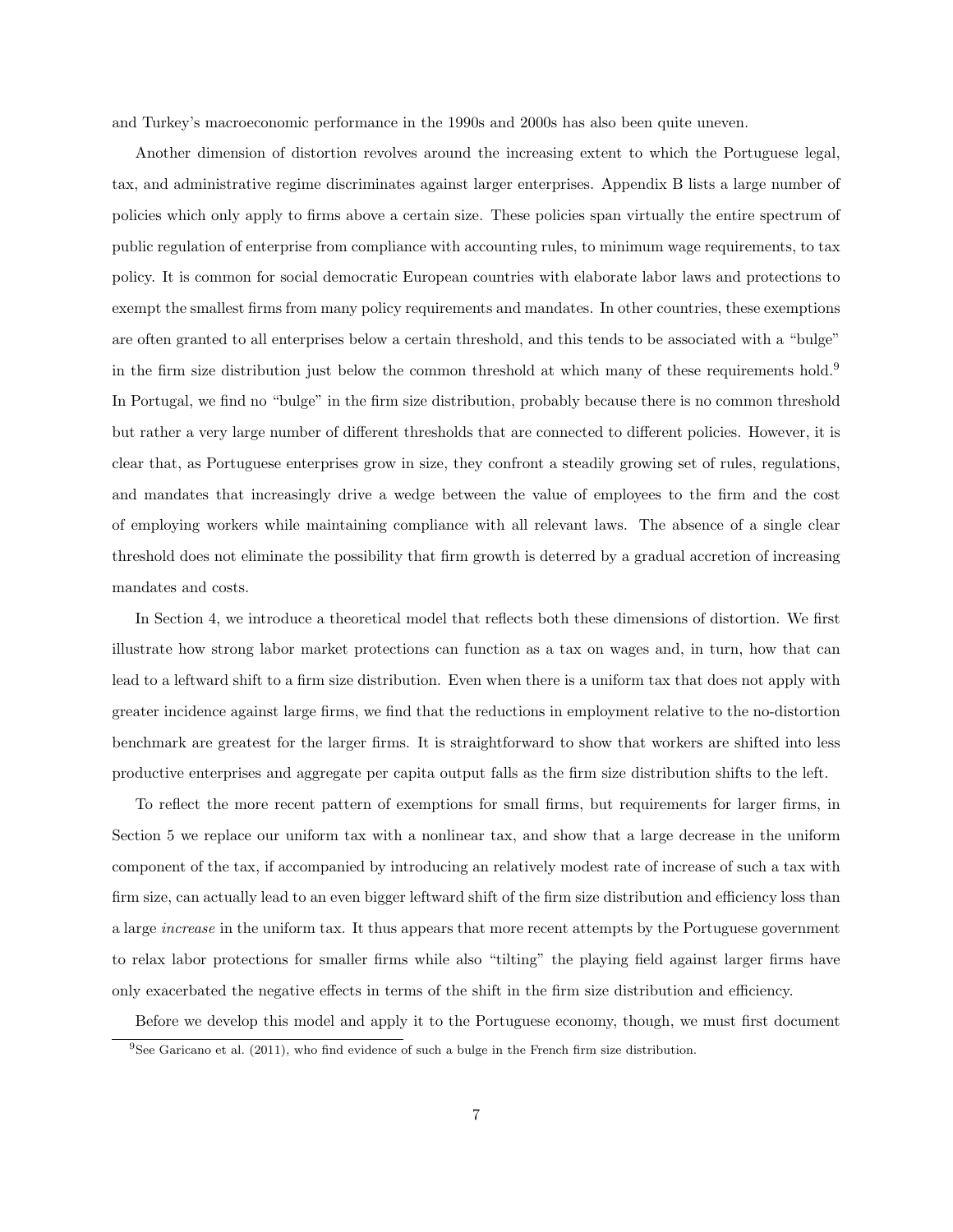and Turkey's macroeconomic performance in the 1990s and 2000s has also been quite uneven.

Another dimension of distortion revolves around the increasing extent to which the Portuguese legal, tax, and administrative regime discriminates against larger enterprises. Appendix B lists a large number of policies which only apply to firms above a certain size. These policies span virtually the entire spectrum of public regulation of enterprise from compliance with accounting rules, to minimum wage requirements, to tax policy. It is common for social democratic European countries with elaborate labor laws and protections to exempt the smallest firms from many policy requirements and mandates. In other countries, these exemptions are often granted to all enterprises below a certain threshold, and this tends to be associated with a "bulge" in the firm size distribution just below the common threshold at which many of these requirements hold.<sup>9</sup> In Portugal, we find no "bulge" in the firm size distribution, probably because there is no common threshold but rather a very large number of different thresholds that are connected to different policies. However, it is clear that, as Portuguese enterprises grow in size, they confront a steadily growing set of rules, regulations, and mandates that increasingly drive a wedge between the value of employees to the firm and the cost of employing workers while maintaining compliance with all relevant laws. The absence of a single clear threshold does not eliminate the possibility that firm growth is deterred by a gradual accretion of increasing mandates and costs.

In Section 4, we introduce a theoretical model that reflects both these dimensions of distortion. We first illustrate how strong labor market protections can function as a tax on wages and, in turn, how that can lead to a leftward shift to a firm size distribution. Even when there is a uniform tax that does not apply with greater incidence against large firms, we find that the reductions in employment relative to the no-distortion benchmark are greatest for the larger firms. It is straightforward to show that workers are shifted into less productive enterprises and aggregate per capita output falls as the firm size distribution shifts to the left.

To reflect the more recent pattern of exemptions for small firms, but requirements for larger firms, in Section 5 we replace our uniform tax with a nonlinear tax, and show that a large decrease in the uniform component of the tax, if accompanied by introducing an relatively modest rate of increase of such a tax with firm size, can actually lead to an even bigger leftward shift of the firm size distribution and efficiency loss than a large increase in the uniform tax. It thus appears that more recent attempts by the Portuguese government to relax labor protections for smaller firms while also "tilting" the playing field against larger firms have only exacerbated the negative effects in terms of the shift in the firm size distribution and efficiency.

Before we develop this model and apply it to the Portuguese economy, though, we must first document  $9$ See Garicano et al. (2011), who find evidence of such a bulge in the French firm size distribution.

<sup>7</sup>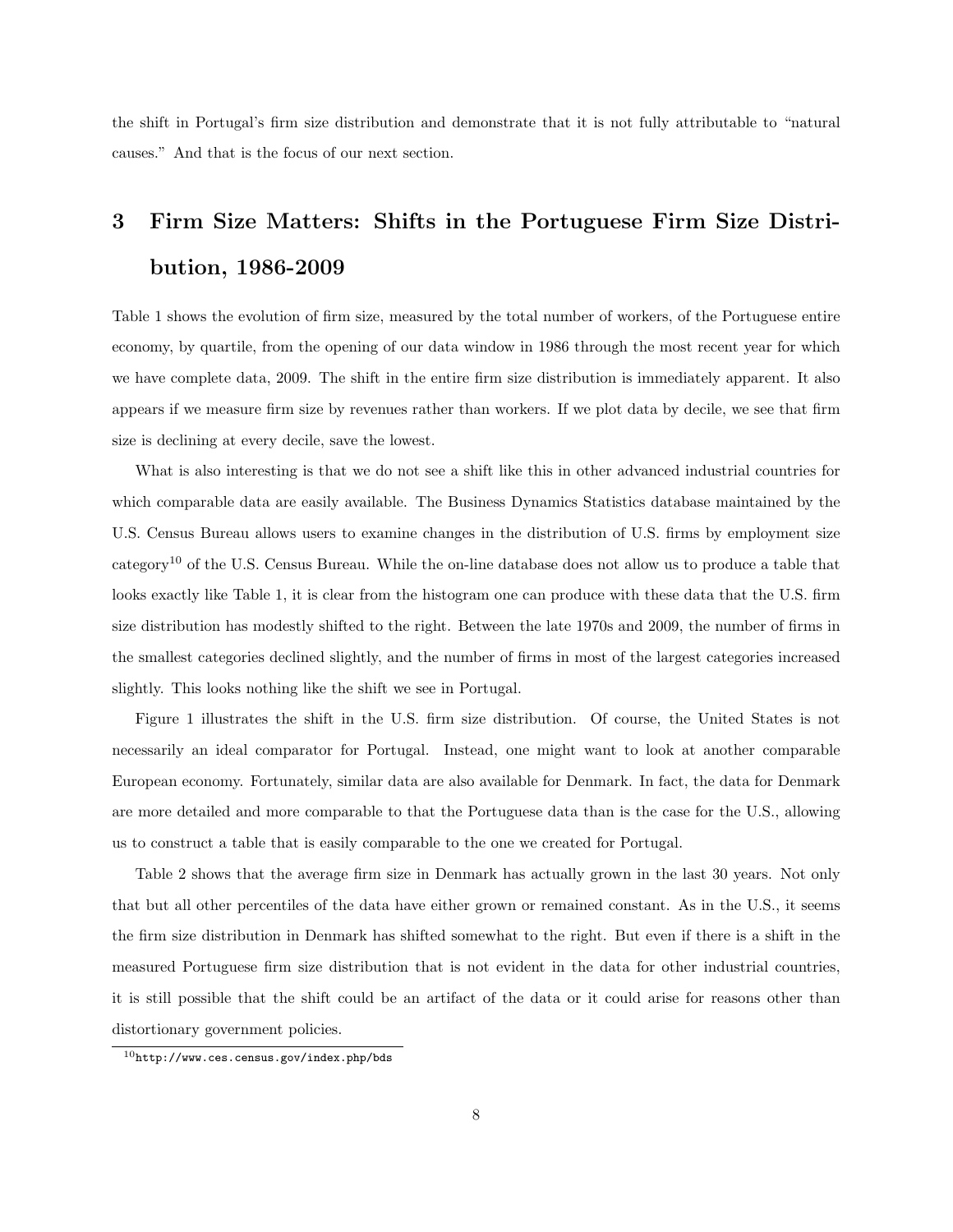the shift in Portugal's firm size distribution and demonstrate that it is not fully attributable to "natural causes." And that is the focus of our next section.

# 3 Firm Size Matters: Shifts in the Portuguese Firm Size Distribution, 1986-2009

Table 1 shows the evolution of firm size, measured by the total number of workers, of the Portuguese entire economy, by quartile, from the opening of our data window in 1986 through the most recent year for which we have complete data, 2009. The shift in the entire firm size distribution is immediately apparent. It also appears if we measure firm size by revenues rather than workers. If we plot data by decile, we see that firm size is declining at every decile, save the lowest.

What is also interesting is that we do not see a shift like this in other advanced industrial countries for which comparable data are easily available. The Business Dynamics Statistics database maintained by the U.S. Census Bureau allows users to examine changes in the distribution of U.S. firms by employment size category<sup>10</sup> of the U.S. Census Bureau. While the on-line database does not allow us to produce a table that looks exactly like Table 1, it is clear from the histogram one can produce with these data that the U.S. firm size distribution has modestly shifted to the right. Between the late 1970s and 2009, the number of firms in the smallest categories declined slightly, and the number of firms in most of the largest categories increased slightly. This looks nothing like the shift we see in Portugal.

Figure 1 illustrates the shift in the U.S. firm size distribution. Of course, the United States is not necessarily an ideal comparator for Portugal. Instead, one might want to look at another comparable European economy. Fortunately, similar data are also available for Denmark. In fact, the data for Denmark are more detailed and more comparable to that the Portuguese data than is the case for the U.S., allowing us to construct a table that is easily comparable to the one we created for Portugal.

Table 2 shows that the average firm size in Denmark has actually grown in the last 30 years. Not only that but all other percentiles of the data have either grown or remained constant. As in the U.S., it seems the firm size distribution in Denmark has shifted somewhat to the right. But even if there is a shift in the measured Portuguese firm size distribution that is not evident in the data for other industrial countries, it is still possible that the shift could be an artifact of the data or it could arise for reasons other than distortionary government policies.

 $10$ http://www.ces.census.gov/index.php/bds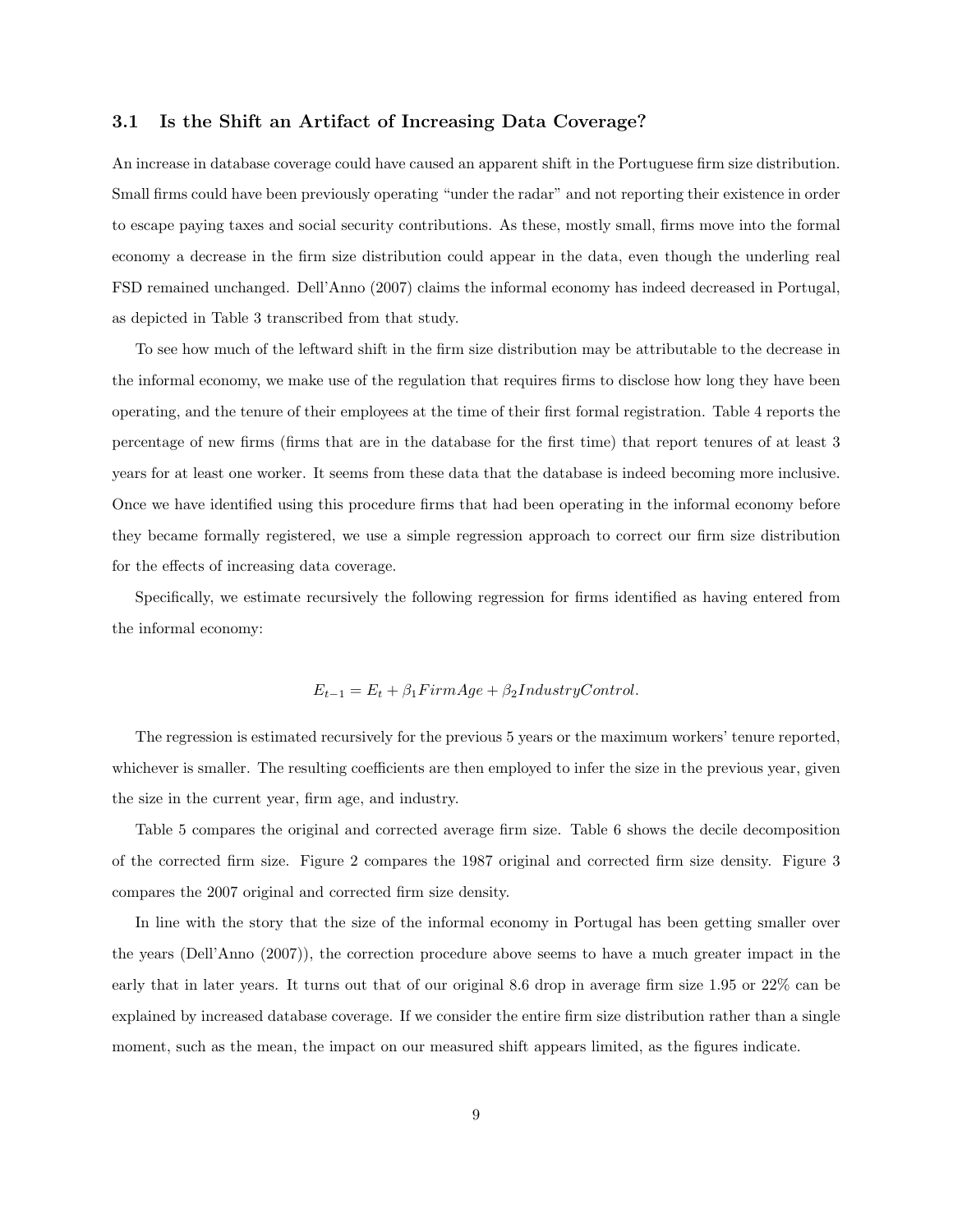#### 3.1 Is the Shift an Artifact of Increasing Data Coverage?

An increase in database coverage could have caused an apparent shift in the Portuguese firm size distribution. Small firms could have been previously operating "under the radar" and not reporting their existence in order to escape paying taxes and social security contributions. As these, mostly small, firms move into the formal economy a decrease in the firm size distribution could appear in the data, even though the underling real FSD remained unchanged. Dell'Anno (2007) claims the informal economy has indeed decreased in Portugal, as depicted in Table 3 transcribed from that study.

To see how much of the leftward shift in the firm size distribution may be attributable to the decrease in the informal economy, we make use of the regulation that requires firms to disclose how long they have been operating, and the tenure of their employees at the time of their first formal registration. Table 4 reports the percentage of new firms (firms that are in the database for the first time) that report tenures of at least 3 years for at least one worker. It seems from these data that the database is indeed becoming more inclusive. Once we have identified using this procedure firms that had been operating in the informal economy before they became formally registered, we use a simple regression approach to correct our firm size distribution for the effects of increasing data coverage.

Specifically, we estimate recursively the following regression for firms identified as having entered from the informal economy:

#### $E_{t-1} = E_t + \beta_1 F \text{irm} Age + \beta_2 IndustryControl.$

The regression is estimated recursively for the previous 5 years or the maximum workers' tenure reported, whichever is smaller. The resulting coefficients are then employed to infer the size in the previous year, given the size in the current year, firm age, and industry.

Table 5 compares the original and corrected average firm size. Table 6 shows the decile decomposition of the corrected firm size. Figure 2 compares the 1987 original and corrected firm size density. Figure 3 compares the 2007 original and corrected firm size density.

In line with the story that the size of the informal economy in Portugal has been getting smaller over the years (Dell'Anno (2007)), the correction procedure above seems to have a much greater impact in the early that in later years. It turns out that of our original 8.6 drop in average firm size 1.95 or 22% can be explained by increased database coverage. If we consider the entire firm size distribution rather than a single moment, such as the mean, the impact on our measured shift appears limited, as the figures indicate.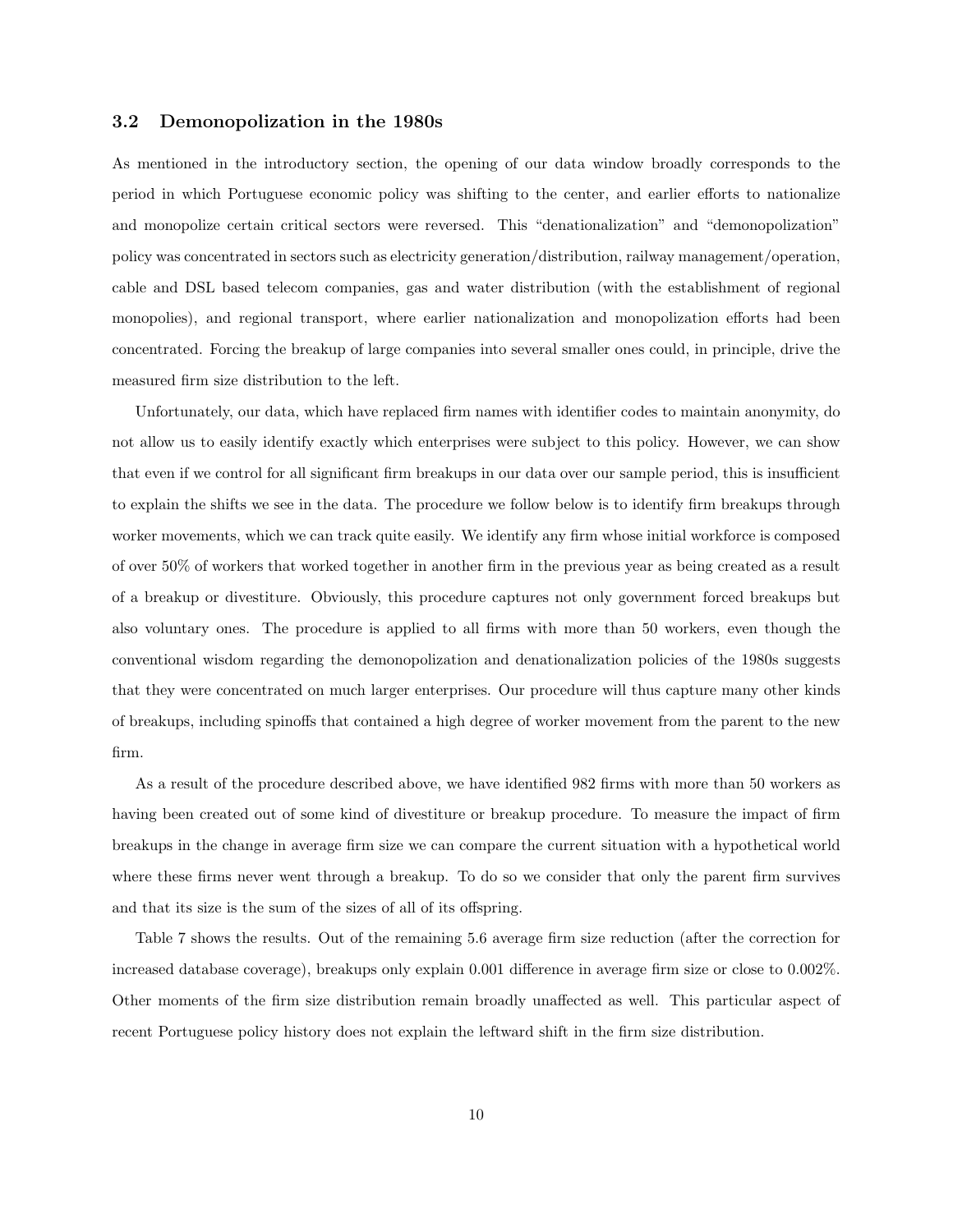#### 3.2 Demonopolization in the 1980s

As mentioned in the introductory section, the opening of our data window broadly corresponds to the period in which Portuguese economic policy was shifting to the center, and earlier efforts to nationalize and monopolize certain critical sectors were reversed. This "denationalization" and "demonopolization" policy was concentrated in sectors such as electricity generation/distribution, railway management/operation, cable and DSL based telecom companies, gas and water distribution (with the establishment of regional monopolies), and regional transport, where earlier nationalization and monopolization efforts had been concentrated. Forcing the breakup of large companies into several smaller ones could, in principle, drive the measured firm size distribution to the left.

Unfortunately, our data, which have replaced firm names with identifier codes to maintain anonymity, do not allow us to easily identify exactly which enterprises were subject to this policy. However, we can show that even if we control for all significant firm breakups in our data over our sample period, this is insufficient to explain the shifts we see in the data. The procedure we follow below is to identify firm breakups through worker movements, which we can track quite easily. We identify any firm whose initial workforce is composed of over 50% of workers that worked together in another firm in the previous year as being created as a result of a breakup or divestiture. Obviously, this procedure captures not only government forced breakups but also voluntary ones. The procedure is applied to all firms with more than 50 workers, even though the conventional wisdom regarding the demonopolization and denationalization policies of the 1980s suggests that they were concentrated on much larger enterprises. Our procedure will thus capture many other kinds of breakups, including spinoffs that contained a high degree of worker movement from the parent to the new firm.

As a result of the procedure described above, we have identified 982 firms with more than 50 workers as having been created out of some kind of divestiture or breakup procedure. To measure the impact of firm breakups in the change in average firm size we can compare the current situation with a hypothetical world where these firms never went through a breakup. To do so we consider that only the parent firm survives and that its size is the sum of the sizes of all of its offspring.

Table 7 shows the results. Out of the remaining 5.6 average firm size reduction (after the correction for increased database coverage), breakups only explain 0.001 difference in average firm size or close to 0.002%. Other moments of the firm size distribution remain broadly unaffected as well. This particular aspect of recent Portuguese policy history does not explain the leftward shift in the firm size distribution.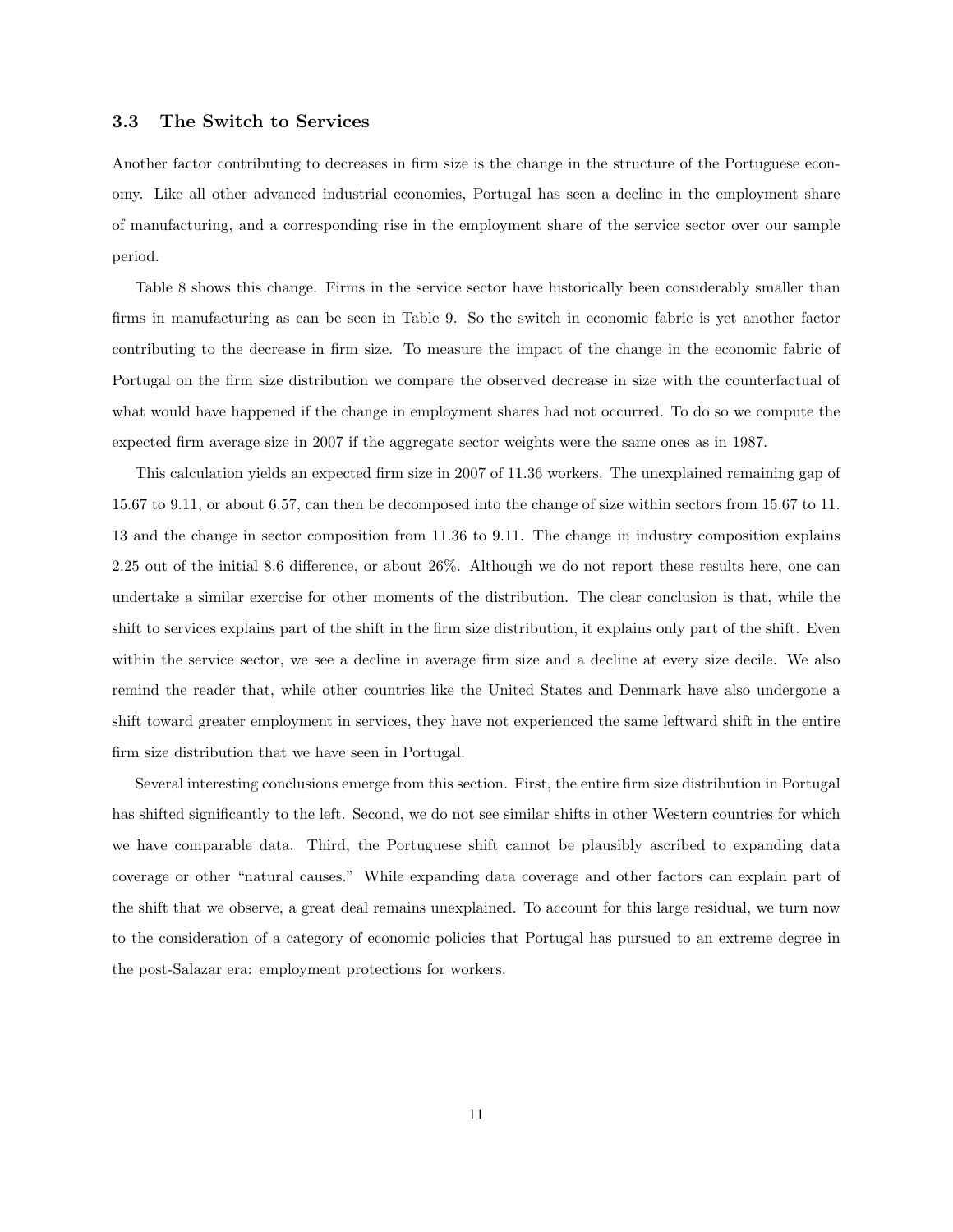#### 3.3 The Switch to Services

Another factor contributing to decreases in firm size is the change in the structure of the Portuguese economy. Like all other advanced industrial economies, Portugal has seen a decline in the employment share of manufacturing, and a corresponding rise in the employment share of the service sector over our sample period.

Table 8 shows this change. Firms in the service sector have historically been considerably smaller than firms in manufacturing as can be seen in Table 9. So the switch in economic fabric is yet another factor contributing to the decrease in firm size. To measure the impact of the change in the economic fabric of Portugal on the firm size distribution we compare the observed decrease in size with the counterfactual of what would have happened if the change in employment shares had not occurred. To do so we compute the expected firm average size in 2007 if the aggregate sector weights were the same ones as in 1987.

This calculation yields an expected firm size in 2007 of 11.36 workers. The unexplained remaining gap of 15.67 to 9.11, or about 6.57, can then be decomposed into the change of size within sectors from 15.67 to 11. 13 and the change in sector composition from 11.36 to 9.11. The change in industry composition explains 2.25 out of the initial 8.6 difference, or about 26%. Although we do not report these results here, one can undertake a similar exercise for other moments of the distribution. The clear conclusion is that, while the shift to services explains part of the shift in the firm size distribution, it explains only part of the shift. Even within the service sector, we see a decline in average firm size and a decline at every size decile. We also remind the reader that, while other countries like the United States and Denmark have also undergone a shift toward greater employment in services, they have not experienced the same leftward shift in the entire firm size distribution that we have seen in Portugal.

Several interesting conclusions emerge from this section. First, the entire firm size distribution in Portugal has shifted significantly to the left. Second, we do not see similar shifts in other Western countries for which we have comparable data. Third, the Portuguese shift cannot be plausibly ascribed to expanding data coverage or other "natural causes." While expanding data coverage and other factors can explain part of the shift that we observe, a great deal remains unexplained. To account for this large residual, we turn now to the consideration of a category of economic policies that Portugal has pursued to an extreme degree in the post-Salazar era: employment protections for workers.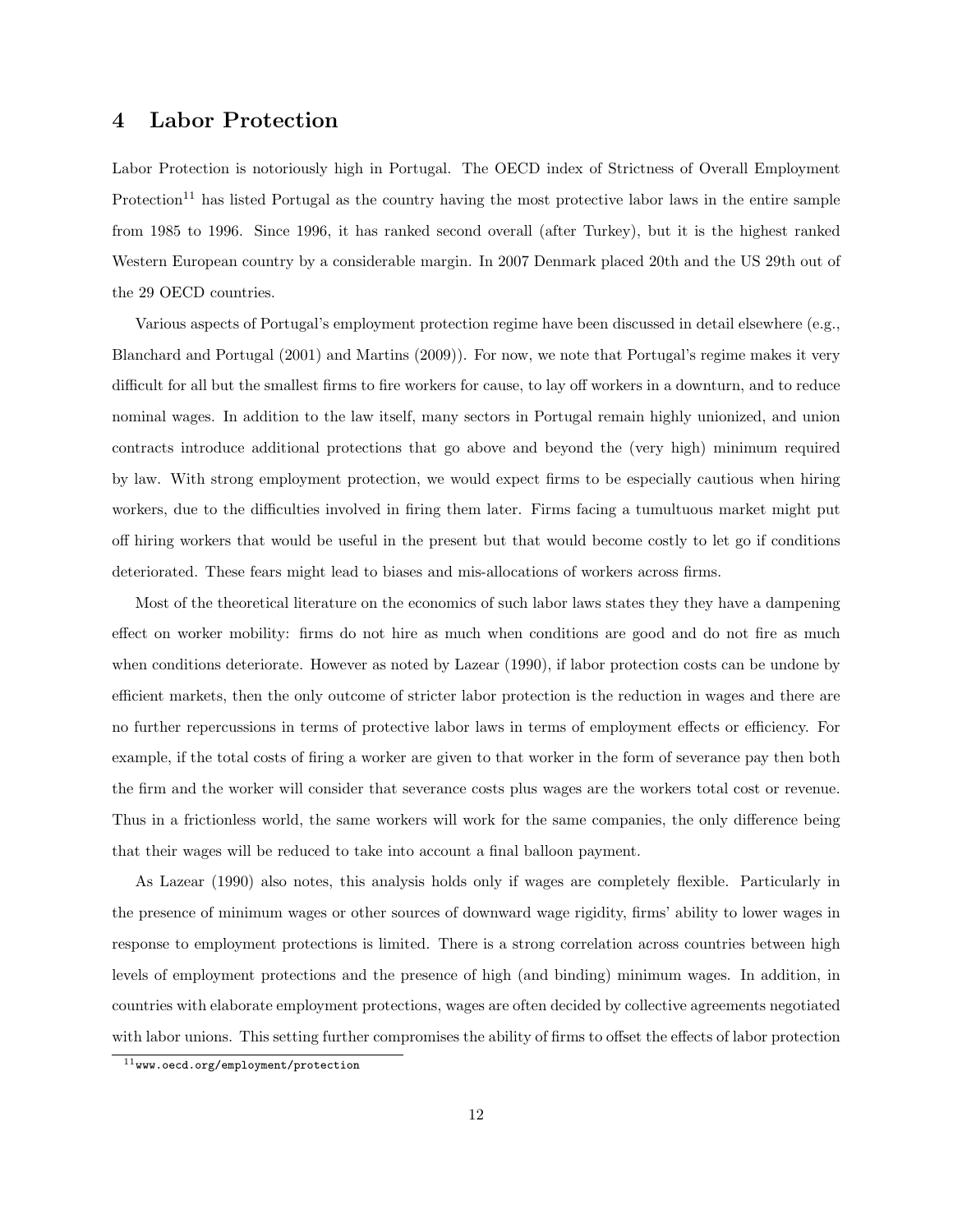## 4 Labor Protection

Labor Protection is notoriously high in Portugal. The OECD index of Strictness of Overall Employment  $Protection<sup>11</sup>$  has listed Portugal as the country having the most protective labor laws in the entire sample from 1985 to 1996. Since 1996, it has ranked second overall (after Turkey), but it is the highest ranked Western European country by a considerable margin. In 2007 Denmark placed 20th and the US 29th out of the 29 OECD countries.

Various aspects of Portugal's employment protection regime have been discussed in detail elsewhere (e.g., Blanchard and Portugal (2001) and Martins (2009)). For now, we note that Portugal's regime makes it very difficult for all but the smallest firms to fire workers for cause, to lay off workers in a downturn, and to reduce nominal wages. In addition to the law itself, many sectors in Portugal remain highly unionized, and union contracts introduce additional protections that go above and beyond the (very high) minimum required by law. With strong employment protection, we would expect firms to be especially cautious when hiring workers, due to the difficulties involved in firing them later. Firms facing a tumultuous market might put off hiring workers that would be useful in the present but that would become costly to let go if conditions deteriorated. These fears might lead to biases and mis-allocations of workers across firms.

Most of the theoretical literature on the economics of such labor laws states they they have a dampening effect on worker mobility: firms do not hire as much when conditions are good and do not fire as much when conditions deteriorate. However as noted by Lazear (1990), if labor protection costs can be undone by efficient markets, then the only outcome of stricter labor protection is the reduction in wages and there are no further repercussions in terms of protective labor laws in terms of employment effects or efficiency. For example, if the total costs of firing a worker are given to that worker in the form of severance pay then both the firm and the worker will consider that severance costs plus wages are the workers total cost or revenue. Thus in a frictionless world, the same workers will work for the same companies, the only difference being that their wages will be reduced to take into account a final balloon payment.

As Lazear (1990) also notes, this analysis holds only if wages are completely flexible. Particularly in the presence of minimum wages or other sources of downward wage rigidity, firms' ability to lower wages in response to employment protections is limited. There is a strong correlation across countries between high levels of employment protections and the presence of high (and binding) minimum wages. In addition, in countries with elaborate employment protections, wages are often decided by collective agreements negotiated with labor unions. This setting further compromises the ability of firms to offset the effects of labor protection

 $11$ www.oecd.org/employment/protection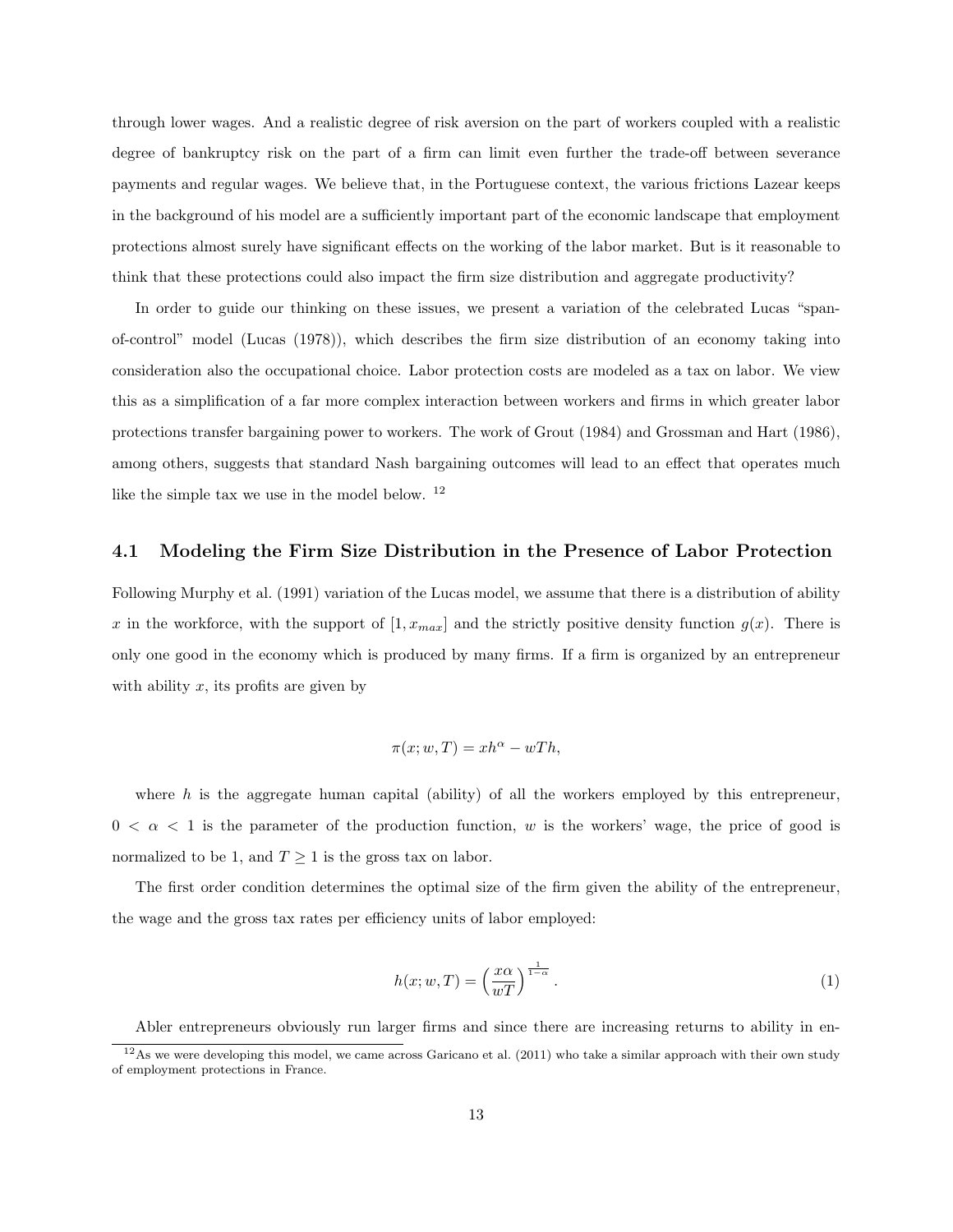through lower wages. And a realistic degree of risk aversion on the part of workers coupled with a realistic degree of bankruptcy risk on the part of a firm can limit even further the trade-off between severance payments and regular wages. We believe that, in the Portuguese context, the various frictions Lazear keeps in the background of his model are a sufficiently important part of the economic landscape that employment protections almost surely have significant effects on the working of the labor market. But is it reasonable to think that these protections could also impact the firm size distribution and aggregate productivity?

In order to guide our thinking on these issues, we present a variation of the celebrated Lucas "spanof-control" model (Lucas (1978)), which describes the firm size distribution of an economy taking into consideration also the occupational choice. Labor protection costs are modeled as a tax on labor. We view this as a simplification of a far more complex interaction between workers and firms in which greater labor protections transfer bargaining power to workers. The work of Grout (1984) and Grossman and Hart (1986), among others, suggests that standard Nash bargaining outcomes will lead to an effect that operates much like the simple tax we use in the model below. <sup>12</sup>

#### 4.1 Modeling the Firm Size Distribution in the Presence of Labor Protection

Following Murphy et al. (1991) variation of the Lucas model, we assume that there is a distribution of ability x in the workforce, with the support of  $[1, x_{max}]$  and the strictly positive density function  $g(x)$ . There is only one good in the economy which is produced by many firms. If a firm is organized by an entrepreneur with ability  $x$ , its profits are given by

$$
\pi(x; w, T) = x h^{\alpha} - w T h,
$$

where  $h$  is the aggregate human capital (ability) of all the workers employed by this entrepreneur,  $0 < \alpha < 1$  is the parameter of the production function, w is the workers' wage, the price of good is normalized to be 1, and  $T \geq 1$  is the gross tax on labor.

The first order condition determines the optimal size of the firm given the ability of the entrepreneur, the wage and the gross tax rates per efficiency units of labor employed:

$$
h(x; w, T) = \left(\frac{x\alpha}{wT}\right)^{\frac{1}{1-\alpha}}.
$$
\n(1)

Abler entrepreneurs obviously run larger firms and since there are increasing returns to ability in en-

 $12$ As we were developing this model, we came across Garicano et al. (2011) who take a similar approach with their own study of employment protections in France.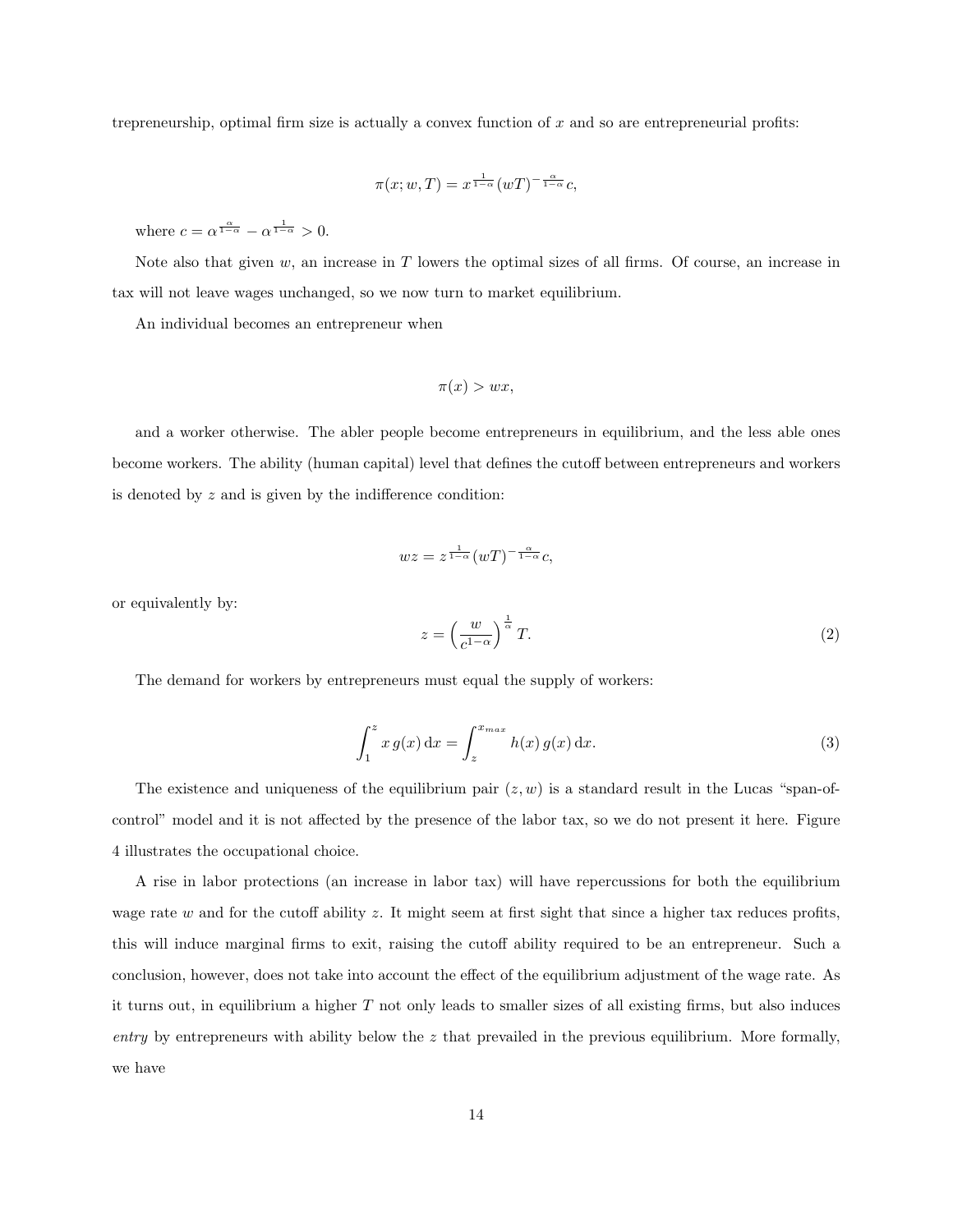trepreneurship, optimal firm size is actually a convex function of  $x$  and so are entrepreneurial profits:

$$
\pi(x; w, T) = x^{\frac{1}{1-\alpha}} (wT)^{-\frac{\alpha}{1-\alpha}} c,
$$

where  $c = \alpha^{\frac{\alpha}{1-\alpha}} - \alpha^{\frac{1}{1-\alpha}} > 0$ .

Note also that given  $w$ , an increase in  $T$  lowers the optimal sizes of all firms. Of course, an increase in tax will not leave wages unchanged, so we now turn to market equilibrium.

An individual becomes an entrepreneur when

$$
\pi(x) > wx,
$$

and a worker otherwise. The abler people become entrepreneurs in equilibrium, and the less able ones become workers. The ability (human capital) level that defines the cutoff between entrepreneurs and workers is denoted by z and is given by the indifference condition:

$$
wz = z^{\frac{1}{1-\alpha}} (wT)^{-\frac{\alpha}{1-\alpha}}c,
$$

or equivalently by:

$$
z = \left(\frac{w}{c^{1-\alpha}}\right)^{\frac{1}{\alpha}}T.
$$
\n<sup>(2)</sup>

The demand for workers by entrepreneurs must equal the supply of workers:

$$
\int_{1}^{z} x g(x) dx = \int_{z}^{x_{max}} h(x) g(x) dx.
$$
 (3)

The existence and uniqueness of the equilibrium pair  $(z, w)$  is a standard result in the Lucas "span-ofcontrol" model and it is not affected by the presence of the labor tax, so we do not present it here. Figure 4 illustrates the occupational choice.

A rise in labor protections (an increase in labor tax) will have repercussions for both the equilibrium wage rate  $w$  and for the cutoff ability  $z$ . It might seem at first sight that since a higher tax reduces profits, this will induce marginal firms to exit, raising the cutoff ability required to be an entrepreneur. Such a conclusion, however, does not take into account the effect of the equilibrium adjustment of the wage rate. As it turns out, in equilibrium a higher T not only leads to smaller sizes of all existing firms, but also induces entry by entrepreneurs with ability below the  $z$  that prevailed in the previous equilibrium. More formally, we have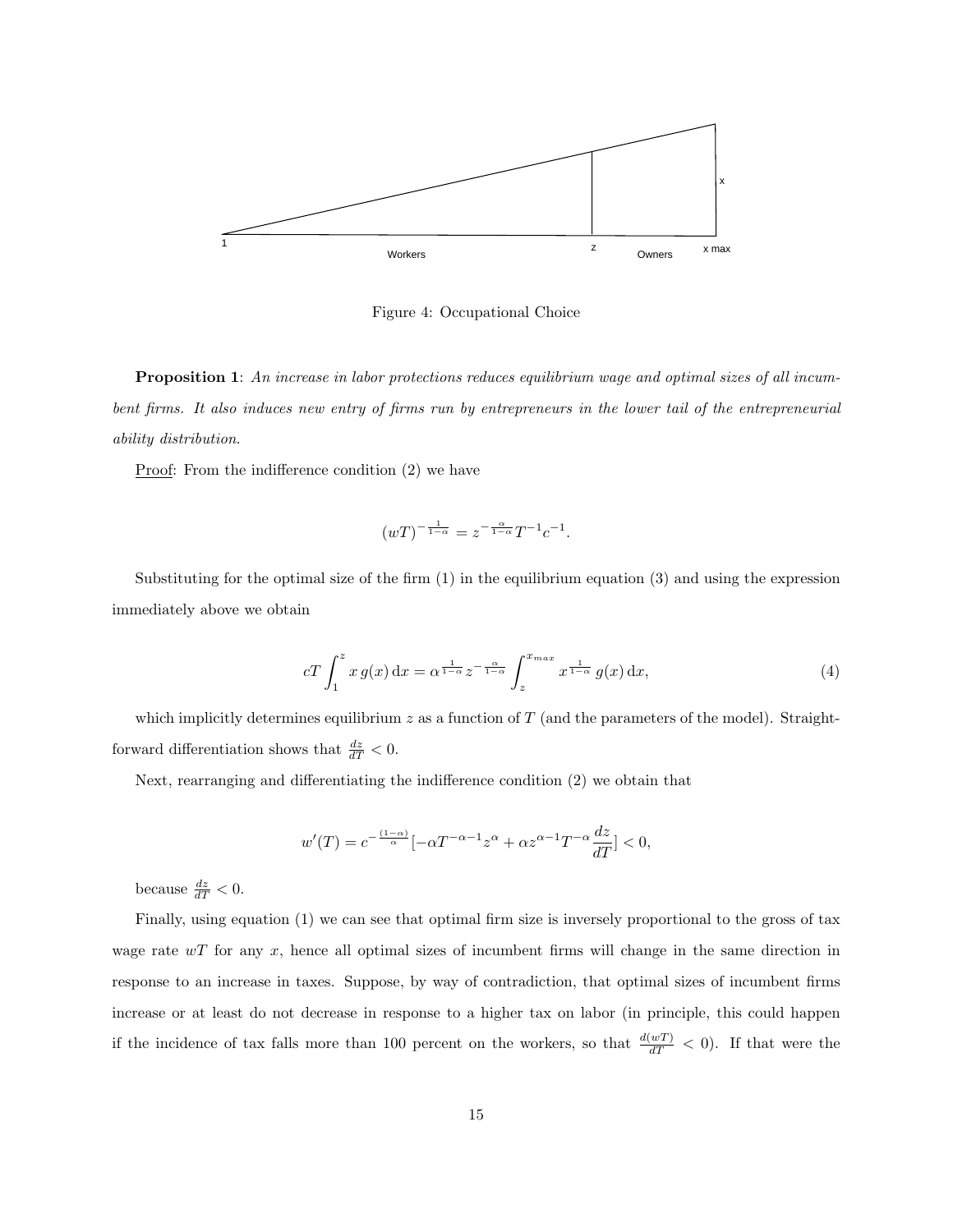

Figure 4: Occupational Choice

Proposition 1: An increase in labor protections reduces equilibrium wage and optimal sizes of all incumbent firms. It also induces new entry of firms run by entrepreneurs in the lower tail of the entrepreneurial ability distribution.

Proof: From the indifference condition (2) we have

$$
(wT)^{-\frac{1}{1-\alpha}} = z^{-\frac{\alpha}{1-\alpha}}T^{-1}c^{-1}.
$$

Substituting for the optimal size of the firm (1) in the equilibrium equation (3) and using the expression immediately above we obtain

$$
cT \int_{1}^{z} x g(x) dx = \alpha^{\frac{1}{1-\alpha}} z^{-\frac{\alpha}{1-\alpha}} \int_{z}^{x_{max}} x^{\frac{1}{1-\alpha}} g(x) dx,
$$
\n
$$
(4)
$$

which implicitly determines equilibrium  $z$  as a function of  $T$  (and the parameters of the model). Straightforward differentiation shows that  $\frac{dz}{dT} < 0$ .

Next, rearranging and differentiating the indifference condition (2) we obtain that

$$
w'(T) = c^{-\frac{(1-\alpha)}{\alpha}} [-\alpha T^{-\alpha-1} z^{\alpha} + \alpha z^{\alpha-1} T^{-\alpha} \frac{dz}{dT}] < 0,
$$

because  $\frac{dz}{dT} < 0$ .

Finally, using equation (1) we can see that optimal firm size is inversely proportional to the gross of tax wage rate  $wT$  for any x, hence all optimal sizes of incumbent firms will change in the same direction in response to an increase in taxes. Suppose, by way of contradiction, that optimal sizes of incumbent firms increase or at least do not decrease in response to a higher tax on labor (in principle, this could happen if the incidence of tax falls more than 100 percent on the workers, so that  $\frac{d(wT)}{dT} < 0$ ). If that were the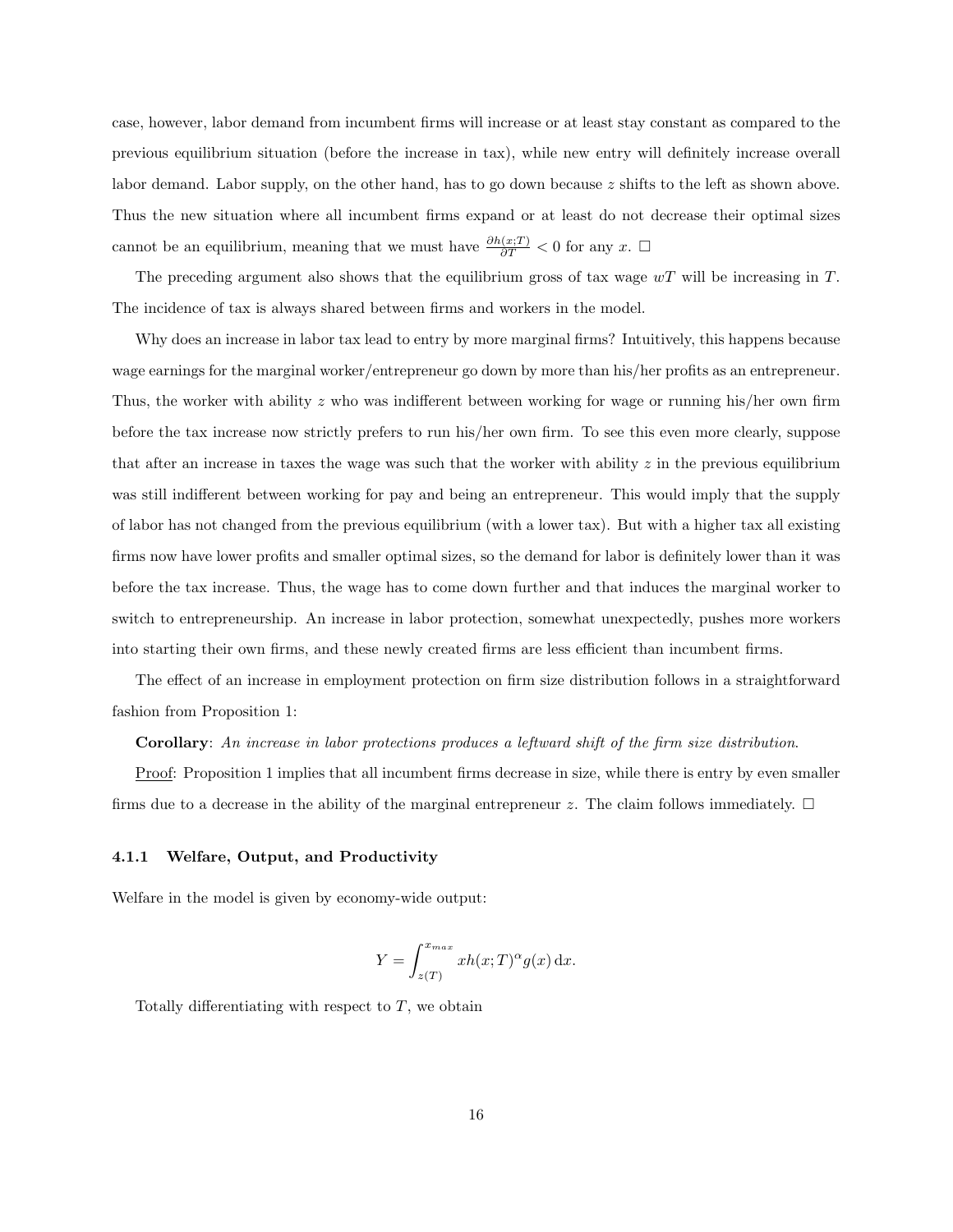case, however, labor demand from incumbent firms will increase or at least stay constant as compared to the previous equilibrium situation (before the increase in tax), while new entry will definitely increase overall labor demand. Labor supply, on the other hand, has to go down because z shifts to the left as shown above. Thus the new situation where all incumbent firms expand or at least do not decrease their optimal sizes cannot be an equilibrium, meaning that we must have  $\frac{\partial h(x;T)}{\partial T} < 0$  for any x.  $\Box$ 

The preceding argument also shows that the equilibrium gross of tax wage  $wT$  will be increasing in T. The incidence of tax is always shared between firms and workers in the model.

Why does an increase in labor tax lead to entry by more marginal firms? Intuitively, this happens because wage earnings for the marginal worker/entrepreneur go down by more than his/her profits as an entrepreneur. Thus, the worker with ability z who was indifferent between working for wage or running his/her own firm before the tax increase now strictly prefers to run his/her own firm. To see this even more clearly, suppose that after an increase in taxes the wage was such that the worker with ability  $z$  in the previous equilibrium was still indifferent between working for pay and being an entrepreneur. This would imply that the supply of labor has not changed from the previous equilibrium (with a lower tax). But with a higher tax all existing firms now have lower profits and smaller optimal sizes, so the demand for labor is definitely lower than it was before the tax increase. Thus, the wage has to come down further and that induces the marginal worker to switch to entrepreneurship. An increase in labor protection, somewhat unexpectedly, pushes more workers into starting their own firms, and these newly created firms are less efficient than incumbent firms.

The effect of an increase in employment protection on firm size distribution follows in a straightforward fashion from Proposition 1:

Corollary: An increase in labor protections produces a leftward shift of the firm size distribution.

Proof: Proposition 1 implies that all incumbent firms decrease in size, while there is entry by even smaller firms due to a decrease in the ability of the marginal entrepreneur z. The claim follows immediately.  $\Box$ 

#### 4.1.1 Welfare, Output, and Productivity

Welfare in the model is given by economy-wide output:

$$
Y = \int_{z(T)}^{x_{max}} xh(x;T)^{\alpha}g(x) dx.
$$

Totally differentiating with respect to  $T$ , we obtain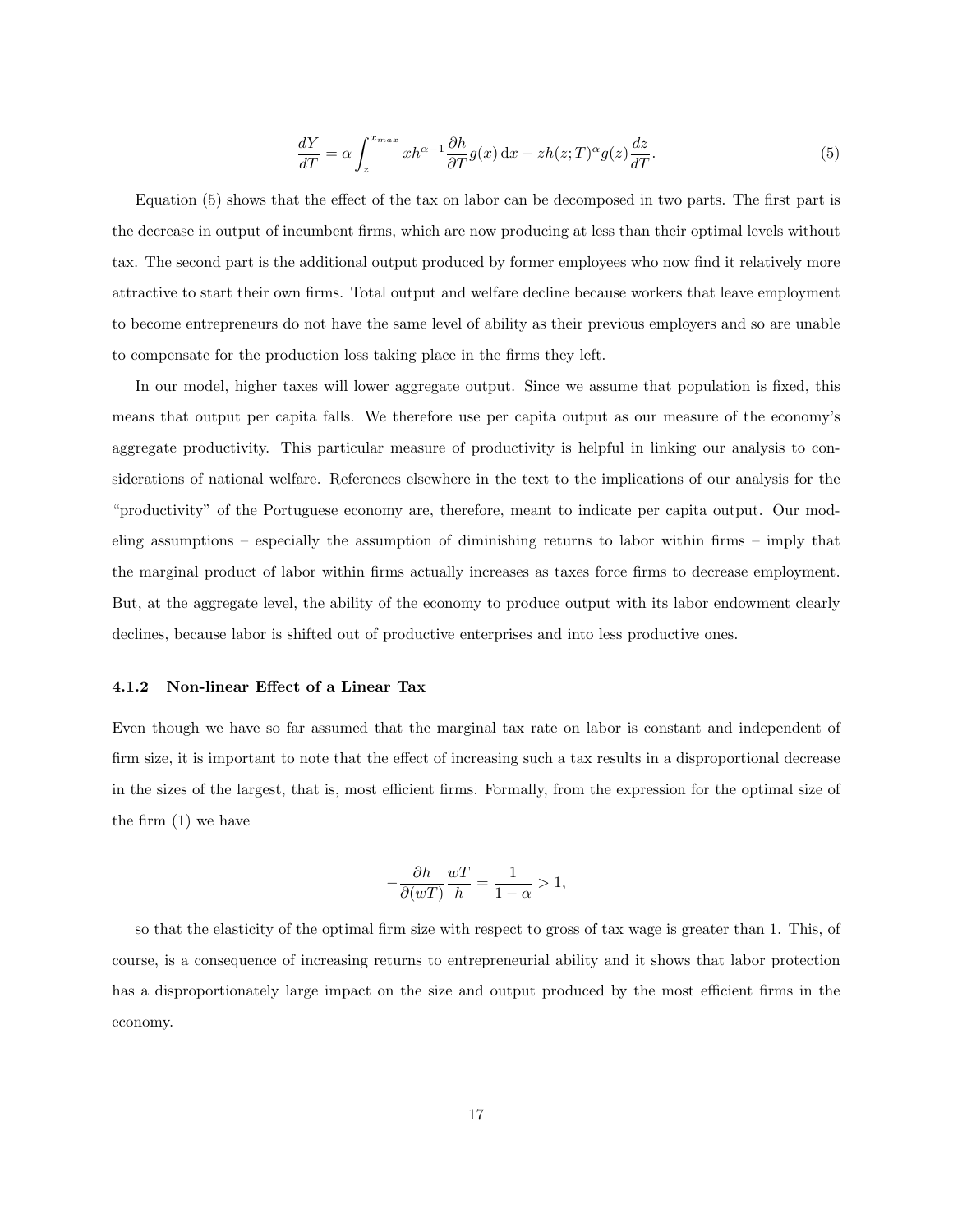$$
\frac{dY}{dT} = \alpha \int_{z}^{x_{max}} x h^{\alpha - 1} \frac{\partial h}{\partial T} g(x) dx - z h(z; T)^{\alpha} g(z) \frac{dz}{dT}.
$$
\n(5)

Equation (5) shows that the effect of the tax on labor can be decomposed in two parts. The first part is the decrease in output of incumbent firms, which are now producing at less than their optimal levels without tax. The second part is the additional output produced by former employees who now find it relatively more attractive to start their own firms. Total output and welfare decline because workers that leave employment to become entrepreneurs do not have the same level of ability as their previous employers and so are unable to compensate for the production loss taking place in the firms they left.

In our model, higher taxes will lower aggregate output. Since we assume that population is fixed, this means that output per capita falls. We therefore use per capita output as our measure of the economy's aggregate productivity. This particular measure of productivity is helpful in linking our analysis to considerations of national welfare. References elsewhere in the text to the implications of our analysis for the "productivity" of the Portuguese economy are, therefore, meant to indicate per capita output. Our modeling assumptions – especially the assumption of diminishing returns to labor within firms – imply that the marginal product of labor within firms actually increases as taxes force firms to decrease employment. But, at the aggregate level, the ability of the economy to produce output with its labor endowment clearly declines, because labor is shifted out of productive enterprises and into less productive ones.

#### 4.1.2 Non-linear Effect of a Linear Tax

Even though we have so far assumed that the marginal tax rate on labor is constant and independent of firm size, it is important to note that the effect of increasing such a tax results in a disproportional decrease in the sizes of the largest, that is, most efficient firms. Formally, from the expression for the optimal size of the firm (1) we have

$$
-\frac{\partial h}{\partial (wT)}\frac{wT}{h} = \frac{1}{1-\alpha} > 1,
$$

so that the elasticity of the optimal firm size with respect to gross of tax wage is greater than 1. This, of course, is a consequence of increasing returns to entrepreneurial ability and it shows that labor protection has a disproportionately large impact on the size and output produced by the most efficient firms in the economy.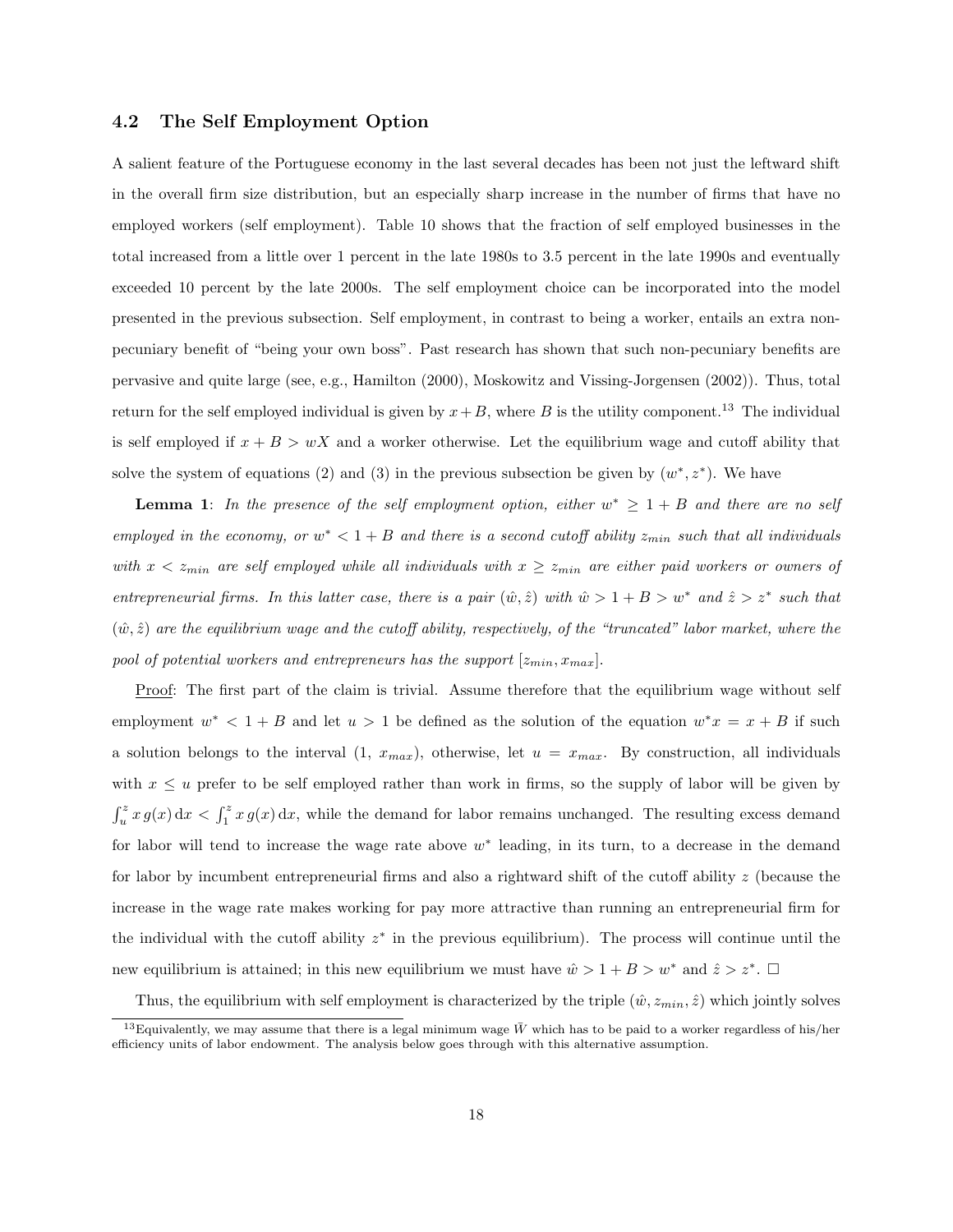#### 4.2 The Self Employment Option

A salient feature of the Portuguese economy in the last several decades has been not just the leftward shift in the overall firm size distribution, but an especially sharp increase in the number of firms that have no employed workers (self employment). Table 10 shows that the fraction of self employed businesses in the total increased from a little over 1 percent in the late 1980s to 3.5 percent in the late 1990s and eventually exceeded 10 percent by the late 2000s. The self employment choice can be incorporated into the model presented in the previous subsection. Self employment, in contrast to being a worker, entails an extra nonpecuniary benefit of "being your own boss". Past research has shown that such non-pecuniary benefits are pervasive and quite large (see, e.g., Hamilton (2000), Moskowitz and Vissing-Jorgensen (2002)). Thus, total return for the self employed individual is given by  $x+B$ , where B is the utility component.<sup>13</sup> The individual is self employed if  $x + B > wX$  and a worker otherwise. Let the equilibrium wage and cutoff ability that solve the system of equations (2) and (3) in the previous subsection be given by  $(w^*, z^*)$ . We have

**Lemma 1:** In the presence of the self employment option, either  $w^* \geq 1 + B$  and there are no self employed in the economy, or  $w^* < 1 + B$  and there is a second cutoff ability  $z_{min}$  such that all individuals with  $x < z_{min}$  are self employed while all individuals with  $x \ge z_{min}$  are either paid workers or owners of entrepreneurial firms. In this latter case, there is a pair  $(\hat{w}, \hat{z})$  with  $\hat{w} > 1 + B > w^*$  and  $\hat{z} > z^*$  such that  $(\hat{w}, \hat{z})$  are the equilibrium wage and the cutoff ability, respectively, of the "truncated" labor market, where the pool of potential workers and entrepreneurs has the support  $[z_{min}, x_{max}]$ .

Proof: The first part of the claim is trivial. Assume therefore that the equilibrium wage without self employment  $w^* < 1 + B$  and let  $u > 1$  be defined as the solution of the equation  $w^*x = x + B$  if such a solution belongs to the interval  $(1, x_{max})$ , otherwise, let  $u = x_{max}$ . By construction, all individuals with  $x \leq u$  prefer to be self employed rather than work in firms, so the supply of labor will be given by  $\int_u^z x g(x) dx < \int_1^z x g(x) dx$ , while the demand for labor remains unchanged. The resulting excess demand for labor will tend to increase the wage rate above  $w^*$  leading, in its turn, to a decrease in the demand for labor by incumbent entrepreneurial firms and also a rightward shift of the cutoff ability z (because the increase in the wage rate makes working for pay more attractive than running an entrepreneurial firm for the individual with the cutoff ability  $z^*$  in the previous equilibrium). The process will continue until the new equilibrium is attained; in this new equilibrium we must have  $\hat{w} > 1 + B > w^*$  and  $\hat{z} > z^*$ .

Thus, the equilibrium with self employment is characterized by the triple  $(\hat{w}, z_{min}, \hat{z})$  which jointly solves

<sup>&</sup>lt;sup>13</sup>Equivalently, we may assume that there is a legal minimum wage  $\bar{W}$  which has to be paid to a worker regardless of his/her efficiency units of labor endowment. The analysis below goes through with this alternative assumption.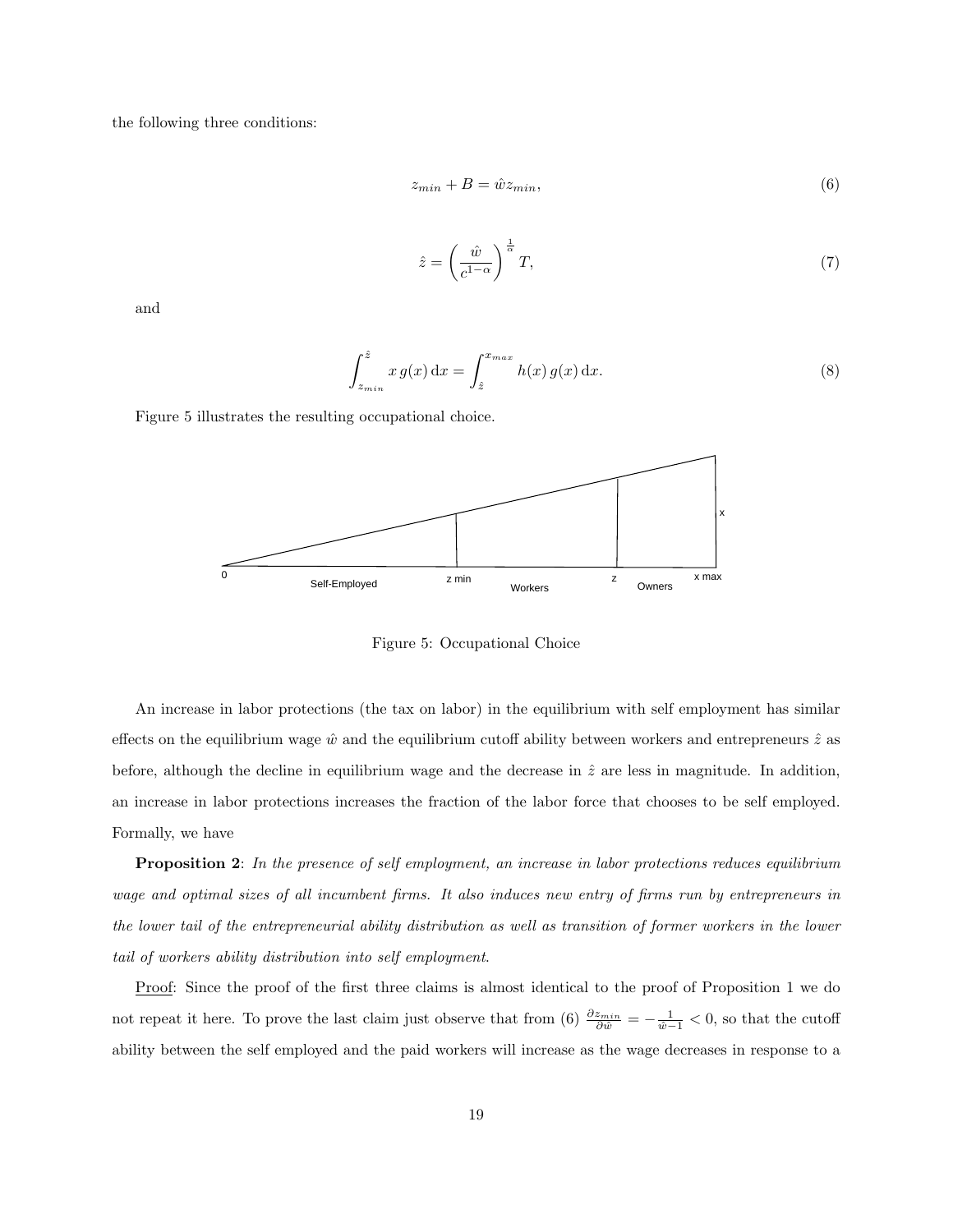the following three conditions:

$$
z_{min} + B = \hat{w} z_{min},\tag{6}
$$

$$
\hat{z} = \left(\frac{\hat{w}}{c^{1-\alpha}}\right)^{\frac{1}{\alpha}}T,\tag{7}
$$

and

$$
\int_{z_{min}}^{\hat{z}} x g(x) dx = \int_{\hat{z}}^{x_{max}} h(x) g(x) dx.
$$
 (8)

Figure 5 illustrates the resulting occupational choice.



Figure 5: Occupational Choice

An increase in labor protections (the tax on labor) in the equilibrium with self employment has similar effects on the equilibrium wage  $\hat{w}$  and the equilibrium cutoff ability between workers and entrepreneurs  $\hat{z}$  as before, although the decline in equilibrium wage and the decrease in  $\hat{z}$  are less in magnitude. In addition, an increase in labor protections increases the fraction of the labor force that chooses to be self employed. Formally, we have

Proposition 2: In the presence of self employment, an increase in labor protections reduces equilibrium wage and optimal sizes of all incumbent firms. It also induces new entry of firms run by entrepreneurs in the lower tail of the entrepreneurial ability distribution as well as transition of former workers in the lower tail of workers ability distribution into self employment.

Proof: Since the proof of the first three claims is almost identical to the proof of Proposition 1 we do not repeat it here. To prove the last claim just observe that from (6)  $\frac{\partial z_{min}}{\partial \hat{w}} = -\frac{1}{\hat{w}-1} < 0$ , so that the cutoff ability between the self employed and the paid workers will increase as the wage decreases in response to a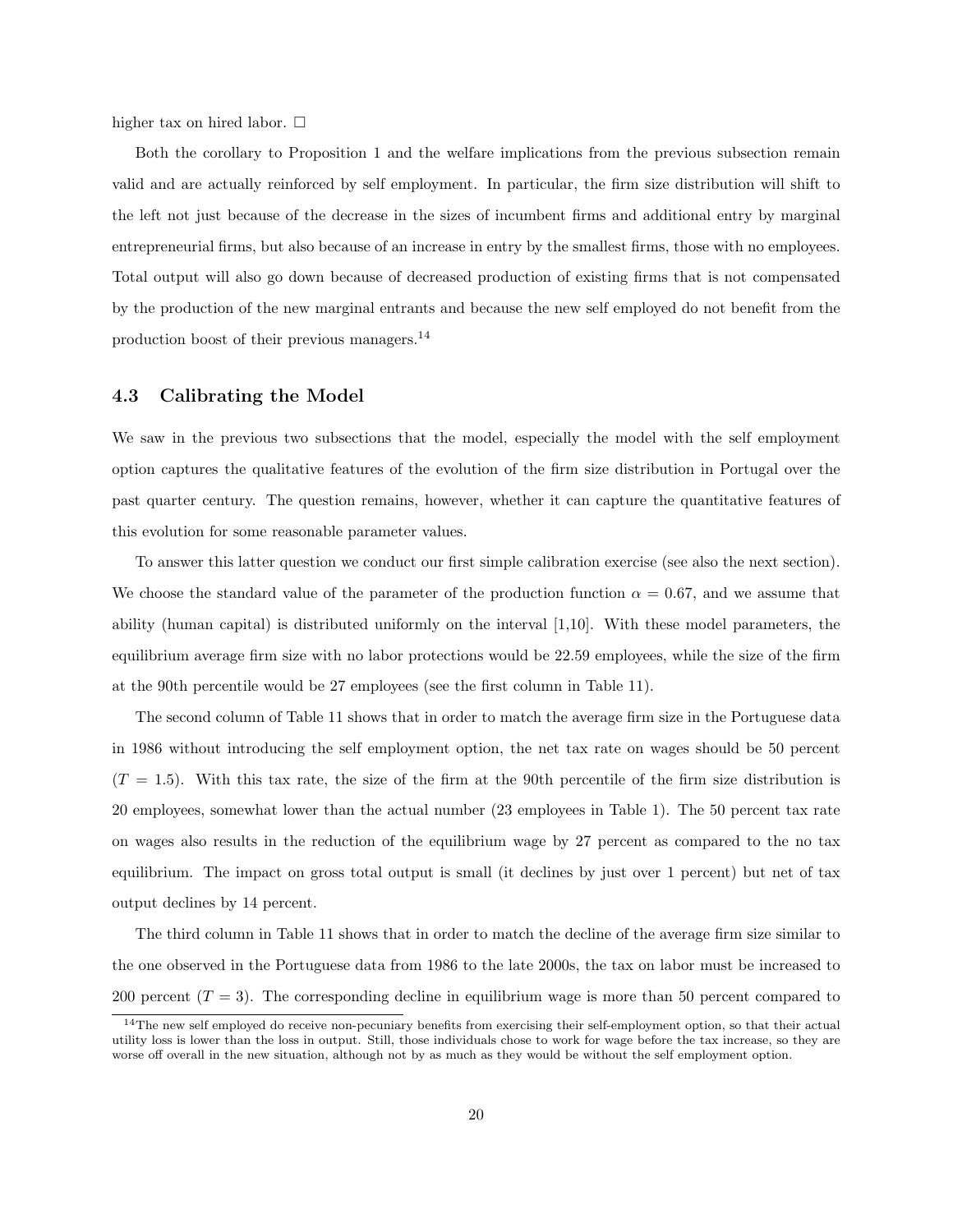higher tax on hired labor.  $\square$ 

Both the corollary to Proposition 1 and the welfare implications from the previous subsection remain valid and are actually reinforced by self employment. In particular, the firm size distribution will shift to the left not just because of the decrease in the sizes of incumbent firms and additional entry by marginal entrepreneurial firms, but also because of an increase in entry by the smallest firms, those with no employees. Total output will also go down because of decreased production of existing firms that is not compensated by the production of the new marginal entrants and because the new self employed do not benefit from the production boost of their previous managers.<sup>14</sup>

#### 4.3 Calibrating the Model

We saw in the previous two subsections that the model, especially the model with the self employment option captures the qualitative features of the evolution of the firm size distribution in Portugal over the past quarter century. The question remains, however, whether it can capture the quantitative features of this evolution for some reasonable parameter values.

To answer this latter question we conduct our first simple calibration exercise (see also the next section). We choose the standard value of the parameter of the production function  $\alpha = 0.67$ , and we assume that ability (human capital) is distributed uniformly on the interval [1,10]. With these model parameters, the equilibrium average firm size with no labor protections would be 22.59 employees, while the size of the firm at the 90th percentile would be 27 employees (see the first column in Table 11).

The second column of Table 11 shows that in order to match the average firm size in the Portuguese data in 1986 without introducing the self employment option, the net tax rate on wages should be 50 percent  $(T = 1.5)$ . With this tax rate, the size of the firm at the 90th percentile of the firm size distribution is 20 employees, somewhat lower than the actual number (23 employees in Table 1). The 50 percent tax rate on wages also results in the reduction of the equilibrium wage by 27 percent as compared to the no tax equilibrium. The impact on gross total output is small (it declines by just over 1 percent) but net of tax output declines by 14 percent.

The third column in Table 11 shows that in order to match the decline of the average firm size similar to the one observed in the Portuguese data from 1986 to the late 2000s, the tax on labor must be increased to 200 percent  $(T = 3)$ . The corresponding decline in equilibrium wage is more than 50 percent compared to

<sup>&</sup>lt;sup>14</sup>The new self employed do receive non-pecuniary benefits from exercising their self-employment option, so that their actual utility loss is lower than the loss in output. Still, those individuals chose to work for wage before the tax increase, so they are worse off overall in the new situation, although not by as much as they would be without the self employment option.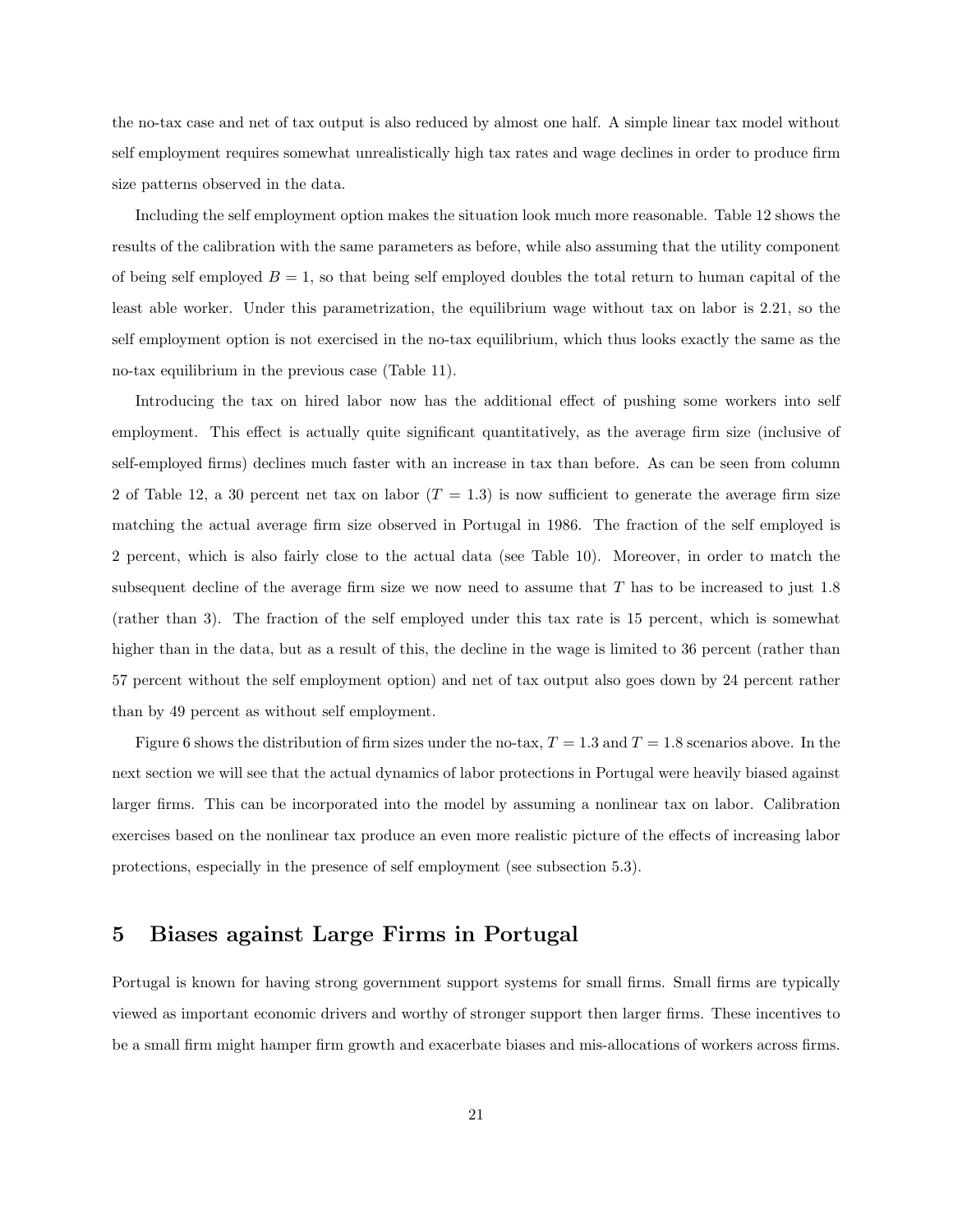the no-tax case and net of tax output is also reduced by almost one half. A simple linear tax model without self employment requires somewhat unrealistically high tax rates and wage declines in order to produce firm size patterns observed in the data.

Including the self employment option makes the situation look much more reasonable. Table 12 shows the results of the calibration with the same parameters as before, while also assuming that the utility component of being self employed  $B = 1$ , so that being self employed doubles the total return to human capital of the least able worker. Under this parametrization, the equilibrium wage without tax on labor is 2.21, so the self employment option is not exercised in the no-tax equilibrium, which thus looks exactly the same as the no-tax equilibrium in the previous case (Table 11).

Introducing the tax on hired labor now has the additional effect of pushing some workers into self employment. This effect is actually quite significant quantitatively, as the average firm size (inclusive of self-employed firms) declines much faster with an increase in tax than before. As can be seen from column 2 of Table 12, a 30 percent net tax on labor  $(T = 1.3)$  is now sufficient to generate the average firm size matching the actual average firm size observed in Portugal in 1986. The fraction of the self employed is 2 percent, which is also fairly close to the actual data (see Table 10). Moreover, in order to match the subsequent decline of the average firm size we now need to assume that  $T$  has to be increased to just 1.8 (rather than 3). The fraction of the self employed under this tax rate is 15 percent, which is somewhat higher than in the data, but as a result of this, the decline in the wage is limited to 36 percent (rather than 57 percent without the self employment option) and net of tax output also goes down by 24 percent rather than by 49 percent as without self employment.

Figure 6 shows the distribution of firm sizes under the no-tax,  $T = 1.3$  and  $T = 1.8$  scenarios above. In the next section we will see that the actual dynamics of labor protections in Portugal were heavily biased against larger firms. This can be incorporated into the model by assuming a nonlinear tax on labor. Calibration exercises based on the nonlinear tax produce an even more realistic picture of the effects of increasing labor protections, especially in the presence of self employment (see subsection 5.3).

## 5 Biases against Large Firms in Portugal

Portugal is known for having strong government support systems for small firms. Small firms are typically viewed as important economic drivers and worthy of stronger support then larger firms. These incentives to be a small firm might hamper firm growth and exacerbate biases and mis-allocations of workers across firms.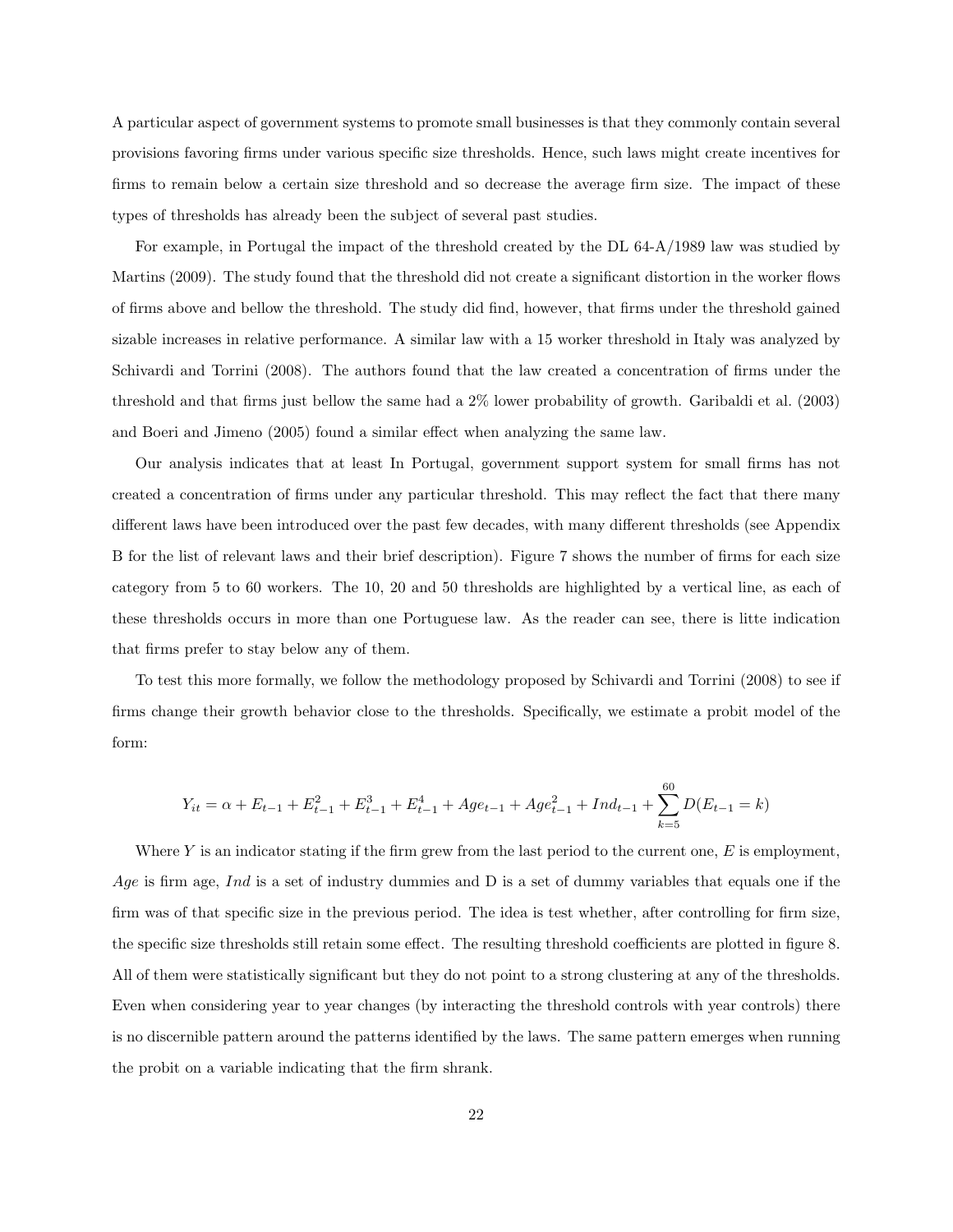A particular aspect of government systems to promote small businesses is that they commonly contain several provisions favoring firms under various specific size thresholds. Hence, such laws might create incentives for firms to remain below a certain size threshold and so decrease the average firm size. The impact of these types of thresholds has already been the subject of several past studies.

For example, in Portugal the impact of the threshold created by the DL 64-A/1989 law was studied by Martins (2009). The study found that the threshold did not create a significant distortion in the worker flows of firms above and bellow the threshold. The study did find, however, that firms under the threshold gained sizable increases in relative performance. A similar law with a 15 worker threshold in Italy was analyzed by Schivardi and Torrini (2008). The authors found that the law created a concentration of firms under the threshold and that firms just bellow the same had a 2% lower probability of growth. Garibaldi et al. (2003) and Boeri and Jimeno (2005) found a similar effect when analyzing the same law.

Our analysis indicates that at least In Portugal, government support system for small firms has not created a concentration of firms under any particular threshold. This may reflect the fact that there many different laws have been introduced over the past few decades, with many different thresholds (see Appendix B for the list of relevant laws and their brief description). Figure 7 shows the number of firms for each size category from 5 to 60 workers. The 10, 20 and 50 thresholds are highlighted by a vertical line, as each of these thresholds occurs in more than one Portuguese law. As the reader can see, there is litte indication that firms prefer to stay below any of them.

To test this more formally, we follow the methodology proposed by Schivardi and Torrini (2008) to see if firms change their growth behavior close to the thresholds. Specifically, we estimate a probit model of the form:

$$
Y_{it} = \alpha + E_{t-1} + E_{t-1}^2 + E_{t-1}^3 + E_{t-1}^4 + Age_{t-1} + Age_{t-1}^2 + Ind_{t-1} + \sum_{k=5}^{60} D(E_{t-1} = k)
$$

Where  $Y$  is an indicator stating if the firm grew from the last period to the current one,  $E$  is employment, Age is firm age, Ind is a set of industry dummies and  $D$  is a set of dummy variables that equals one if the firm was of that specific size in the previous period. The idea is test whether, after controlling for firm size, the specific size thresholds still retain some effect. The resulting threshold coefficients are plotted in figure 8. All of them were statistically significant but they do not point to a strong clustering at any of the thresholds. Even when considering year to year changes (by interacting the threshold controls with year controls) there is no discernible pattern around the patterns identified by the laws. The same pattern emerges when running the probit on a variable indicating that the firm shrank.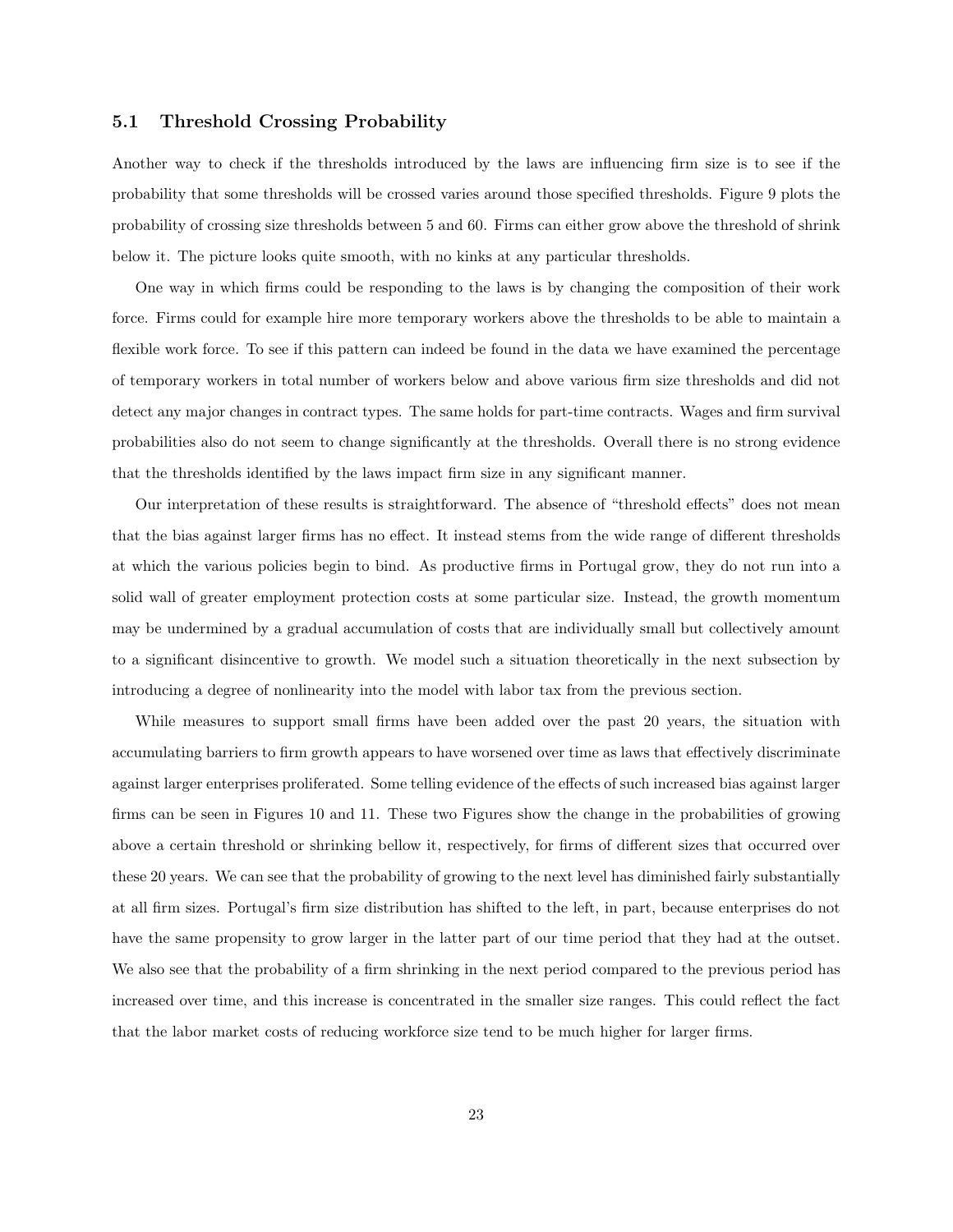#### 5.1 Threshold Crossing Probability

Another way to check if the thresholds introduced by the laws are influencing firm size is to see if the probability that some thresholds will be crossed varies around those specified thresholds. Figure 9 plots the probability of crossing size thresholds between 5 and 60. Firms can either grow above the threshold of shrink below it. The picture looks quite smooth, with no kinks at any particular thresholds.

One way in which firms could be responding to the laws is by changing the composition of their work force. Firms could for example hire more temporary workers above the thresholds to be able to maintain a flexible work force. To see if this pattern can indeed be found in the data we have examined the percentage of temporary workers in total number of workers below and above various firm size thresholds and did not detect any major changes in contract types. The same holds for part-time contracts. Wages and firm survival probabilities also do not seem to change significantly at the thresholds. Overall there is no strong evidence that the thresholds identified by the laws impact firm size in any significant manner.

Our interpretation of these results is straightforward. The absence of "threshold effects" does not mean that the bias against larger firms has no effect. It instead stems from the wide range of different thresholds at which the various policies begin to bind. As productive firms in Portugal grow, they do not run into a solid wall of greater employment protection costs at some particular size. Instead, the growth momentum may be undermined by a gradual accumulation of costs that are individually small but collectively amount to a significant disincentive to growth. We model such a situation theoretically in the next subsection by introducing a degree of nonlinearity into the model with labor tax from the previous section.

While measures to support small firms have been added over the past 20 years, the situation with accumulating barriers to firm growth appears to have worsened over time as laws that effectively discriminate against larger enterprises proliferated. Some telling evidence of the effects of such increased bias against larger firms can be seen in Figures 10 and 11. These two Figures show the change in the probabilities of growing above a certain threshold or shrinking bellow it, respectively, for firms of different sizes that occurred over these 20 years. We can see that the probability of growing to the next level has diminished fairly substantially at all firm sizes. Portugal's firm size distribution has shifted to the left, in part, because enterprises do not have the same propensity to grow larger in the latter part of our time period that they had at the outset. We also see that the probability of a firm shrinking in the next period compared to the previous period has increased over time, and this increase is concentrated in the smaller size ranges. This could reflect the fact that the labor market costs of reducing workforce size tend to be much higher for larger firms.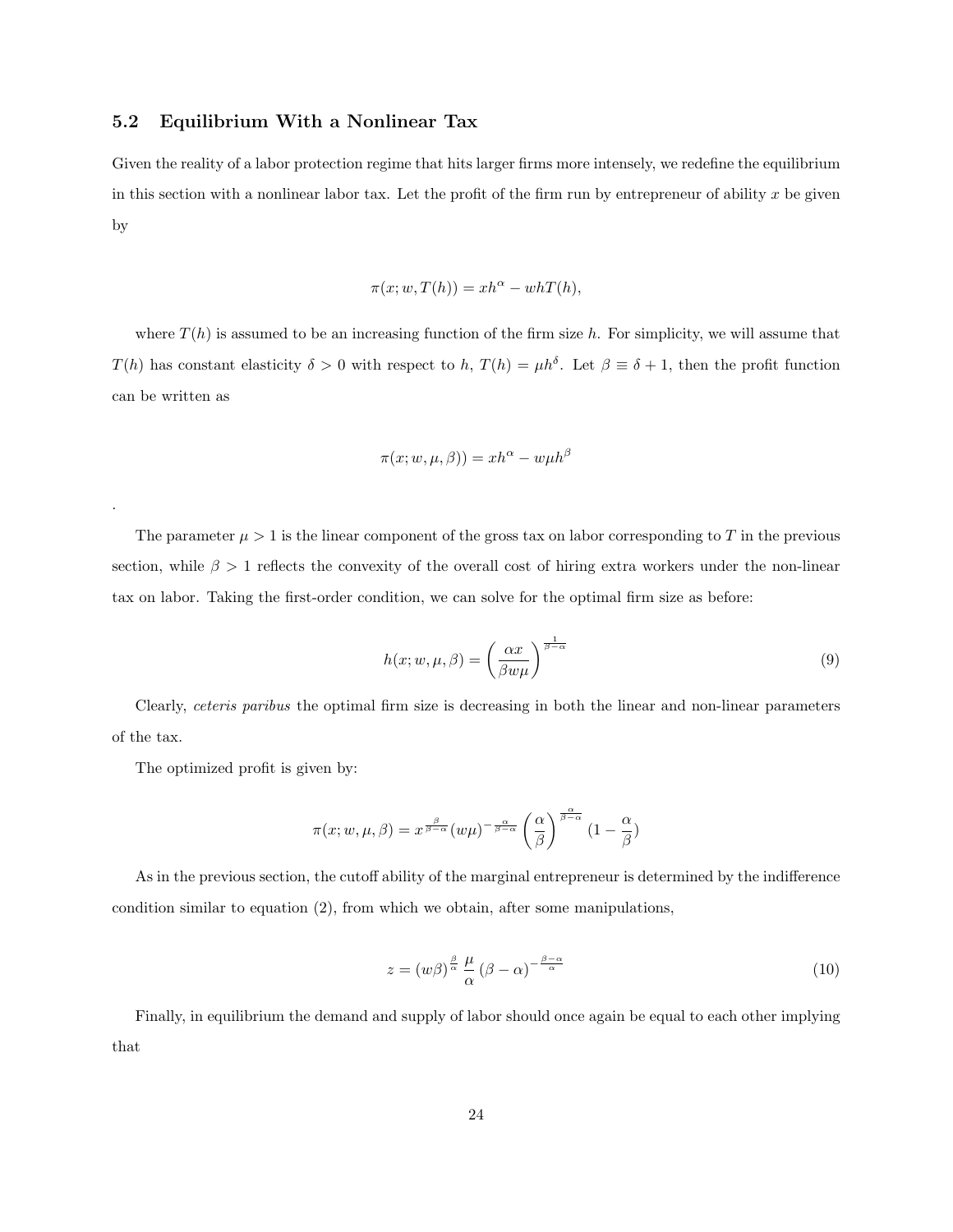#### 5.2 Equilibrium With a Nonlinear Tax

Given the reality of a labor protection regime that hits larger firms more intensely, we redefine the equilibrium in this section with a nonlinear labor tax. Let the profit of the firm run by entrepreneur of ability  $x$  be given by

$$
\pi(x; w, T(h)) = xh^{\alpha} - whT(h),
$$

where  $T(h)$  is assumed to be an increasing function of the firm size h. For simplicity, we will assume that  $T(h)$  has constant elasticity  $\delta > 0$  with respect to h,  $T(h) = \mu h^{\delta}$ . Let  $\beta \equiv \delta + 1$ , then the profit function can be written as

$$
\pi(x; w, \mu, \beta) = x h^{\alpha} - w \mu h^{\beta}
$$

The parameter  $\mu > 1$  is the linear component of the gross tax on labor corresponding to T in the previous section, while  $\beta > 1$  reflects the convexity of the overall cost of hiring extra workers under the non-linear tax on labor. Taking the first-order condition, we can solve for the optimal firm size as before:

$$
h(x; w, \mu, \beta) = \left(\frac{\alpha x}{\beta w \mu}\right)^{\frac{1}{\beta - \alpha}}\tag{9}
$$

Clearly, ceteris paribus the optimal firm size is decreasing in both the linear and non-linear parameters of the tax.

The optimized profit is given by:

.

$$
\pi(x; w, \mu, \beta) = x^{\frac{\beta}{\beta - \alpha}} (w\mu)^{-\frac{\alpha}{\beta - \alpha}} \left(\frac{\alpha}{\beta}\right)^{\frac{\alpha}{\beta - \alpha}} (1 - \frac{\alpha}{\beta})
$$

As in the previous section, the cutoff ability of the marginal entrepreneur is determined by the indifference condition similar to equation (2), from which we obtain, after some manipulations,

$$
z = (w\beta)^{\frac{\beta}{\alpha}} \frac{\mu}{\alpha} (\beta - \alpha)^{-\frac{\beta - \alpha}{\alpha}}
$$
\n(10)

Finally, in equilibrium the demand and supply of labor should once again be equal to each other implying that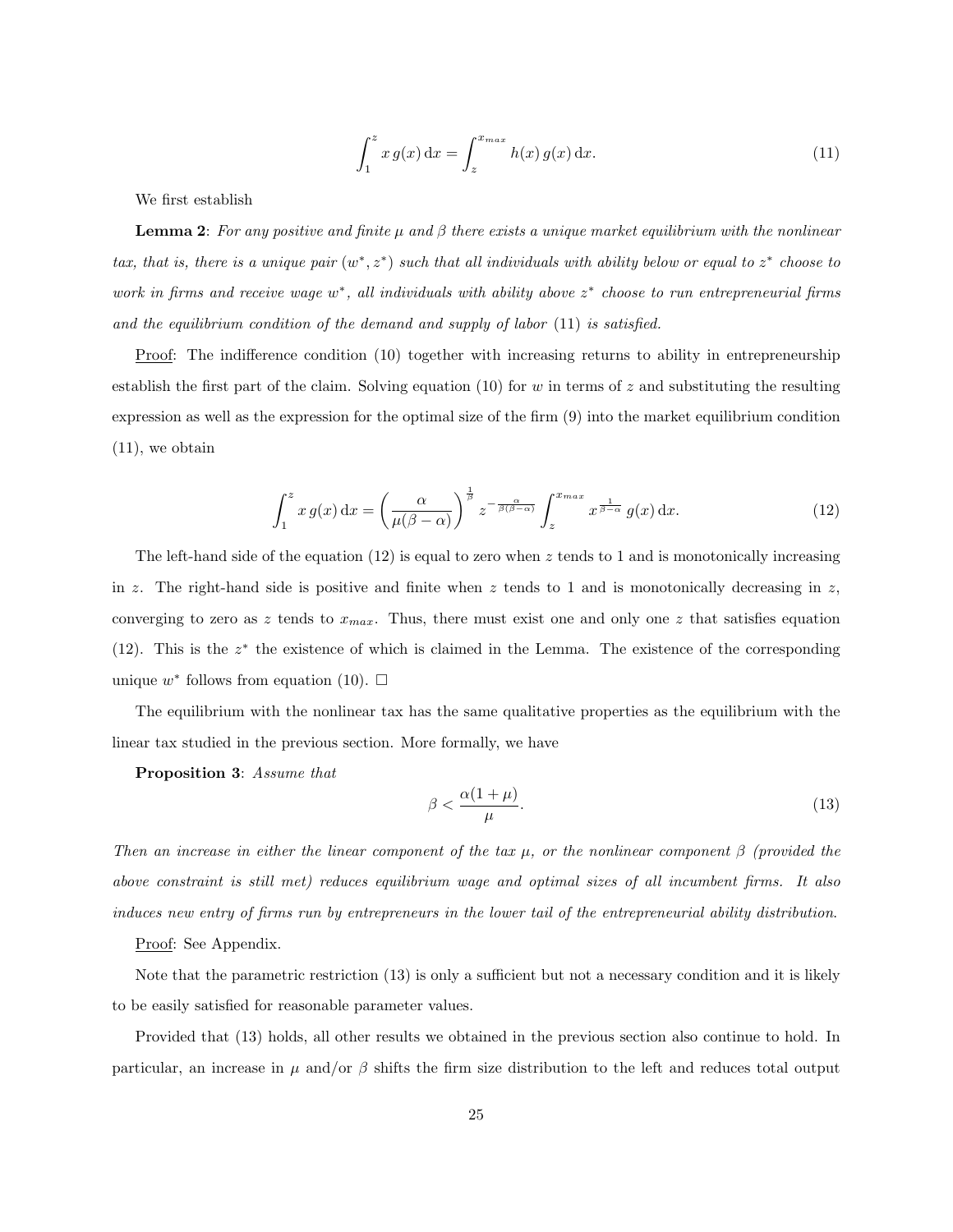$$
\int_{1}^{z} x g(x) dx = \int_{z}^{x_{max}} h(x) g(x) dx.
$$
 (11)

We first establish

**Lemma 2:** For any positive and finite  $\mu$  and  $\beta$  there exists a unique market equilibrium with the nonlinear tax, that is, there is a unique pair  $(w^*, z^*)$  such that all individuals with ability below or equal to  $z^*$  choose to work in firms and receive wage  $w^*$ , all individuals with ability above  $z^*$  choose to run entrepreneurial firms and the equilibrium condition of the demand and supply of labor (11) is satisfied.

Proof: The indifference condition (10) together with increasing returns to ability in entrepreneurship establish the first part of the claim. Solving equation (10) for w in terms of z and substituting the resulting expression as well as the expression for the optimal size of the firm (9) into the market equilibrium condition (11), we obtain

$$
\int_{1}^{z} x g(x) dx = \left(\frac{\alpha}{\mu(\beta - \alpha)}\right)^{\frac{1}{\beta}} z^{-\frac{\alpha}{\beta(\beta - \alpha)}} \int_{z}^{x_{max}} x^{\frac{1}{\beta - \alpha}} g(x) dx.
$$
 (12)

The left-hand side of the equation  $(12)$  is equal to zero when z tends to 1 and is monotonically increasing in z. The right-hand side is positive and finite when z tends to 1 and is monotonically decreasing in z, converging to zero as z tends to  $x_{max}$ . Thus, there must exist one and only one z that satisfies equation (12). This is the  $z^*$  the existence of which is claimed in the Lemma. The existence of the corresponding unique  $w^*$  follows from equation (10).  $\square$ 

The equilibrium with the nonlinear tax has the same qualitative properties as the equilibrium with the linear tax studied in the previous section. More formally, we have

Proposition 3: Assume that

$$
\beta < \frac{\alpha(1+\mu)}{\mu}.\tag{13}
$$

Then an increase in either the linear component of the tax  $\mu$ , or the nonlinear component  $\beta$  (provided the above constraint is still met) reduces equilibrium wage and optimal sizes of all incumbent firms. It also induces new entry of firms run by entrepreneurs in the lower tail of the entrepreneurial ability distribution.

Proof: See Appendix.

Note that the parametric restriction (13) is only a sufficient but not a necessary condition and it is likely to be easily satisfied for reasonable parameter values.

Provided that (13) holds, all other results we obtained in the previous section also continue to hold. In particular, an increase in  $\mu$  and/or  $\beta$  shifts the firm size distribution to the left and reduces total output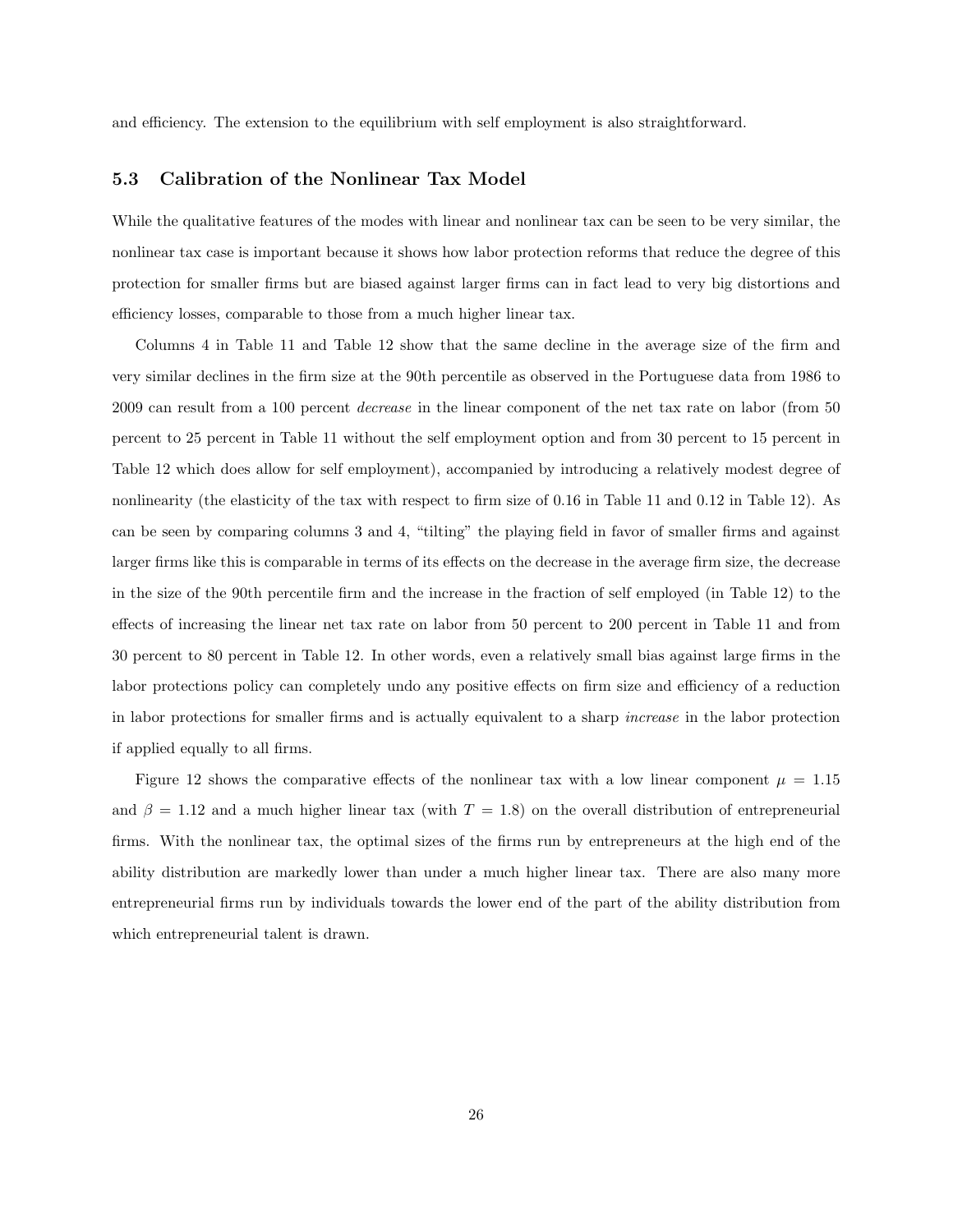and efficiency. The extension to the equilibrium with self employment is also straightforward.

#### 5.3 Calibration of the Nonlinear Tax Model

While the qualitative features of the modes with linear and nonlinear tax can be seen to be very similar, the nonlinear tax case is important because it shows how labor protection reforms that reduce the degree of this protection for smaller firms but are biased against larger firms can in fact lead to very big distortions and efficiency losses, comparable to those from a much higher linear tax.

Columns 4 in Table 11 and Table 12 show that the same decline in the average size of the firm and very similar declines in the firm size at the 90th percentile as observed in the Portuguese data from 1986 to 2009 can result from a 100 percent decrease in the linear component of the net tax rate on labor (from 50 percent to 25 percent in Table 11 without the self employment option and from 30 percent to 15 percent in Table 12 which does allow for self employment), accompanied by introducing a relatively modest degree of nonlinearity (the elasticity of the tax with respect to firm size of 0.16 in Table 11 and 0.12 in Table 12). As can be seen by comparing columns 3 and 4, "tilting" the playing field in favor of smaller firms and against larger firms like this is comparable in terms of its effects on the decrease in the average firm size, the decrease in the size of the 90th percentile firm and the increase in the fraction of self employed (in Table 12) to the effects of increasing the linear net tax rate on labor from 50 percent to 200 percent in Table 11 and from 30 percent to 80 percent in Table 12. In other words, even a relatively small bias against large firms in the labor protections policy can completely undo any positive effects on firm size and efficiency of a reduction in labor protections for smaller firms and is actually equivalent to a sharp increase in the labor protection if applied equally to all firms.

Figure 12 shows the comparative effects of the nonlinear tax with a low linear component  $\mu = 1.15$ and  $\beta = 1.12$  and a much higher linear tax (with  $T = 1.8$ ) on the overall distribution of entrepreneurial firms. With the nonlinear tax, the optimal sizes of the firms run by entrepreneurs at the high end of the ability distribution are markedly lower than under a much higher linear tax. There are also many more entrepreneurial firms run by individuals towards the lower end of the part of the ability distribution from which entrepreneurial talent is drawn.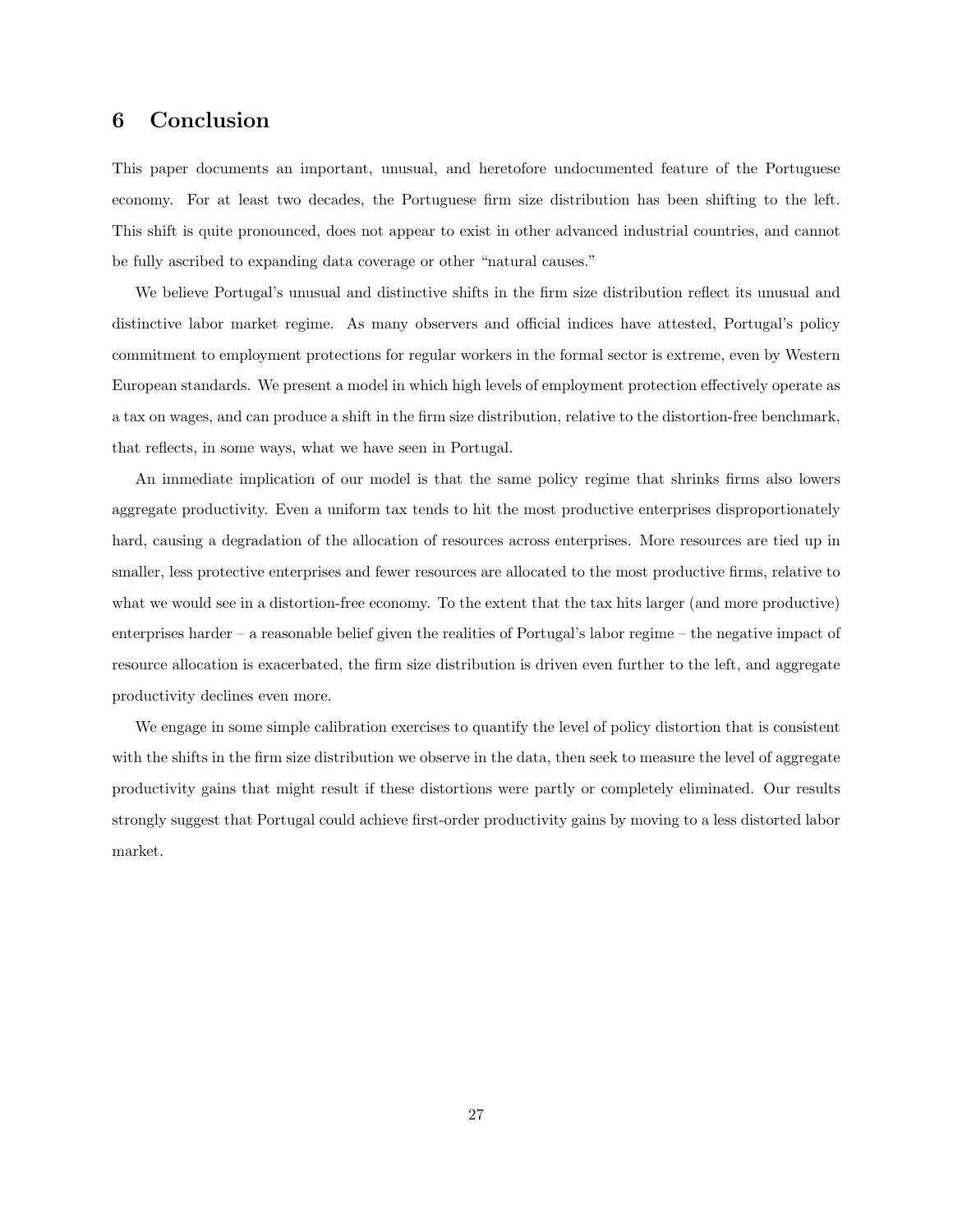## 6 Conclusion

This paper documents an important, unusual, and heretofore undocumented feature of the Portuguese economy. For at least two decades, the Portuguese firm size distribution has been shifting to the left. This shift is quite pronounced, does not appear to exist in other advanced industrial countries, and cannot be fully ascribed to expanding data coverage or other "natural causes."

We believe Portugal's unusual and distinctive shifts in the firm size distribution reflect its unusual and distinctive labor market regime. As many observers and official indices have attested, Portugal's policy commitment to employment protections for regular workers in the formal sector is extreme, even by Western European standards. We present a model in which high levels of employment protection effectively operate as a tax on wages, and can produce a shift in the firm size distribution, relative to the distortion-free benchmark, that reflects, in some ways, what we have seen in Portugal.

An immediate implication of our model is that the same policy regime that shrinks firms also lowers aggregate productivity. Even a uniform tax tends to hit the most productive enterprises disproportionately hard, causing a degradation of the allocation of resources across enterprises. More resources are tied up in smaller, less protective enterprises and fewer resources are allocated to the most productive firms, relative to what we would see in a distortion-free economy. To the extent that the tax hits larger (and more productive) enterprises harder – a reasonable belief given the realities of Portugal's labor regime – the negative impact of resource allocation is exacerbated, the firm size distribution is driven even further to the left, and aggregate productivity declines even more.

We engage in some simple calibration exercises to quantify the level of policy distortion that is consistent with the shifts in the firm size distribution we observe in the data, then seek to measure the level of aggregate productivity gains that might result if these distortions were partly or completely eliminated. Our results strongly suggest that Portugal could achieve first-order productivity gains by moving to a less distorted labor market.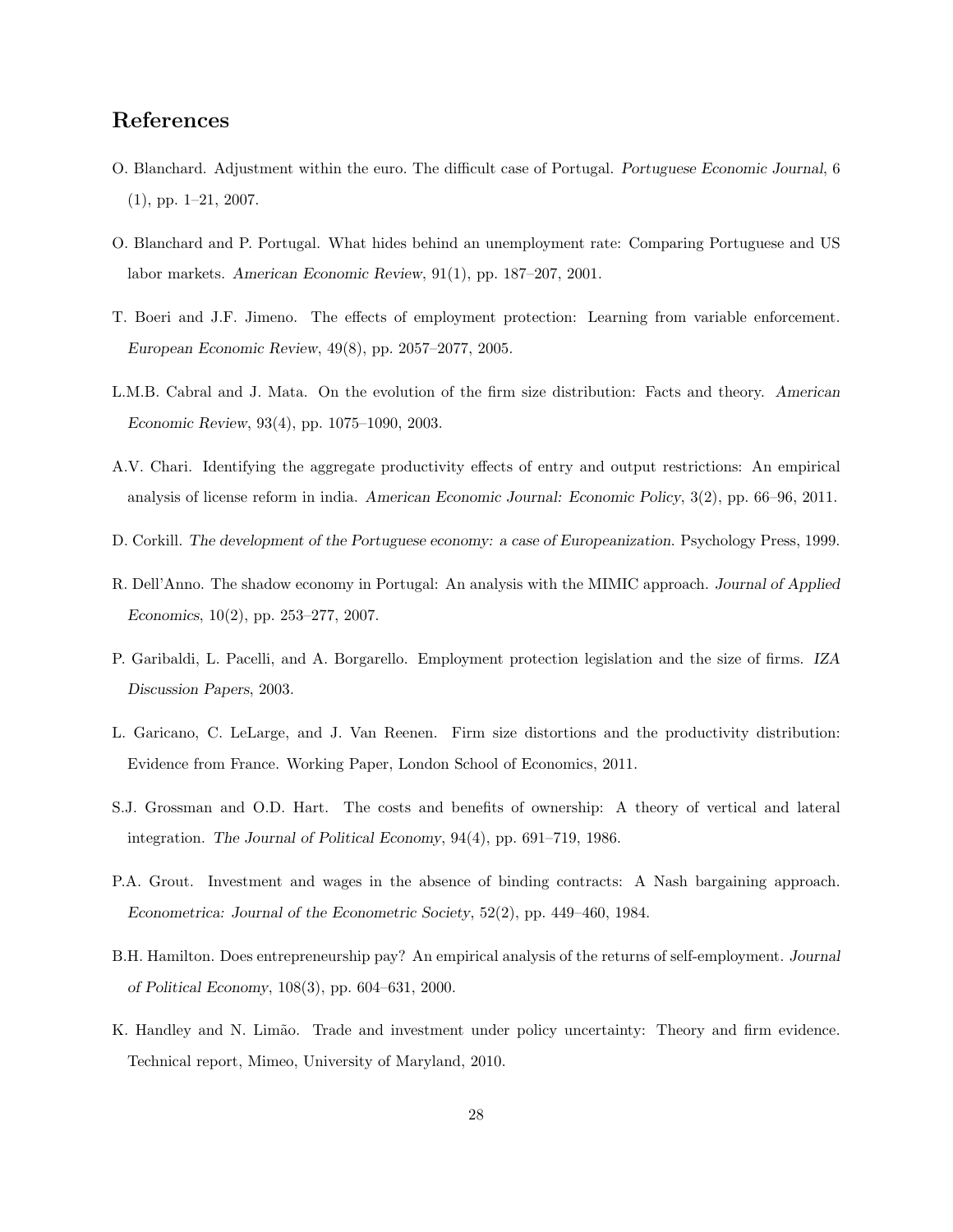## References

- O. Blanchard. Adjustment within the euro. The difficult case of Portugal. Portuguese Economic Journal, 6 (1), pp. 1–21, 2007.
- O. Blanchard and P. Portugal. What hides behind an unemployment rate: Comparing Portuguese and US labor markets. American Economic Review, 91(1), pp. 187–207, 2001.
- T. Boeri and J.F. Jimeno. The effects of employment protection: Learning from variable enforcement. European Economic Review, 49(8), pp. 2057–2077, 2005.
- L.M.B. Cabral and J. Mata. On the evolution of the firm size distribution: Facts and theory. American Economic Review, 93(4), pp. 1075–1090, 2003.
- A.V. Chari. Identifying the aggregate productivity effects of entry and output restrictions: An empirical analysis of license reform in india. American Economic Journal: Economic Policy, 3(2), pp. 66–96, 2011.
- D. Corkill. The development of the Portuguese economy: a case of Europeanization. Psychology Press, 1999.
- R. Dell'Anno. The shadow economy in Portugal: An analysis with the MIMIC approach. Journal of Applied Economics, 10(2), pp. 253–277, 2007.
- P. Garibaldi, L. Pacelli, and A. Borgarello. Employment protection legislation and the size of firms. IZA Discussion Papers, 2003.
- L. Garicano, C. LeLarge, and J. Van Reenen. Firm size distortions and the productivity distribution: Evidence from France. Working Paper, London School of Economics, 2011.
- S.J. Grossman and O.D. Hart. The costs and benefits of ownership: A theory of vertical and lateral integration. The Journal of Political Economy, 94(4), pp. 691–719, 1986.
- P.A. Grout. Investment and wages in the absence of binding contracts: A Nash bargaining approach. Econometrica: Journal of the Econometric Society, 52(2), pp. 449–460, 1984.
- B.H. Hamilton. Does entrepreneurship pay? An empirical analysis of the returns of self-employment. Journal of Political Economy, 108(3), pp. 604–631, 2000.
- K. Handley and N. Limão. Trade and investment under policy uncertainty: Theory and firm evidence. Technical report, Mimeo, University of Maryland, 2010.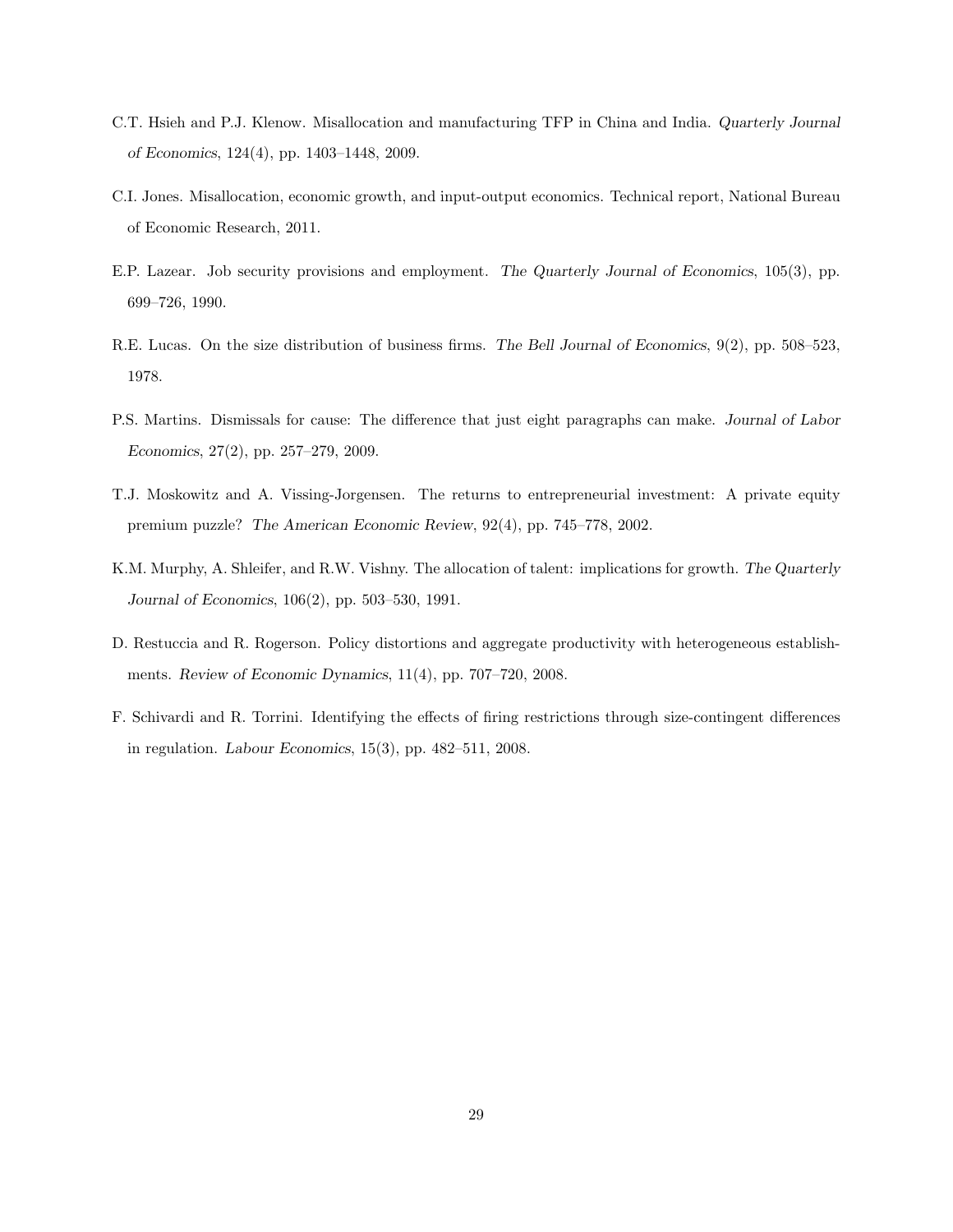- C.T. Hsieh and P.J. Klenow. Misallocation and manufacturing TFP in China and India. Quarterly Journal of Economics, 124(4), pp. 1403–1448, 2009.
- C.I. Jones. Misallocation, economic growth, and input-output economics. Technical report, National Bureau of Economic Research, 2011.
- E.P. Lazear. Job security provisions and employment. The Quarterly Journal of Economics, 105(3), pp. 699–726, 1990.
- R.E. Lucas. On the size distribution of business firms. The Bell Journal of Economics, 9(2), pp. 508–523, 1978.
- P.S. Martins. Dismissals for cause: The difference that just eight paragraphs can make. Journal of Labor Economics, 27(2), pp. 257–279, 2009.
- T.J. Moskowitz and A. Vissing-Jorgensen. The returns to entrepreneurial investment: A private equity premium puzzle? The American Economic Review, 92(4), pp. 745–778, 2002.
- K.M. Murphy, A. Shleifer, and R.W. Vishny. The allocation of talent: implications for growth. The Quarterly Journal of Economics, 106(2), pp. 503–530, 1991.
- D. Restuccia and R. Rogerson. Policy distortions and aggregate productivity with heterogeneous establishments. Review of Economic Dynamics, 11(4), pp. 707–720, 2008.
- F. Schivardi and R. Torrini. Identifying the effects of firing restrictions through size-contingent differences in regulation. Labour Economics, 15(3), pp. 482–511, 2008.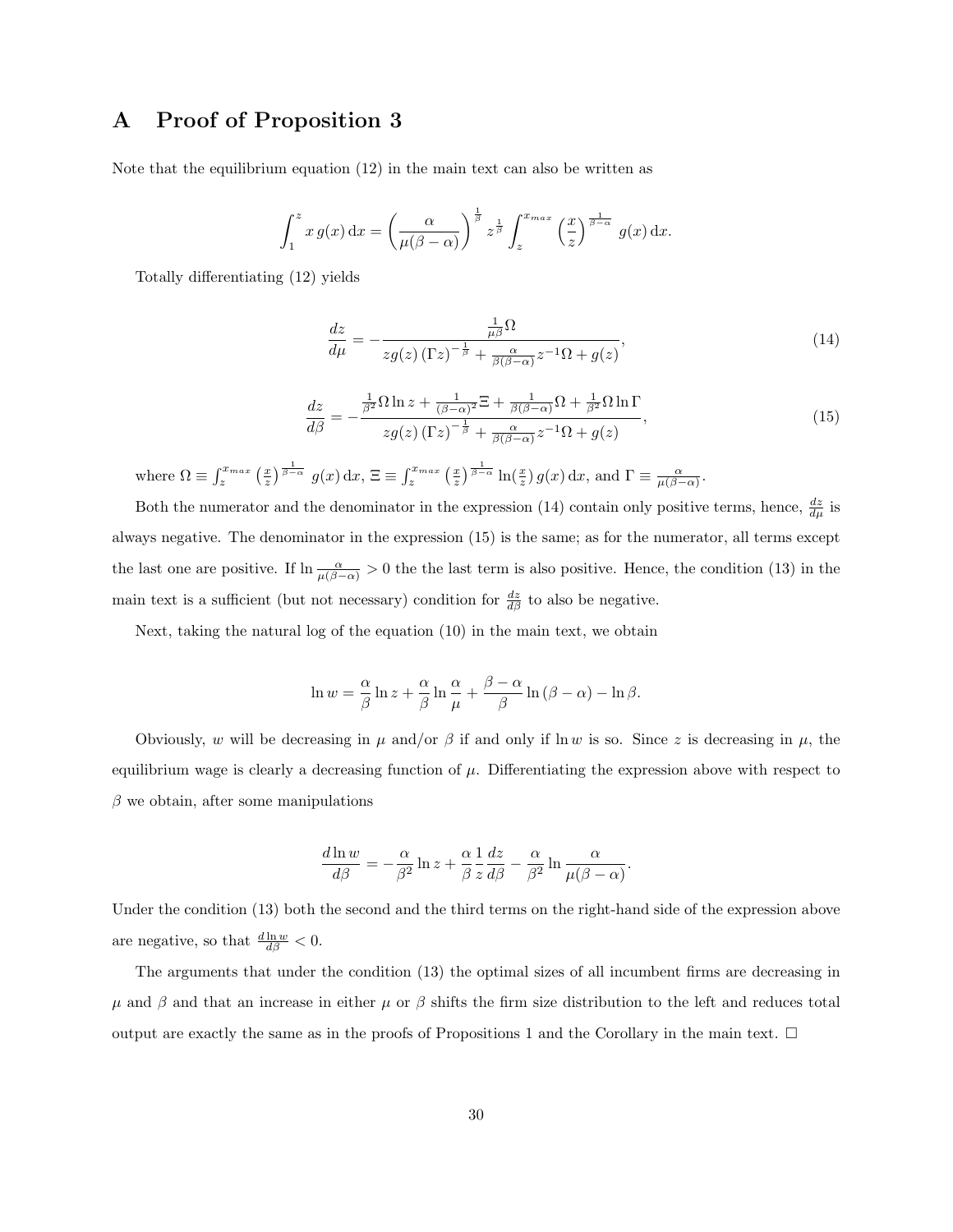## A Proof of Proposition 3

Note that the equilibrium equation (12) in the main text can also be written as

$$
\int_1^z x g(x) dx = \left(\frac{\alpha}{\mu(\beta-\alpha)}\right)^{\frac{1}{\beta}} z^{\frac{1}{\beta}} \int_z^{x_{max}} \left(\frac{x}{z}\right)^{\frac{1}{\beta-\alpha}} g(x) dx.
$$

Totally differentiating (12) yields

$$
\frac{dz}{d\mu} = -\frac{\frac{1}{\mu\beta}\Omega}{zg(z)\left(\Gamma z\right)^{-\frac{1}{\beta}} + \frac{\alpha}{\beta(\beta-\alpha)}z^{-1}\Omega + g(z)},\tag{14}
$$

$$
\frac{dz}{d\beta} = -\frac{\frac{1}{\beta^2} \Omega \ln z + \frac{1}{(\beta - \alpha)^2} \Xi + \frac{1}{\beta(\beta - \alpha)} \Omega + \frac{1}{\beta^2} \Omega \ln \Gamma}{zg(z) \left(\Gamma z\right)^{-\frac{1}{\beta}} + \frac{\alpha}{\beta(\beta - \alpha)} z^{-1} \Omega + g(z)}
$$
\n(15)

where  $\Omega \equiv \int_{z}^{x_{max}} \left(\frac{x}{z}\right)^{\frac{1}{\beta-\alpha}} g(x) dx$ ,  $\Xi \equiv \int_{z}^{x_{max}} \left(\frac{x}{z}\right)^{\frac{1}{\beta-\alpha}} \ln\left(\frac{x}{z}\right) g(x) dx$ , and  $\Gamma \equiv \frac{\alpha}{\mu(\beta-\alpha)}$ .

Both the numerator and the denominator in the expression (14) contain only positive terms, hence,  $\frac{dz}{d\mu}$  is always negative. The denominator in the expression (15) is the same; as for the numerator, all terms except the last one are positive. If  $\ln \frac{\alpha}{\mu(\beta-\alpha)} > 0$  the the last term is also positive. Hence, the condition (13) in the main text is a sufficient (but not necessary) condition for  $\frac{dz}{d\beta}$  to also be negative.

Next, taking the natural log of the equation (10) in the main text, we obtain

$$
\ln w = \frac{\alpha}{\beta} \ln z + \frac{\alpha}{\beta} \ln \frac{\alpha}{\mu} + \frac{\beta - \alpha}{\beta} \ln (\beta - \alpha) - \ln \beta.
$$

Obviously, w will be decreasing in  $\mu$  and/or  $\beta$  if and only if ln w is so. Since z is decreasing in  $\mu$ , the equilibrium wage is clearly a decreasing function of  $\mu$ . Differentiating the expression above with respect to  $\beta$  we obtain, after some manipulations

$$
\frac{d\ln w}{d\beta} = -\frac{\alpha}{\beta^2} \ln z + \frac{\alpha}{\beta} \frac{1}{z} \frac{dz}{d\beta} - \frac{\alpha}{\beta^2} \ln \frac{\alpha}{\mu(\beta - \alpha)}.
$$

Under the condition (13) both the second and the third terms on the right-hand side of the expression above are negative, so that  $\frac{d \ln w}{d \beta} < 0$ .

The arguments that under the condition (13) the optimal sizes of all incumbent firms are decreasing in  $\mu$  and  $\beta$  and that an increase in either  $\mu$  or  $\beta$  shifts the firm size distribution to the left and reduces total output are exactly the same as in the proofs of Propositions 1 and the Corollary in the main text.  $\Box$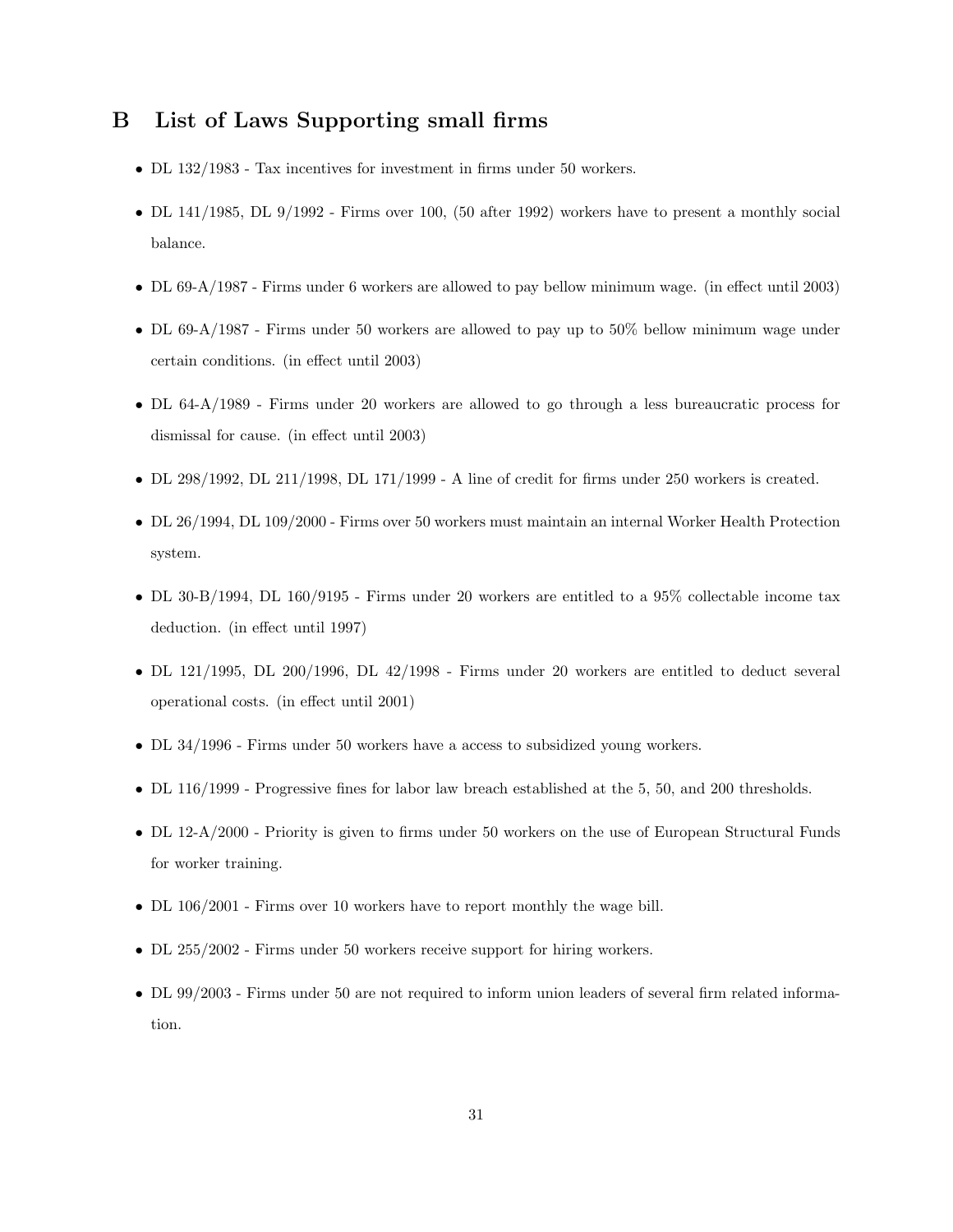## B List of Laws Supporting small firms

- DL 132/1983 Tax incentives for investment in firms under 50 workers.
- DL 141/1985, DL 9/1992 Firms over 100, (50 after 1992) workers have to present a monthly social balance.
- DL 69-A/1987 Firms under 6 workers are allowed to pay bellow minimum wage. (in effect until 2003)
- DL 69-A/1987 Firms under 50 workers are allowed to pay up to 50% bellow minimum wage under certain conditions. (in effect until 2003)
- DL 64-A/1989 Firms under 20 workers are allowed to go through a less bureaucratic process for dismissal for cause. (in effect until 2003)
- DL 298/1992, DL 211/1998, DL 171/1999 A line of credit for firms under 250 workers is created.
- DL 26/1994, DL 109/2000 Firms over 50 workers must maintain an internal Worker Health Protection system.
- DL 30-B/1994, DL 160/9195 Firms under 20 workers are entitled to a 95% collectable income tax deduction. (in effect until 1997)
- DL 121/1995, DL 200/1996, DL 42/1998 Firms under 20 workers are entitled to deduct several operational costs. (in effect until 2001)
- DL 34/1996 Firms under 50 workers have a access to subsidized young workers.
- DL 116/1999 Progressive fines for labor law breach established at the 5, 50, and 200 thresholds.
- DL 12-A/2000 Priority is given to firms under 50 workers on the use of European Structural Funds for worker training.
- DL 106/2001 Firms over 10 workers have to report monthly the wage bill.
- DL 255/2002 Firms under 50 workers receive support for hiring workers.
- DL 99/2003 Firms under 50 are not required to inform union leaders of several firm related information.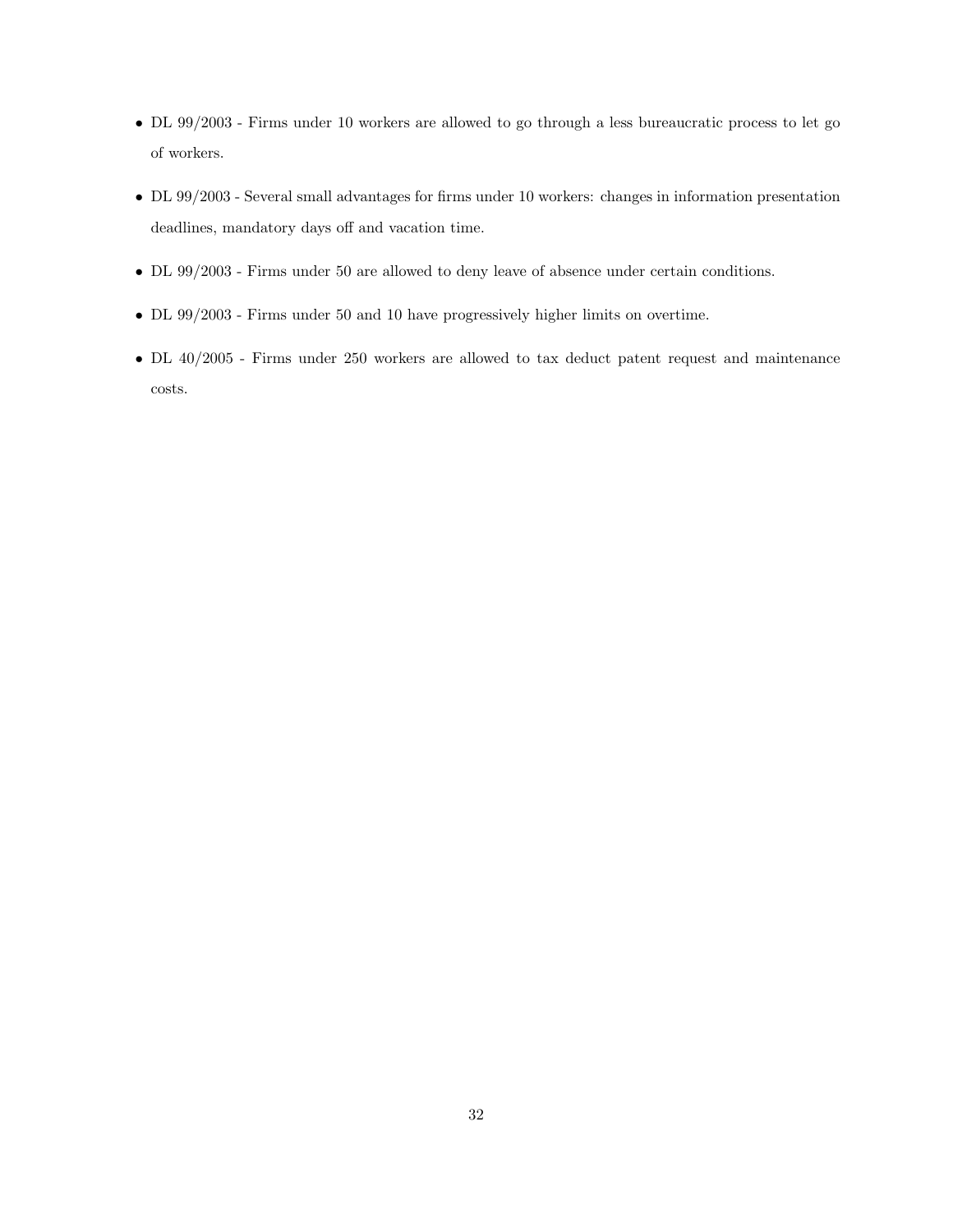- DL 99/2003 Firms under 10 workers are allowed to go through a less bureaucratic process to let go of workers.
- DL 99/2003 Several small advantages for firms under 10 workers: changes in information presentation deadlines, mandatory days off and vacation time.
- DL 99/2003 Firms under 50 are allowed to deny leave of absence under certain conditions.
- DL 99/2003 Firms under 50 and 10 have progressively higher limits on overtime.
- DL 40/2005 Firms under 250 workers are allowed to tax deduct patent request and maintenance costs.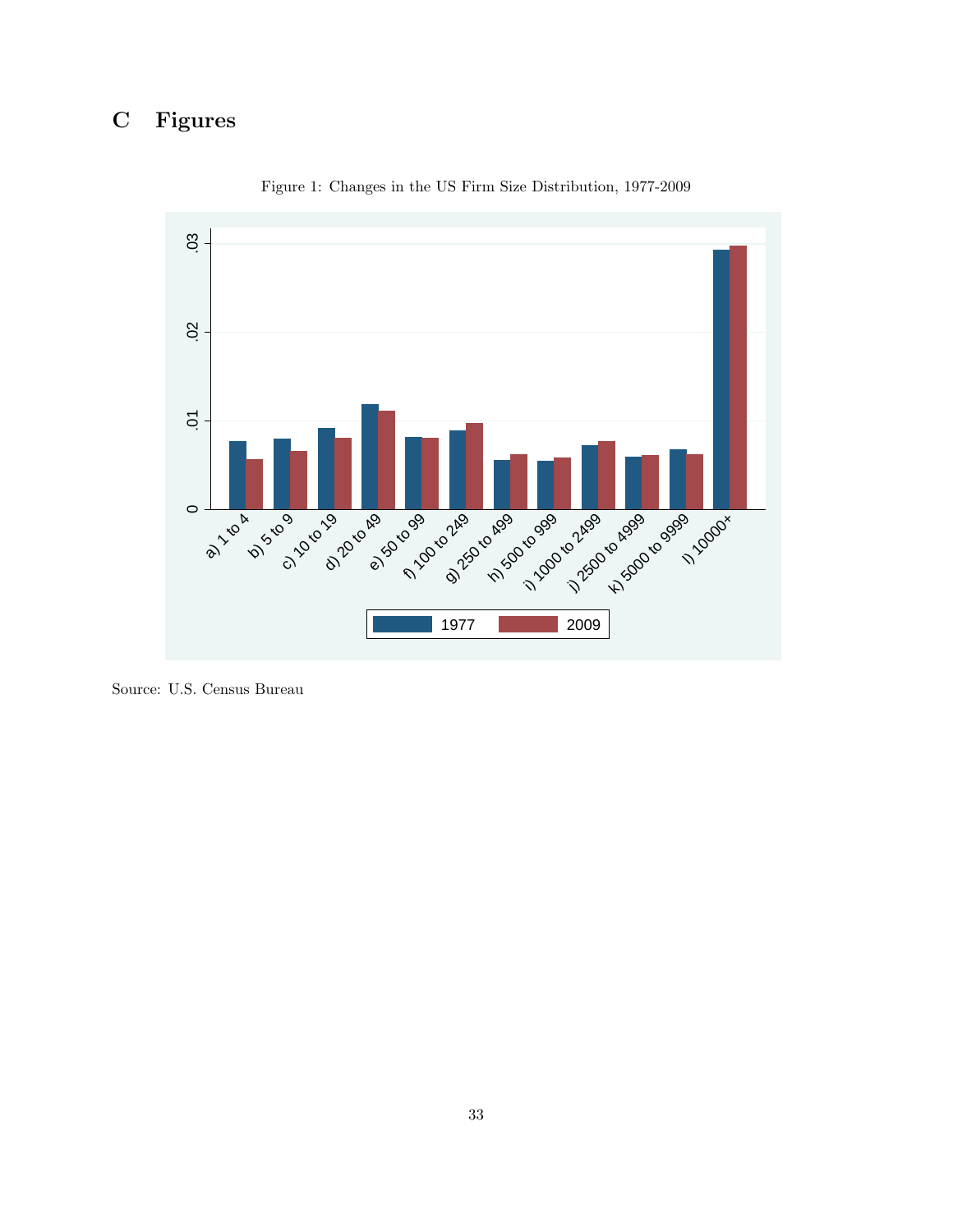## C Figures



Figure 1: Changes in the US Firm Size Distribution, 1977-2009

Source: U.S. Census Bureau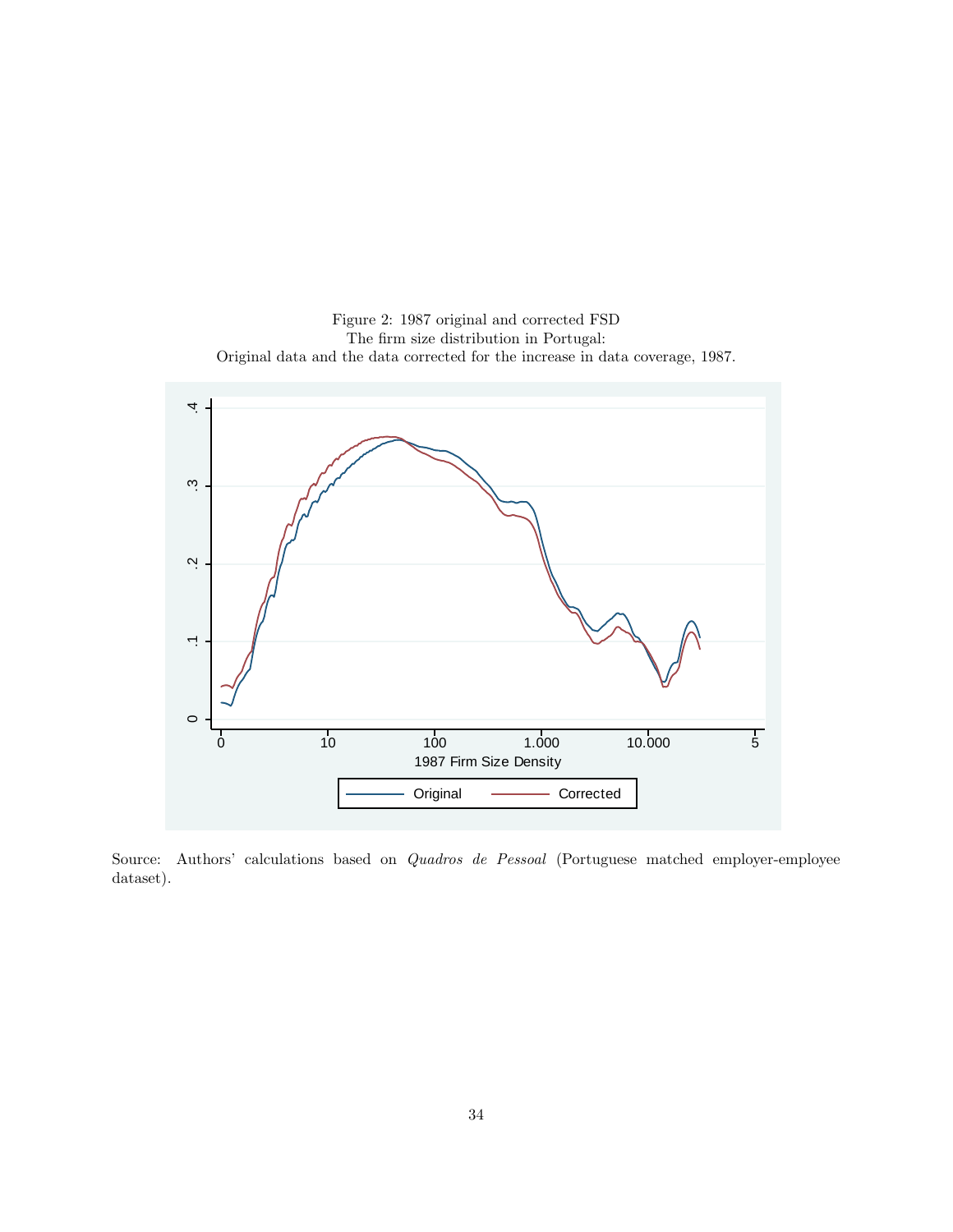

Figure 2: 1987 original and corrected FSD The firm size distribution in Portugal: Original data and the data corrected for the increase in data coverage, 1987.

Source: Authors' calculations based on Quadros de Pessoal (Portuguese matched employer-employee dataset).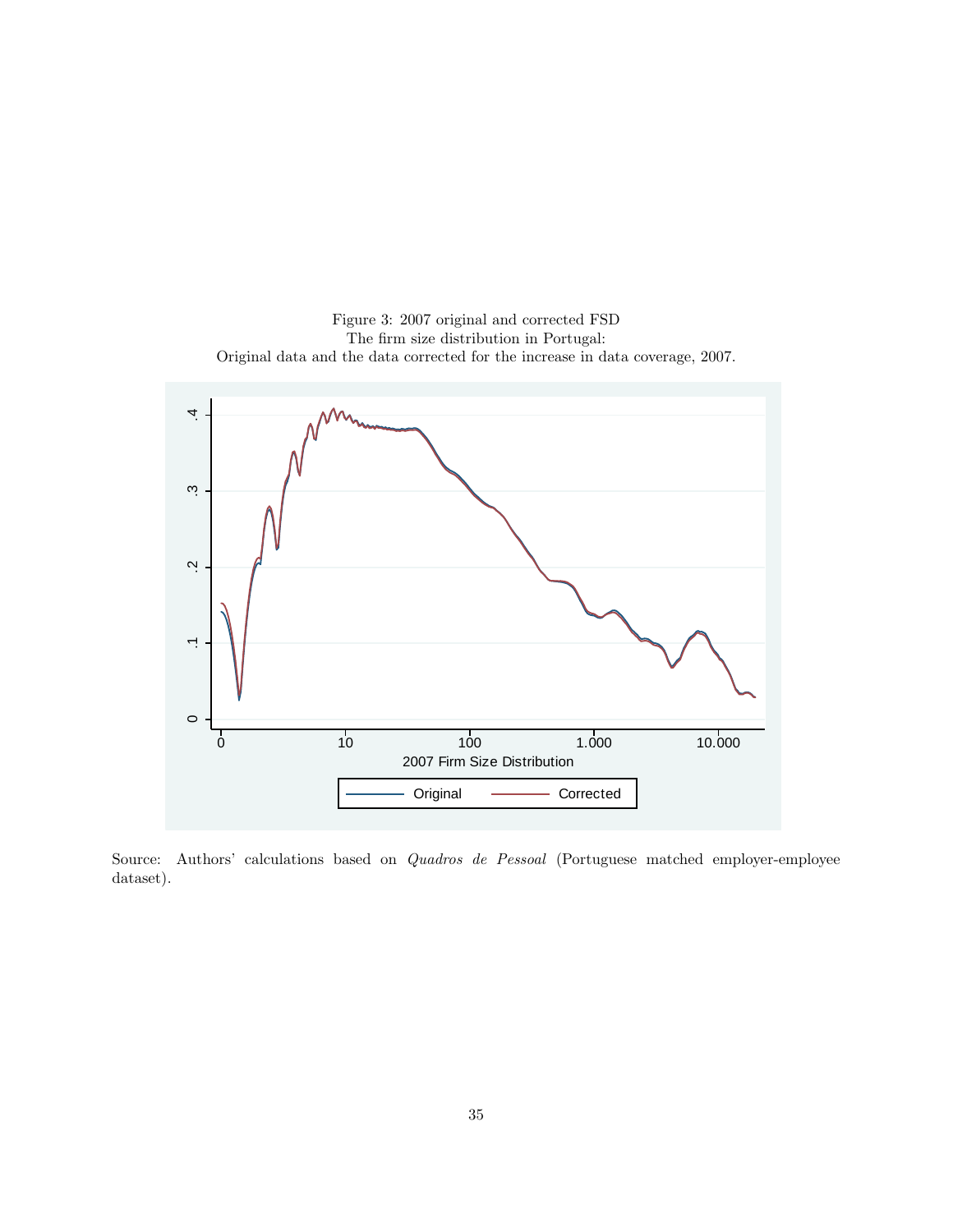

Figure 3: 2007 original and corrected FSD The firm size distribution in Portugal: Original data and the data corrected for the increase in data coverage, 2007.

Source: Authors' calculations based on Quadros de Pessoal (Portuguese matched employer-employee dataset).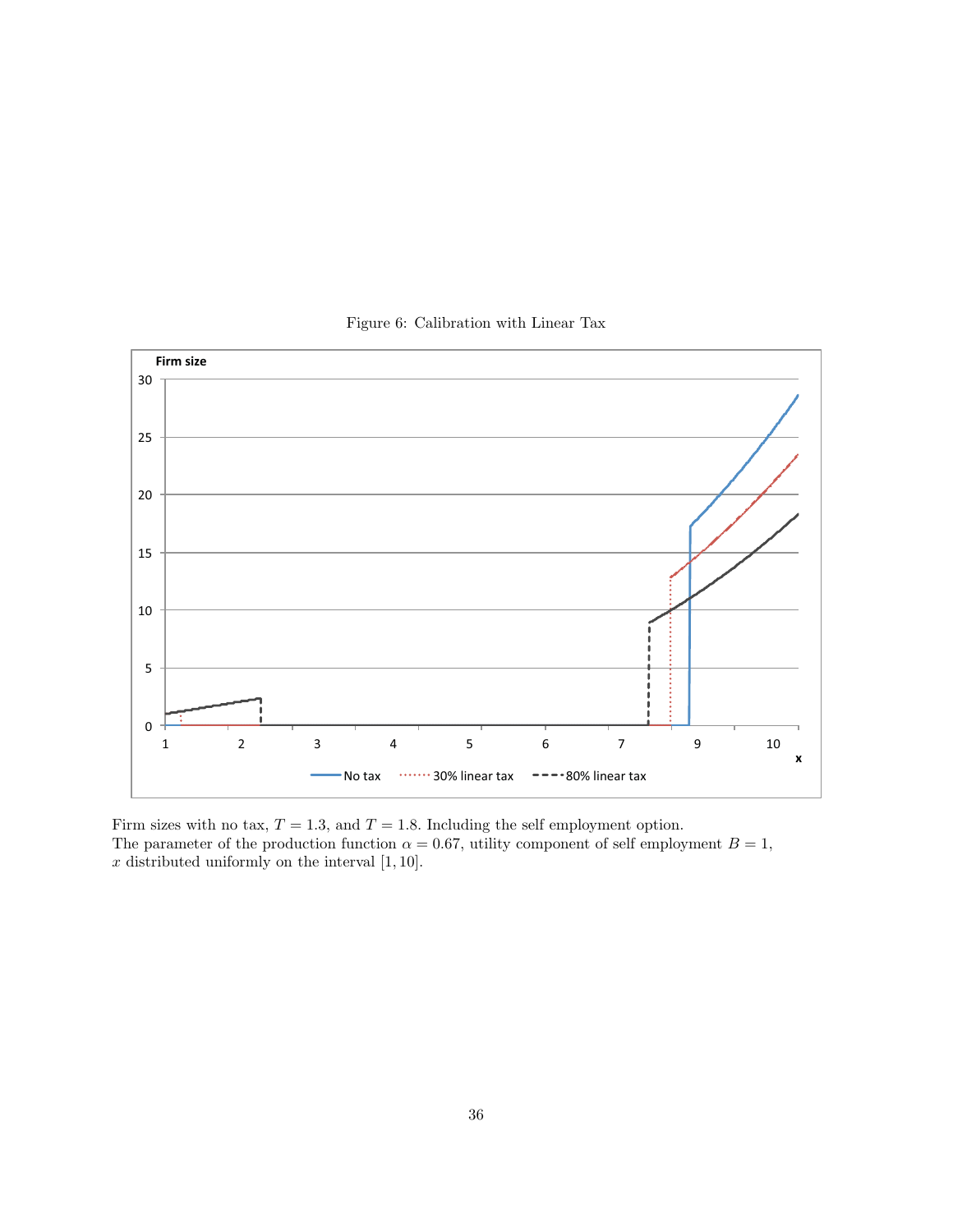

Figure 6: Calibration with Linear Tax

Firm sizes with no tax,  $T = 1.3$ , and  $T = 1.8$ . Including the self employment option. The parameter of the production function  $\alpha = 0.67$ , utility component of self employment  $B = 1$ ,  $\boldsymbol{x}$  distributed uniformly on the interval [1, 10].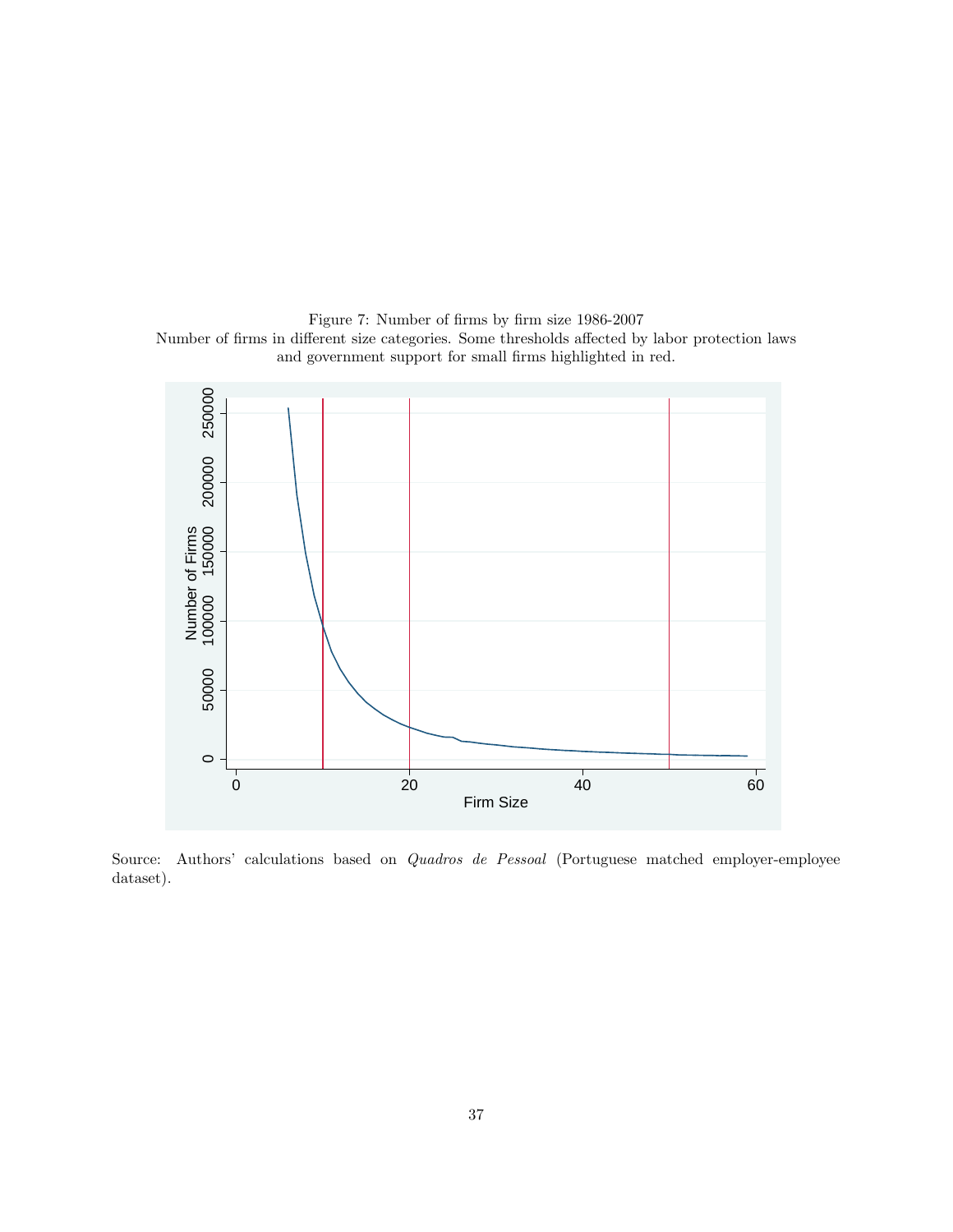Figure 7: Number of firms by firm size 1986-2007 Number of firms in different size categories. Some thresholds affected by labor protection laws and government support for small firms highlighted in red.



Source: Authors' calculations based on Quadros de Pessoal (Portuguese matched employer-employee dataset).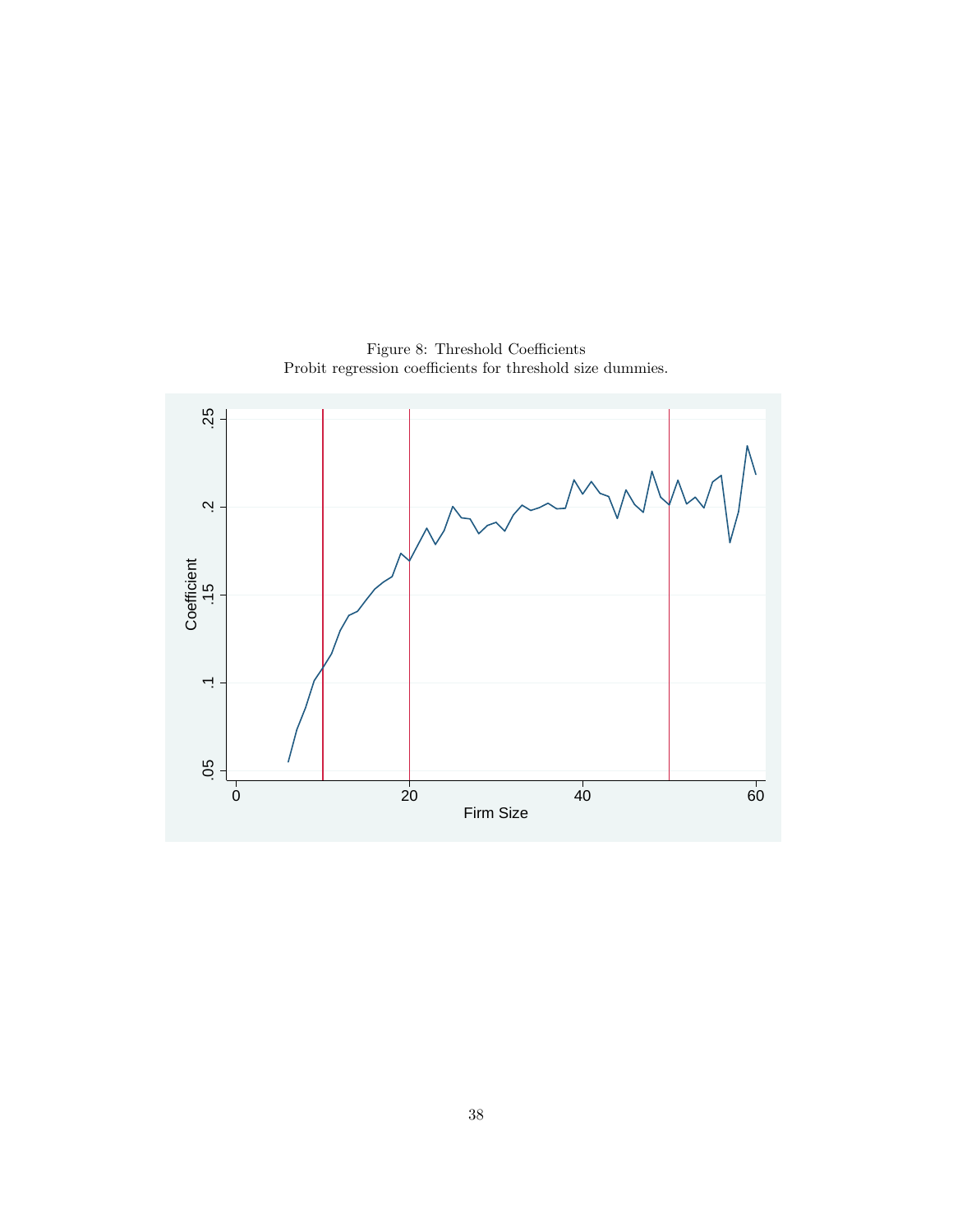

Figure 8: Threshold Coefficients Probit regression coefficients for threshold size dummies.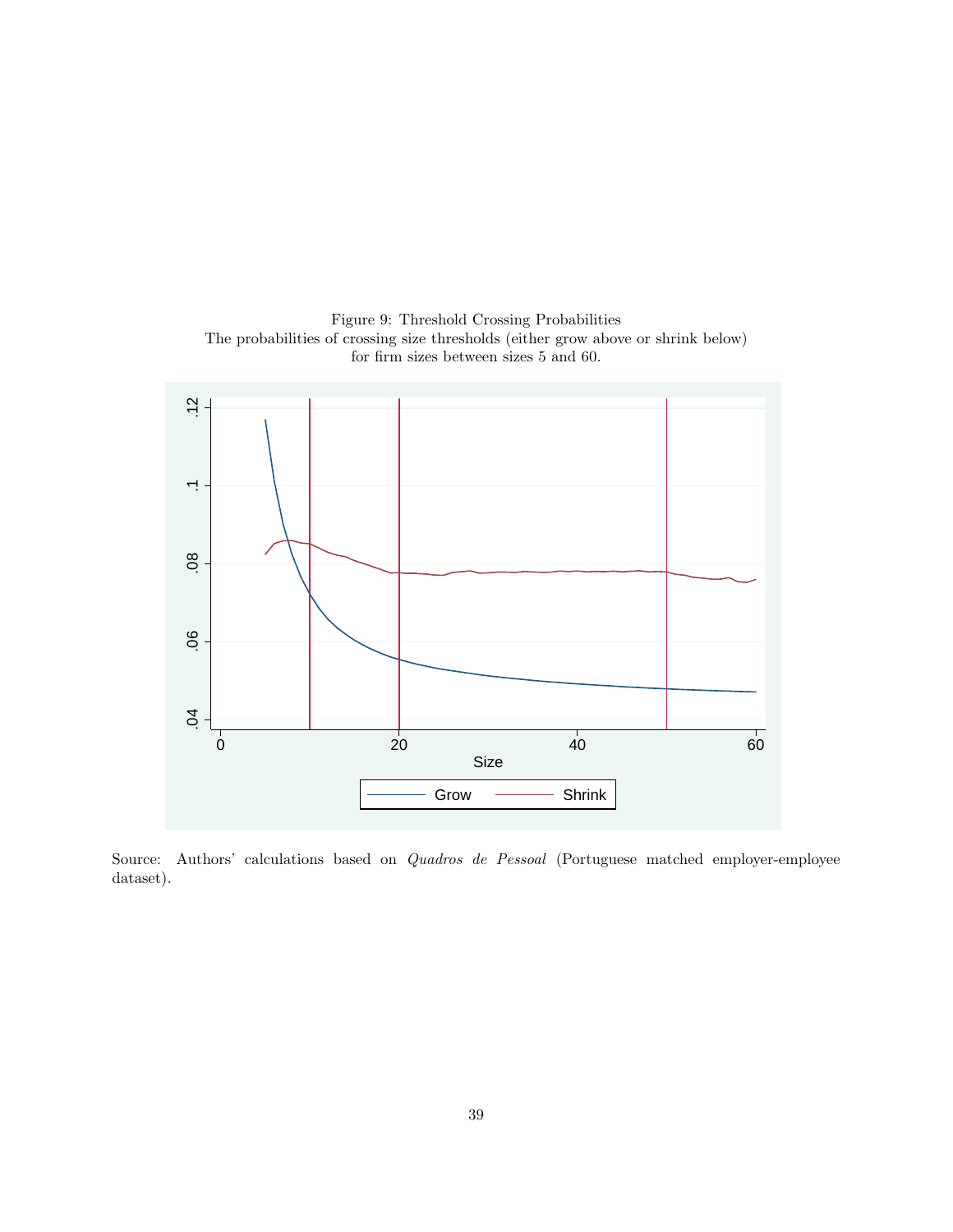Figure 9: Threshold Crossing Probabilities The probabilities of crossing size thresholds (either grow above or shrink below) for firm sizes between sizes 5 and 60.



Source: Authors' calculations based on Quadros de Pessoal (Portuguese matched employer-employee dataset).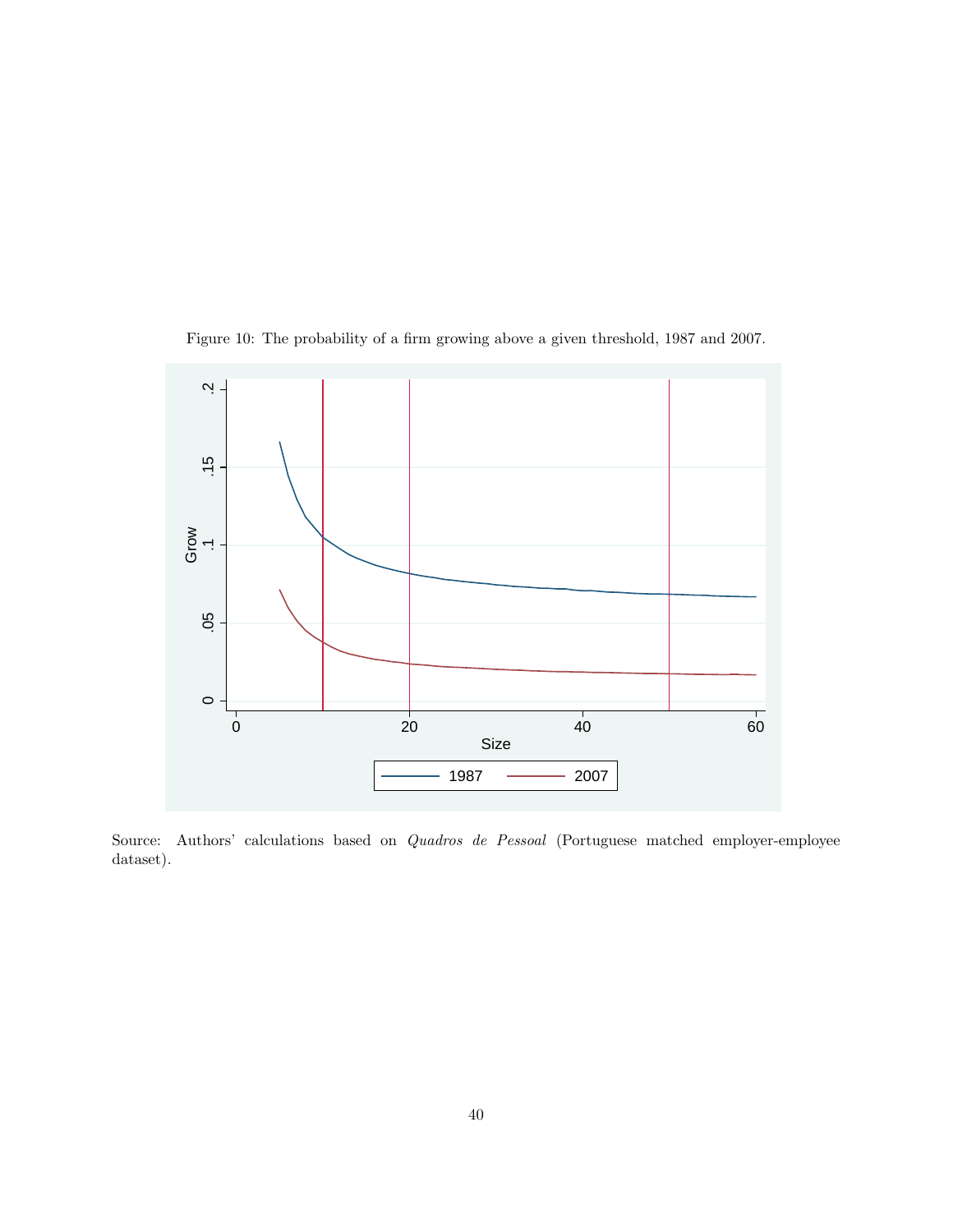

Figure 10: The probability of a firm growing above a given threshold, 1987 and 2007.

Source: Authors' calculations based on Quadros de Pessoal (Portuguese matched employer-employee dataset).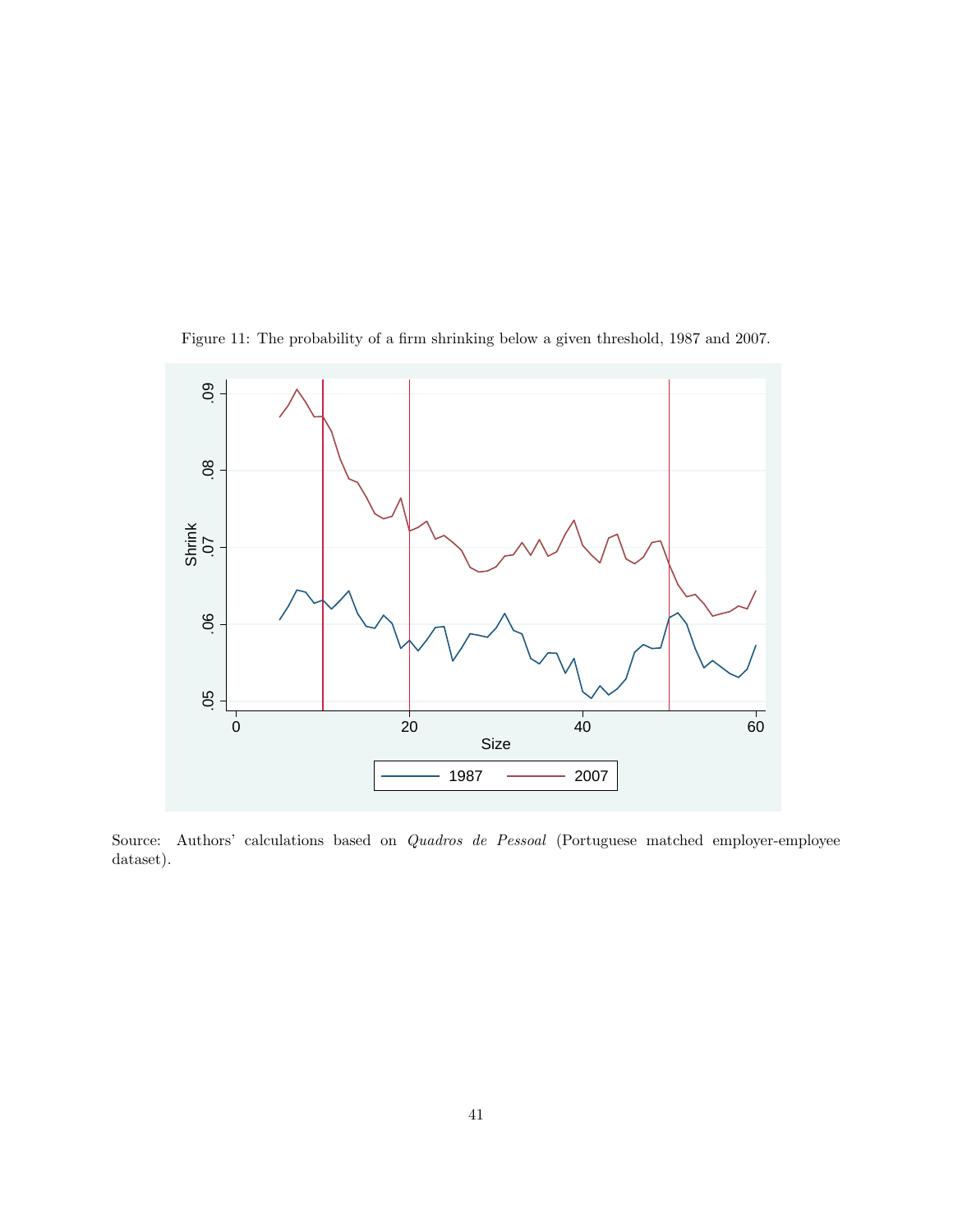

Figure 11: The probability of a firm shrinking below a given threshold, 1987 and 2007.

Source: Authors' calculations based on Quadros de Pessoal (Portuguese matched employer-employee dataset).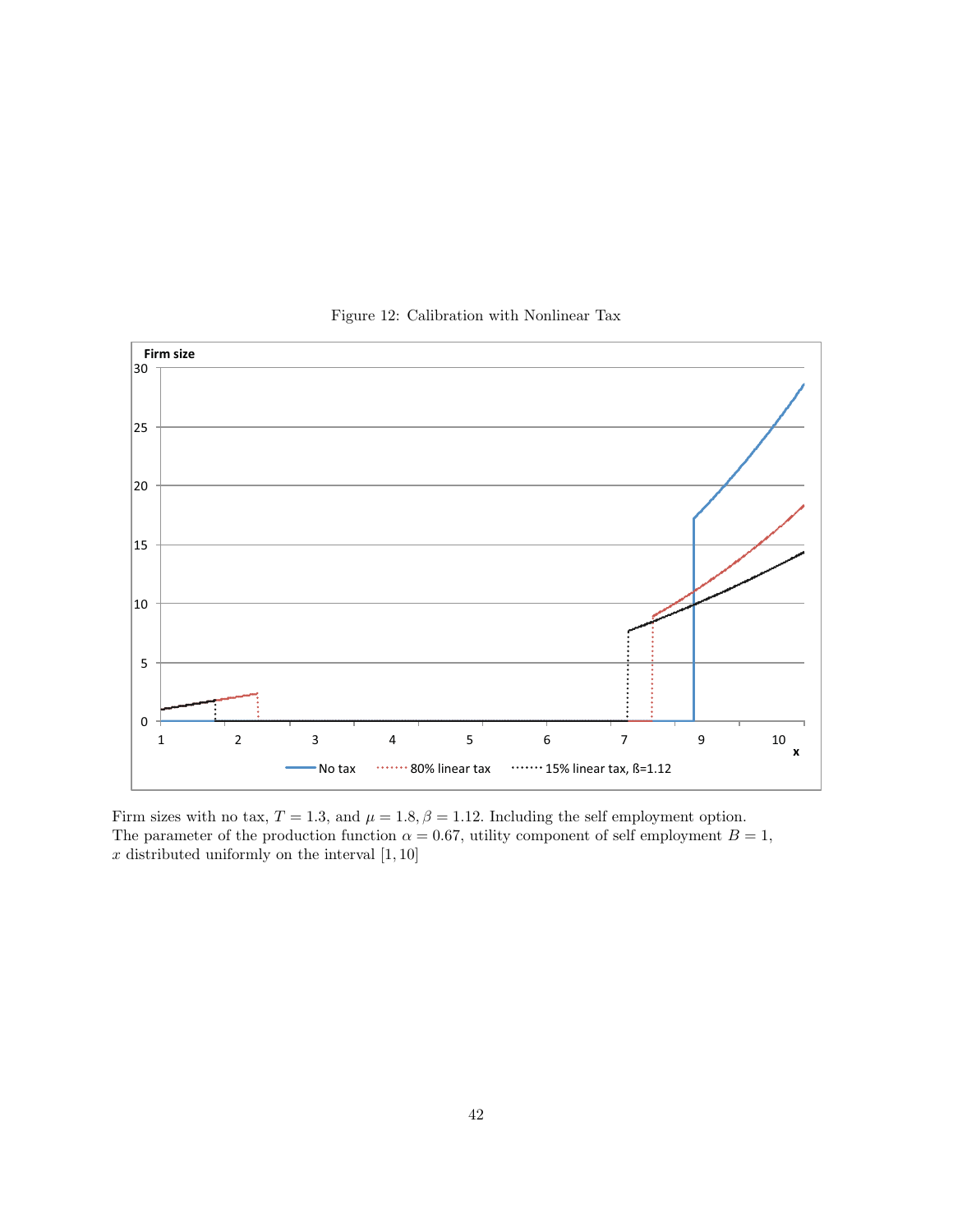

Figure 12: Calibration with Nonlinear Tax

Firm sizes with no tax,  $T = 1.3$ , and  $\mu = 1.8$ ,  $\beta = 1.12$ . Including the self employment option. The parameter of the production function  $\alpha = 0.67$ , utility component of self employment  $B = 1$ ,  $x$  distributed uniformly on the interval  $[1, 10]$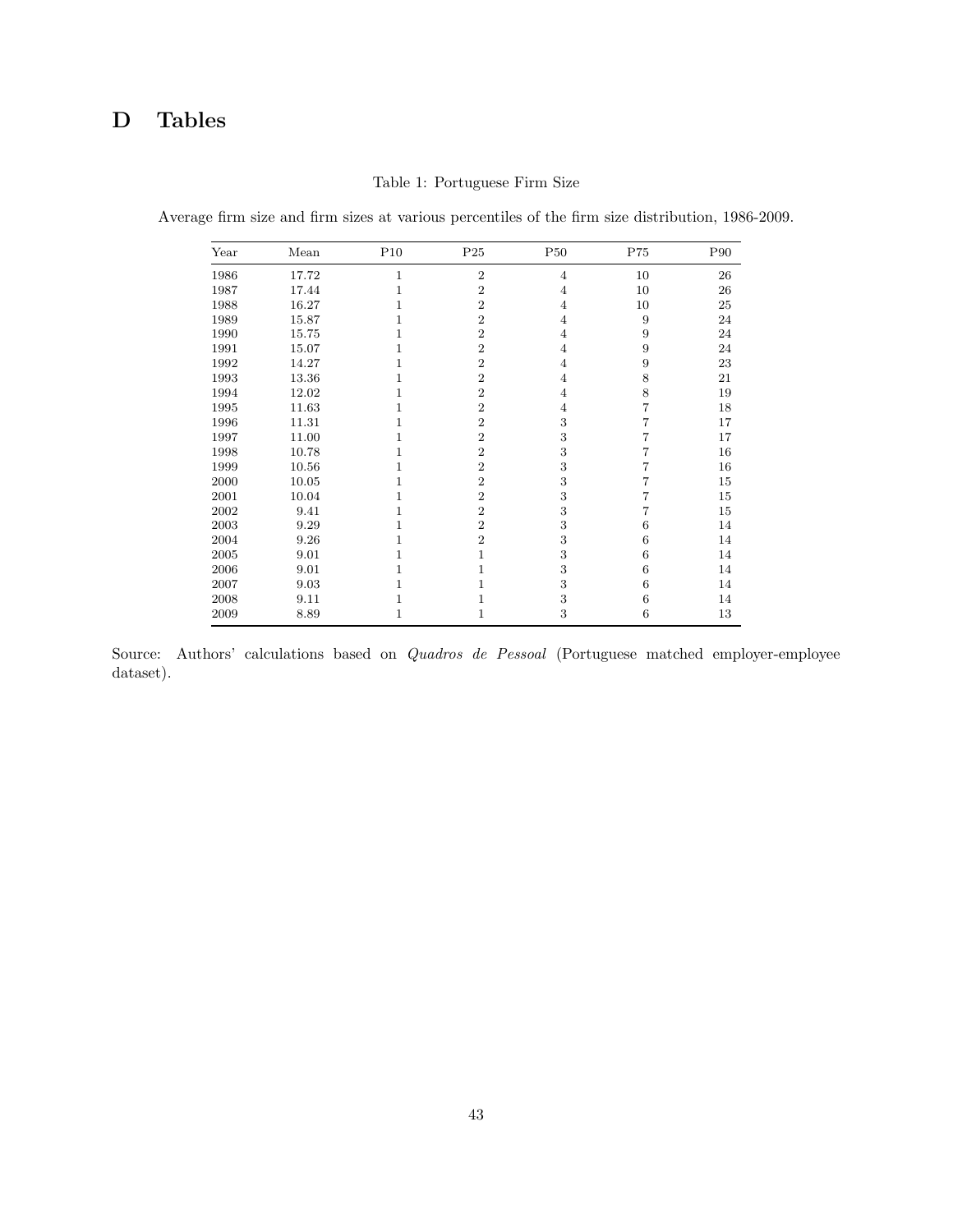## D Tables

| Year | Mean  | P10 | P <sub>25</sub> | <b>P50</b>     | ${\rm P75}$ | P90 |
|------|-------|-----|-----------------|----------------|-------------|-----|
| 1986 | 17.72 | 1   | $\overline{2}$  | $\overline{4}$ | 10          | 26  |
| 1987 | 17.44 | 1   | $\overline{2}$  | 4              | 10          | 26  |
| 1988 | 16.27 | 1   | $\,2$           | 4              | 10          | 25  |
| 1989 | 15.87 |     | $\overline{2}$  | $\overline{4}$ | 9           | 24  |
| 1990 | 15.75 | 1   | $\overline{2}$  | $\overline{4}$ | 9           | 24  |
| 1991 | 15.07 |     | $\overline{2}$  | $\overline{4}$ | 9           | 24  |
| 1992 | 14.27 |     | $\overline{2}$  | $\overline{4}$ | 9           | 23  |
| 1993 | 13.36 | 1   | $\overline{2}$  | $\overline{4}$ | 8           | 21  |
| 1994 | 12.02 | 1   | $\overline{2}$  | $\overline{4}$ | 8           | 19  |
| 1995 | 11.63 |     | $\overline{2}$  | 4              | 7           | 18  |
| 1996 | 11.31 | 1   | $\overline{2}$  | 3              | 7           | 17  |
| 1997 | 11.00 |     | $\overline{2}$  | 3              | 7           | 17  |
| 1998 | 10.78 |     | $\overline{2}$  | 3              |             | 16  |
| 1999 | 10.56 | 1   | $\overline{2}$  | 3              |             | 16  |
| 2000 | 10.05 | 1   | $\overline{2}$  | 3              | 7           | 15  |
| 2001 | 10.04 | 1   | $\overline{2}$  | 3              | 7           | 15  |
| 2002 | 9.41  |     | $\overline{2}$  | 3              | 7           | 15  |
| 2003 | 9.29  | 1   | $\overline{2}$  | 3              | 6           | 14  |
| 2004 | 9.26  |     | $\overline{2}$  | 3              | 6           | 14  |
| 2005 | 9.01  |     | $\mathbf{1}$    | 3              | 6           | 14  |
| 2006 | 9.01  | 1   | 1               | 3              | 6           | 14  |
| 2007 | 9.03  | 1   | 1               | 3              | 6           | 14  |
| 2008 | 9.11  | 1   | 1               | 3              | 6           | 14  |
| 2009 | 8.89  | 1   | 1               | 3              | 6           | 13  |

Table 1: Portuguese Firm Size

Average firm size and firm sizes at various percentiles of the firm size distribution, 1986-2009.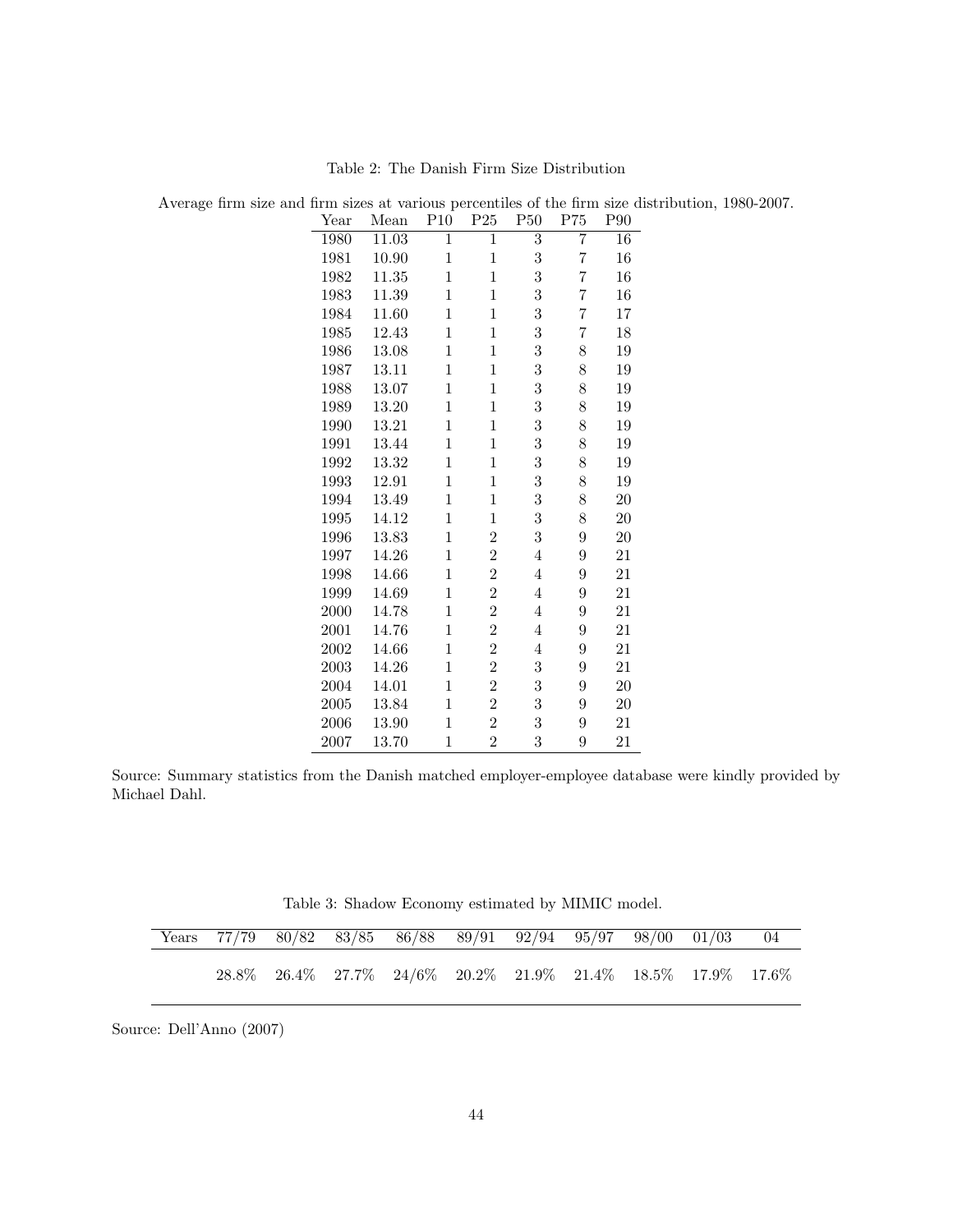| Year | Mean  | P10            | P <sub>25</sub> | P <sub>50</sub>         | P75            | P90    |
|------|-------|----------------|-----------------|-------------------------|----------------|--------|
| 1980 | 11.03 | $\overline{1}$ | $\overline{1}$  | $\overline{3}$          | $\overline{7}$ | 16     |
| 1981 | 10.90 | $\mathbf 1$    | $\mathbf 1$     | $\overline{3}$          | $\overline{7}$ | 16     |
| 1982 | 11.35 | $\mathbf{1}$   | $\mathbf 1$     | $\overline{3}$          | $\overline{7}$ | $16\,$ |
| 1983 | 11.39 | $\mathbf 1$    | 1               | $\overline{3}$          | 7              | 16     |
| 1984 | 11.60 | $\mathbf{1}$   | $\mathbf{1}$    | $\overline{\mathbf{3}}$ | $\overline{7}$ | $17\,$ |
| 1985 | 12.43 | $\mathbf 1$    | 1               | $\overline{3}$          | $\overline{7}$ | 18     |
| 1986 | 13.08 | 1              | $\mathbf{1}$    | $\overline{3}$          | 8              | 19     |
| 1987 | 13.11 | 1              | $\mathbf{1}$    | $\overline{3}$          | 8              | $19\,$ |
| 1988 | 13.07 | $\mathbf{1}$   | $\mathbf{1}$    | $\overline{3}$          | 8              | 19     |
| 1989 | 13.20 | $\mathbf{1}$   | $\mathbf 1$     | $\overline{3}$          | 8              | 19     |
| 1990 | 13.21 | 1              | 1               | $\overline{3}$          | 8              | 19     |
| 1991 | 13.44 | $\mathbf 1$    | $\overline{1}$  | $\overline{3}$          | 8              | $19\,$ |
| 1992 | 13.32 | $\mathbf{1}$   | $\mathbf{1}$    | $\overline{3}$          | 8              | 19     |
| 1993 | 12.91 | $\mathbf 1$    | 1               | $\overline{3}$          | 8              | 19     |
| 1994 | 13.49 | $\mathbf{1}$   | $\mathbf{1}$    | $\overline{3}$          | 8              | $20\,$ |
| 1995 | 14.12 | $\mathbf{1}$   | $\mathbf{1}$    | 3                       | 8              | 20     |
| 1996 | 13.83 | $\mathbf{1}$   | $\overline{2}$  | $\overline{3}$          | 9              | $20\,$ |
| 1997 | 14.26 | $\mathbf{1}$   | $\overline{2}$  | 4                       | 9              | 21     |
| 1998 | 14.66 | $\mathbf{1}$   | $\overline{2}$  | $\overline{4}$          | 9              | 21     |
| 1999 | 14.69 | $\mathbf 1$    | $\overline{2}$  | $\overline{4}$          | 9              | 21     |
| 2000 | 14.78 | 1              | $\overline{2}$  | 4                       | 9              | 21     |
| 2001 | 14.76 | $\overline{1}$ | $\overline{2}$  | $\overline{4}$          | 9              | 21     |
| 2002 | 14.66 | $\mathbf{1}$   | $\overline{2}$  | $\overline{4}$          | 9              | 21     |
| 2003 | 14.26 | $\mathbf{1}$   | $\overline{2}$  | 3                       | 9              | 21     |
| 2004 | 14.01 | 1              | $\overline{2}$  | $\overline{3}$          | 9              | $20\,$ |
| 2005 | 13.84 | $\mathbf{1}$   | $\overline{2}$  | 3                       | 9              | $20\,$ |
| 2006 | 13.90 | $\mathbf 1$    | $\overline{2}$  | $\overline{3}$          | 9              | 21     |
| 2007 | 13.70 | $\mathbf{1}$   | $\overline{2}$  | 3                       | 9              | 21     |

Table 2: The Danish Firm Size Distribution

Average firm size and firm sizes at various percentiles of the firm size distribution, 1980-2007.

Source: Summary statistics from the Danish matched employer-employee database were kindly provided by Michael Dahl.

Table 3: Shadow Economy estimated by MIMIC model.

|  |  | Years 77/79 80/82 83/85 86/88 89/91 92/94 95/97 98/00 01/03 04                            |  |  |  |
|--|--|-------------------------------------------------------------------------------------------|--|--|--|
|  |  | $28.8\%$ $26.4\%$ $27.7\%$ $24/6\%$ $20.2\%$ $21.9\%$ $21.4\%$ $18.5\%$ $17.9\%$ $17.6\%$ |  |  |  |

Source: Dell'Anno (2007)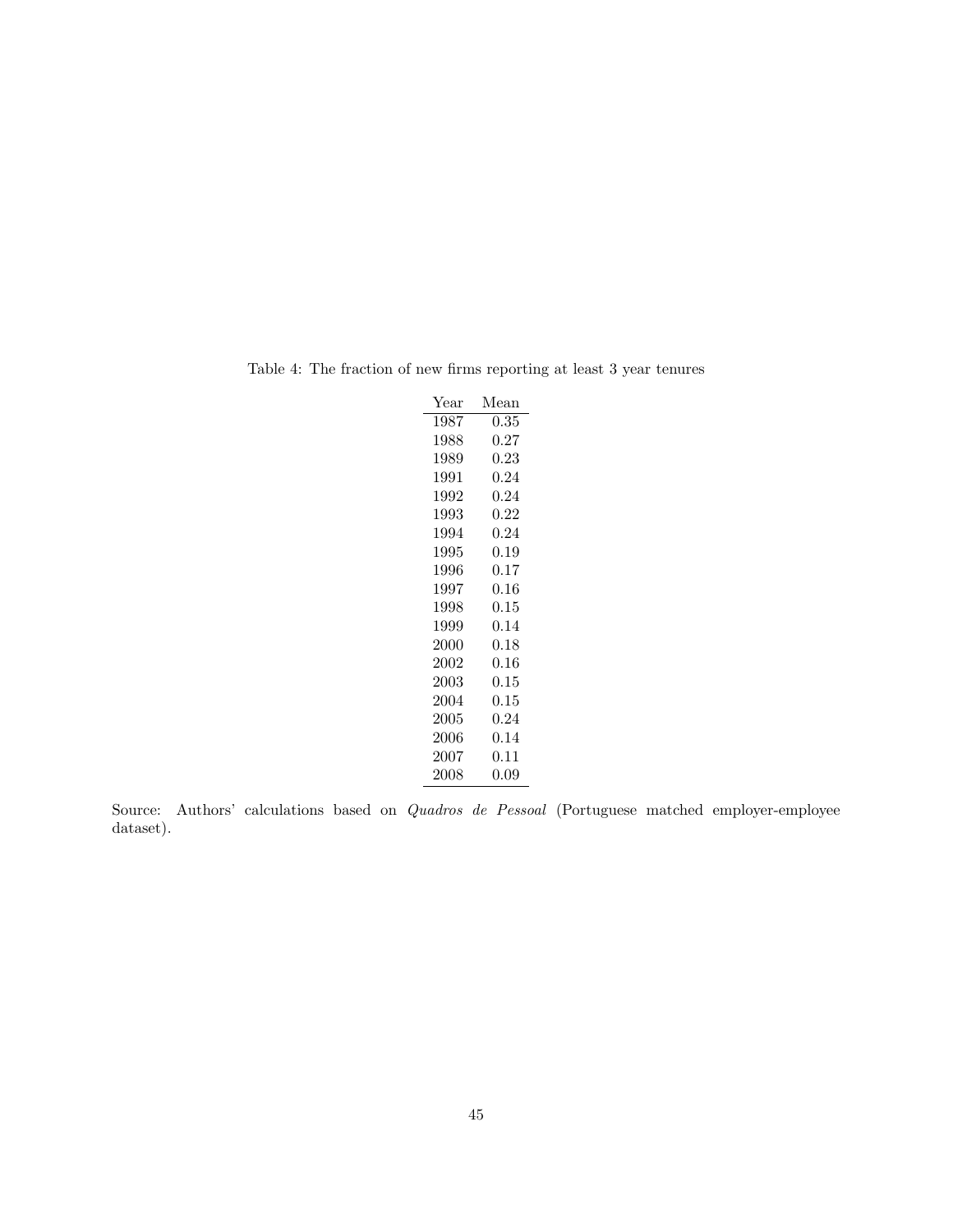| Year | Mean       |
|------|------------|
| 1987 | 0.35       |
| 1988 | $0.27\,$   |
| 1989 | 0.23       |
| 1991 | 0.24       |
| 1992 | 0.24       |
| 1993 | 0.22       |
| 1994 | 0.24       |
| 1995 | 0.19       |
| 1996 | 0.17       |
| 1997 | 0.16       |
| 1998 | $\rm 0.15$ |
| 1999 | 0.14       |
| 2000 | $\rm 0.18$ |
| 2002 | 0.16       |
| 2003 | 0.15       |
| 2004 | 0.15       |
| 2005 | 0.24       |
| 2006 | 0.14       |
| 2007 | $0.11\,$   |
| 2008 | 0.09       |
|      |            |

Table 4: The fraction of new firms reporting at least 3 year tenures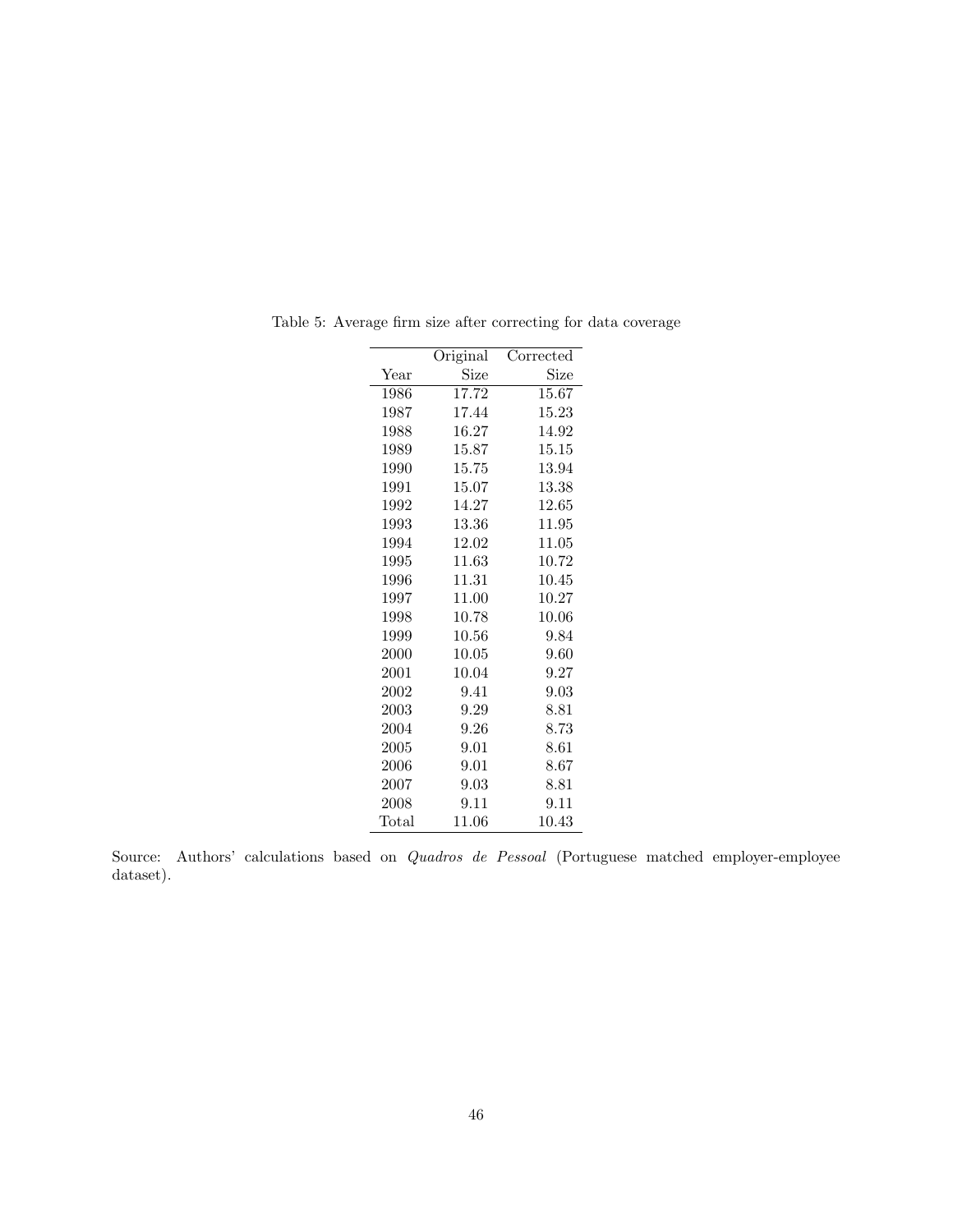|       | Original | Corrected |
|-------|----------|-----------|
| Year  | Size     | Size      |
|       |          |           |
| 1986  | 17.72    | 15.67     |
| 1987  | 17.44    | 15.23     |
| 1988  | 16.27    | 14.92     |
| 1989  | 15.87    | 15.15     |
| 1990  | 15.75    | 13.94     |
| 1991  | 15.07    | 13.38     |
| 1992  | 14.27    | 12.65     |
| 1993  | 13.36    | 11.95     |
| 1994  | 12.02    | 11.05     |
| 1995  | 11.63    | 10.72     |
| 1996  | 11.31    | 10.45     |
| 1997  | 11.00    | 10.27     |
| 1998  | 10.78    | 10.06     |
| 1999  | 10.56    | 9.84      |
| 2000  | 10.05    | 9.60      |
| 2001  | 10.04    | 9.27      |
| 2002  | 9.41     | 9.03      |
| 2003  | 9.29     | 8.81      |
| 2004  | 9.26     | 8.73      |
| 2005  | 9.01     | 8.61      |
| 2006  | 9.01     | 8.67      |
| 2007  | 9.03     | 8.81      |
| 2008  | 9.11     | 9.11      |
| Total | 11.06    | 10.43     |

Table 5: Average firm size after correcting for data coverage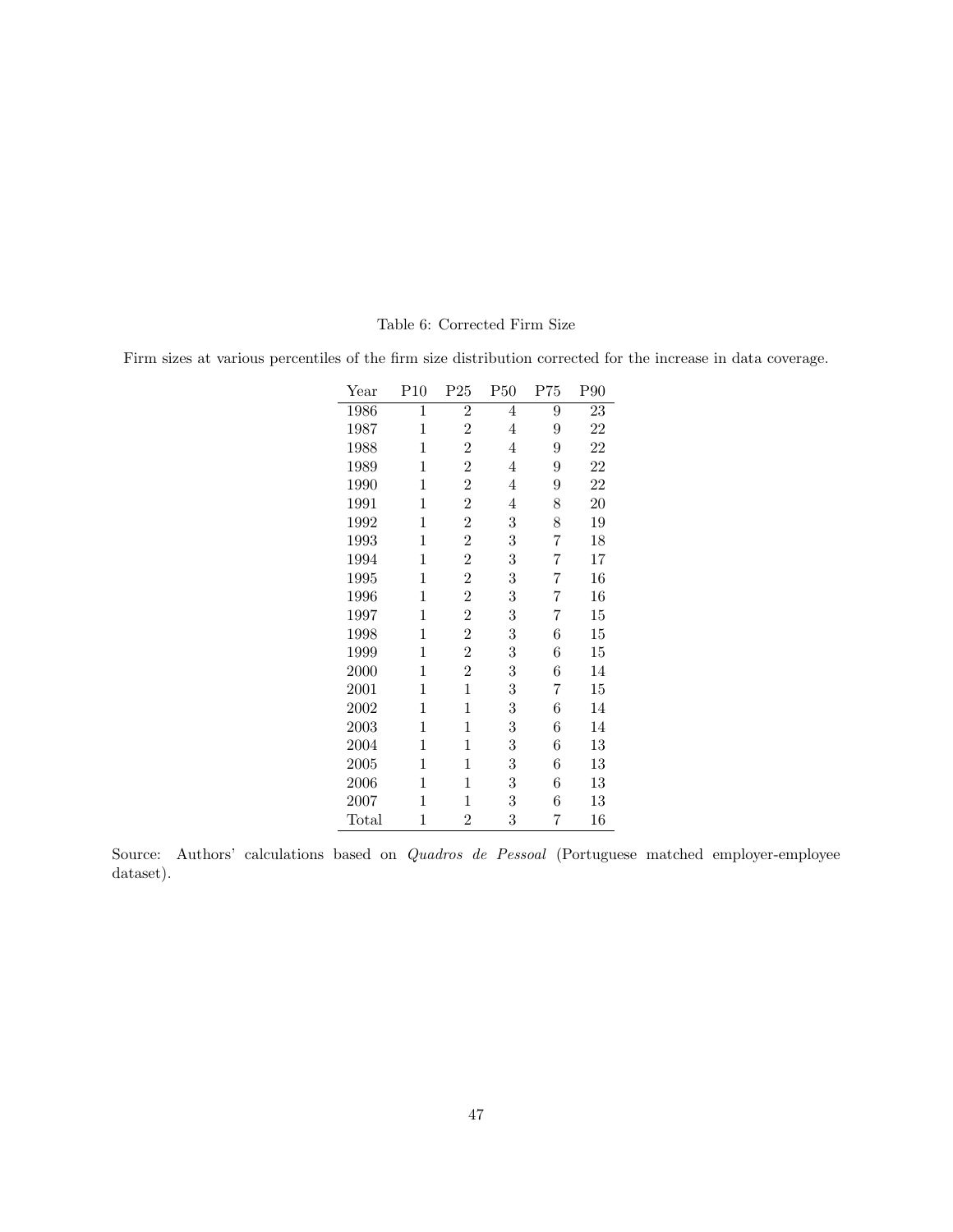#### Table 6: Corrected Firm Size

Firm sizes at various percentiles of the firm size distribution corrected for the increase in data coverage.

| Year  | P10         | $P_{25}$       | P50            | P75 | P90 |
|-------|-------------|----------------|----------------|-----|-----|
| 1986  | 1           | $\overline{2}$ | $\overline{4}$ | 9   | 23  |
| 1987  | 1           | $\overline{2}$ | $\overline{4}$ | 9   | 22  |
| 1988  | 1           | $\overline{2}$ | 4              | 9   | 22  |
| 1989  | $\mathbf 1$ | $\overline{2}$ | 4              | 9   | 22  |
| 1990  | $\mathbf 1$ | $\overline{2}$ | 4              | 9   | 22  |
| 1991  | $\mathbf 1$ | $\overline{2}$ | $\overline{4}$ | 8   | 20  |
| 1992  | 1           | $\overline{2}$ | 3              | 8   | 19  |
| 1993  | 1           | $\overline{2}$ | 3              | 7   | 18  |
| 1994  | 1           | $\overline{2}$ | 3              | 7   | 17  |
| 1995  | $\mathbf 1$ | $\overline{2}$ | 3              | 7   | 16  |
| 1996  | 1           | $\overline{2}$ | 3              | 7   | 16  |
| 1997  | 1           | $\overline{2}$ | 3              | 7   | 15  |
| 1998  | 1           | $\overline{2}$ | 3              | 6   | 15  |
| 1999  | 1           | $\overline{2}$ | 3              | 6   | 15  |
| 2000  | 1           | $\overline{2}$ | 3              | 6   | 14  |
| 2001  | 1           | $\mathbf{1}$   | 3              | 7   | 15  |
| 2002  | 1           | $\mathbf 1$    | 3              | 6   | 14  |
| 2003  | 1           | $\mathbf 1$    | 3              | 6   | 14  |
| 2004  | 1           | $\mathbf 1$    | 3              | 6   | 13  |
| 2005  | 1           | $\mathbf 1$    | 3              | 6   | 13  |
| 2006  | 1           | 1              | 3              | 6   | 13  |
| 2007  | 1           | $\mathbf 1$    | 3              | 6   | 13  |
| Total | 1           | $\overline{2}$ | 3              | 7   | 16  |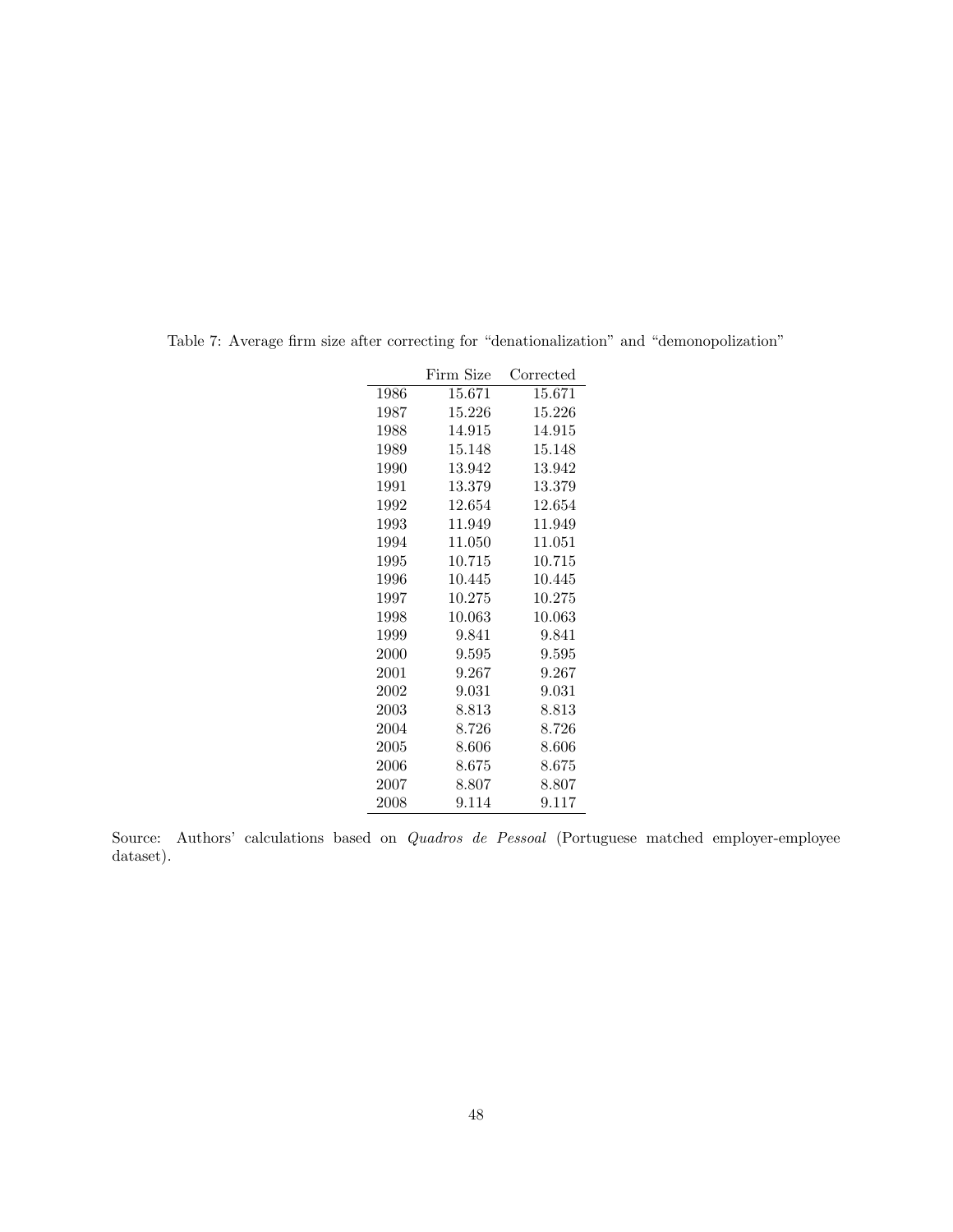|      | Firm Size | Corrected |
|------|-----------|-----------|
| 1986 | 15.671    | 15.671    |
| 1987 | 15.226    | 15.226    |
| 1988 | 14.915    | 14.915    |
| 1989 | 15.148    | 15.148    |
| 1990 | 13.942    | 13.942    |
| 1991 | 13.379    | 13.379    |
| 1992 | 12.654    | 12.654    |
| 1993 | 11.949    | 11.949    |
| 1994 | 11.050    | 11.051    |
| 1995 | 10.715    | 10.715    |
| 1996 | 10.445    | 10.445    |
| 1997 | 10.275    | 10.275    |
| 1998 | 10.063    | 10.063    |
| 1999 | 9.841     | 9.841     |
| 2000 | 9.595     | 9.595     |
| 2001 | 9.267     | 9.267     |
| 2002 | 9.031     | 9.031     |
| 2003 | 8.813     | 8.813     |
| 2004 | 8.726     | 8.726     |
| 2005 | 8.606     | $8.606\,$ |
| 2006 | 8.675     | 8.675     |
| 2007 | 8.807     | 8.807     |
| 2008 | 9.114     | 9.117     |

Table 7: Average firm size after correcting for "denationalization" and "demonopolization"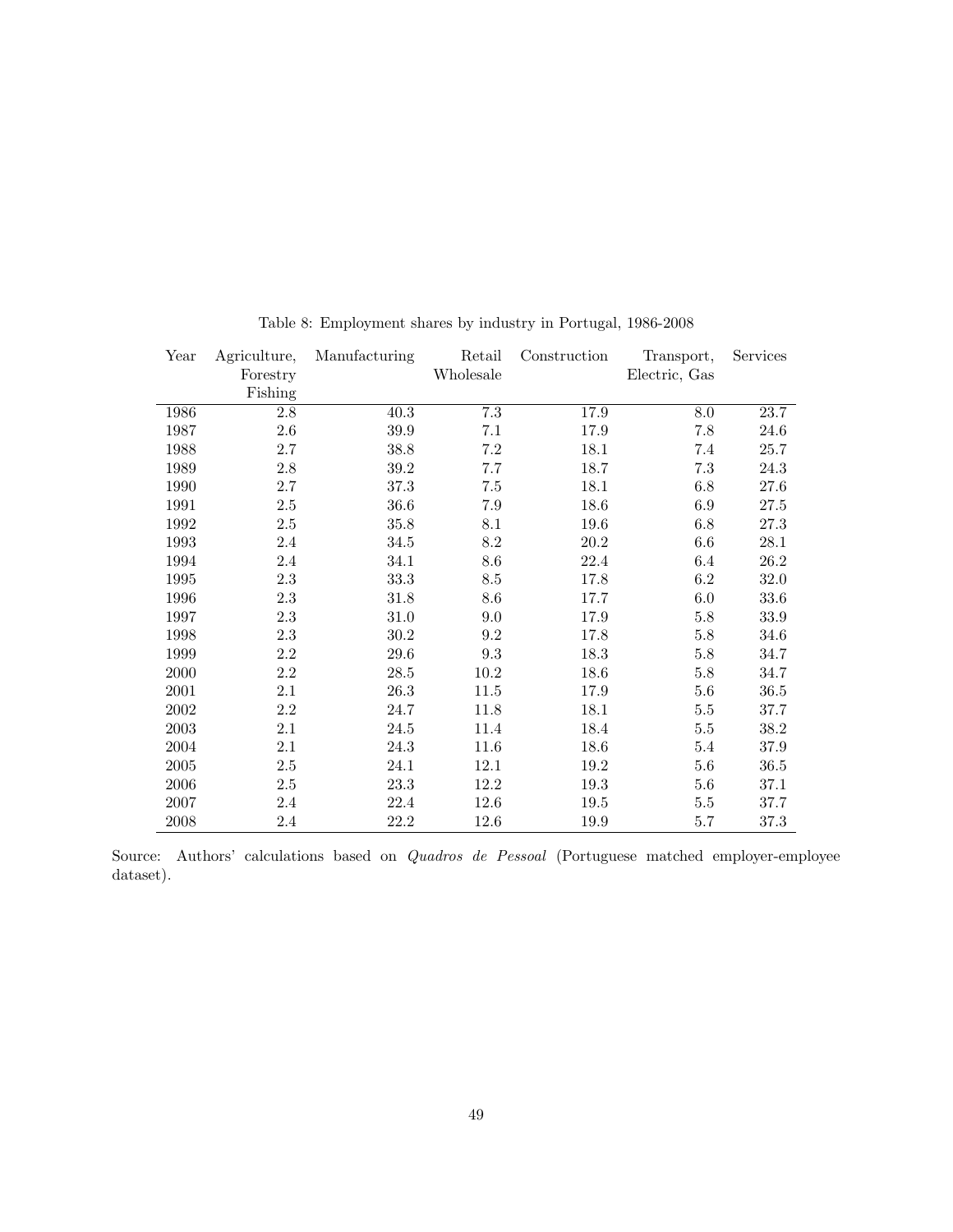| Year | Agriculture, | Manufacturing | Retail          | Construction | Transport,    | Services |
|------|--------------|---------------|-----------------|--------------|---------------|----------|
|      | Forestry     |               | Wholesale       |              | Electric, Gas |          |
|      | Fishing      |               |                 |              |               |          |
| 1986 | 2.8          | 40.3          | $7.3\,$         | 17.9         | $8.0\,$       | 23.7     |
| 1987 | 2.6          | 39.9          | 7.1             | 17.9         | 7.8           | 24.6     |
| 1988 | $2.7\,$      | 38.8          | 7.2             | 18.1         | 7.4           | 25.7     |
| 1989 | $2.8\,$      | 39.2          | 7.7             | 18.7         | $7.3\,$       | 24.3     |
| 1990 | $2.7\,$      | 37.3          | 7.5             | 18.1         | 6.8           | 27.6     |
| 1991 | $2.5\,$      | 36.6          | 7.9             | 18.6         | $6.9\,$       | 27.5     |
| 1992 | $2.5\,$      | 35.8          | 8.1             | 19.6         | $6.8\,$       | $27.3\,$ |
| 1993 | 2.4          | 34.5          | $\!\!\!\!\!8.2$ | $20.2\,$     | $6.6\,$       | 28.1     |
| 1994 | 2.4          | 34.1          | 8.6             | $22.4\,$     | 6.4           | $26.2\,$ |
| 1995 | 2.3          | 33.3          | 8.5             | 17.8         | 6.2           | 32.0     |
| 1996 | $2.3\,$      | 31.8          | 8.6             | 17.7         | 6.0           | 33.6     |
| 1997 | 2.3          | 31.0          | 9.0             | 17.9         | $5.8\,$       | 33.9     |
| 1998 | $2.3\,$      | 30.2          | $\ \, 9.2$      | 17.8         | $5.8\,$       | 34.6     |
| 1999 | $2.2\,$      | 29.6          | $9.3\,$         | 18.3         | $5.8\,$       | 34.7     |
| 2000 | $2.2\,$      | $28.5\,$      | $10.2\,$        | 18.6         | $5.8\,$       | 34.7     |
| 2001 | 2.1          | 26.3          | 11.5            | 17.9         | $5.6\,$       | $36.5\,$ |
| 2002 | $2.2\,$      | 24.7          | 11.8            | 18.1         | $5.5\,$       | 37.7     |
| 2003 | 2.1          | 24.5          | 11.4            | 18.4         | $5.5\,$       | 38.2     |
| 2004 | 2.1          | 24.3          | 11.6            | 18.6         | $5.4\,$       | 37.9     |
| 2005 | $2.5\,$      | 24.1          | 12.1            | 19.2         | $5.6\,$       | 36.5     |
| 2006 | $2.5\,$      | 23.3          | 12.2            | 19.3         | $5.6\,$       | 37.1     |
| 2007 | $2.4\,$      | 22.4          | $12.6\,$        | 19.5         | $5.5\,$       | 37.7     |
| 2008 | $2.4\,$      | 22.2          | 12.6            | 19.9         | 5.7           | 37.3     |

Table 8: Employment shares by industry in Portugal, 1986-2008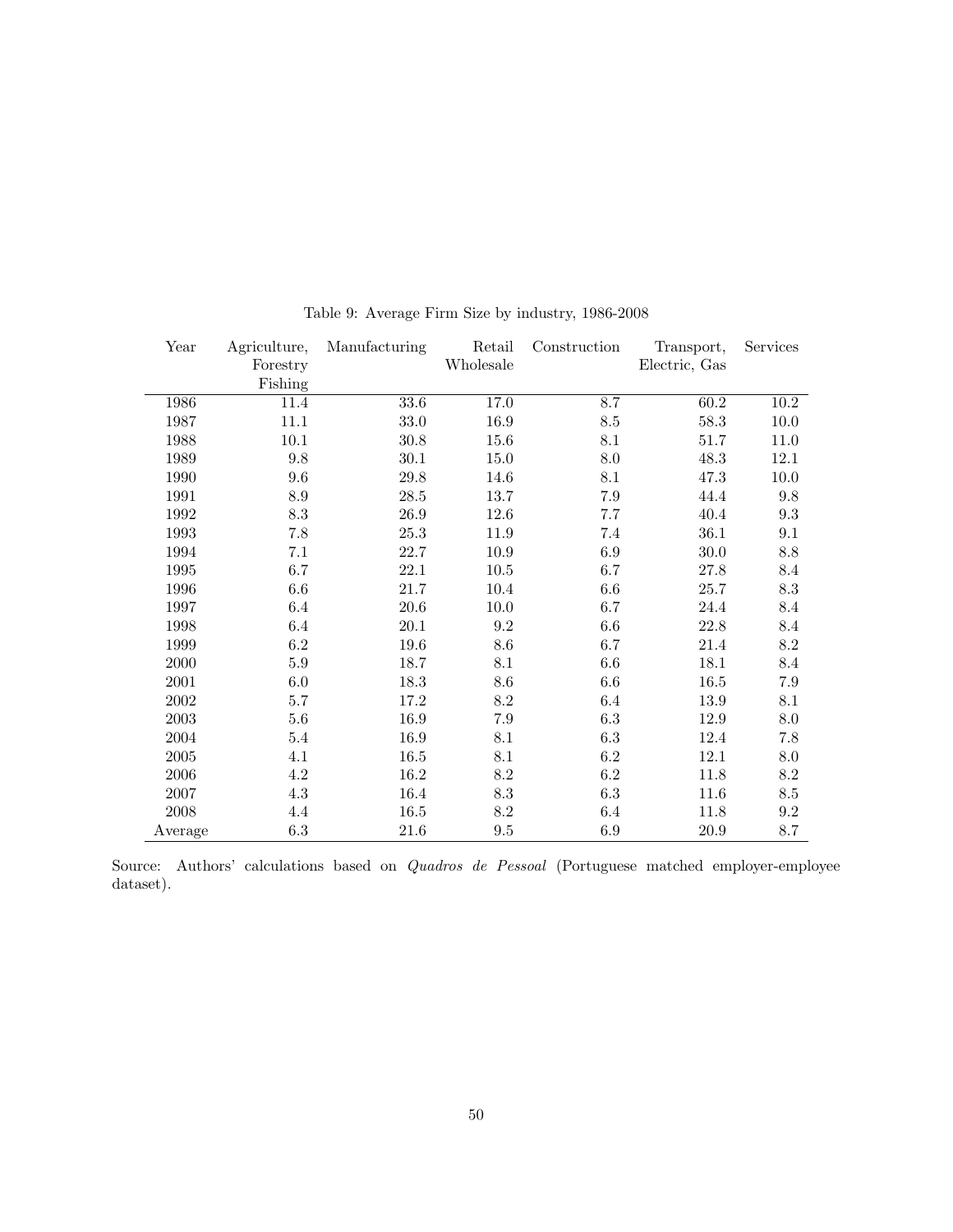| Year       | Agriculture,    | Manufacturing | Retail    | Construction | Transport,    | Services        |
|------------|-----------------|---------------|-----------|--------------|---------------|-----------------|
|            | Forestry        |               | Wholesale |              | Electric, Gas |                 |
|            | Fishing         |               |           |              |               |                 |
| 1986       | 11.4            | 33.6          | 17.0      | 8.7          | 60.2          | 10.2            |
| 1987       | 11.1            | $33.0\,$      | 16.9      | 8.5          | $58.3\,$      | $10.0\,$        |
| 1988       | 10.1            | $30.8\,$      | 15.6      | 8.1          | $51.7\,$      | $11.0\,$        |
| 1989       | 9.8             | 30.1          | 15.0      | 8.0          | 48.3          | 12.1            |
| 1990       | 9.6             | $29.8\,$      | 14.6      | 8.1          | 47.3          | $10.0\,$        |
| 1991       | $\!\!\!\!\!8.9$ | $28.5\,$      | 13.7      | 7.9          | 44.4          | 9.8             |
| 1992       | $\!\!\!\!\!8.3$ | $26.9\,$      | 12.6      | 7.7          | 40.4          | 9.3             |
| 1993       | $7.8\,$         | $25.3\,$      | 11.9      | 7.4          | 36.1          | 9.1             |
| 1994       | 7.1             | 22.7          | 10.9      | 6.9          | 30.0          | 8.8             |
| 1995       | 6.7             | 22.1          | $10.5\,$  | 6.7          | 27.8          | 8.4             |
| 1996       | $6.6\,$         | $21.7\,$      | $10.4\,$  | 6.6          | $25.7\,$      | $\!\!\!\!\!8.3$ |
| 1997       | 6.4             | $20.6\,$      | $10.0\,$  | 6.7          | 24.4          | 8.4             |
| 1998       | 6.4             | $20.1\,$      | 9.2       | 6.6          | 22.8          | 8.4             |
| 1999       | $6.2\,$         | $19.6\,$      | 8.6       | 6.7          | 21.4          | 8.2             |
| 2000       | $5.9\,$         | 18.7          | 8.1       | 6.6          | 18.1          | 8.4             |
| 2001       | $6.0\,$         | 18.3          | 8.6       | 6.6          | 16.5          | 7.9             |
| 2002       | 5.7             | 17.2          | 8.2       | 6.4          | 13.9          | 8.1             |
| 2003       | $5.6\,$         | 16.9          | 7.9       | $6.3\,$      | 12.9          | 8.0             |
| 2004       | 5.4             | 16.9          | 8.1       | 6.3          | 12.4          | 7.8             |
| $\,2005\,$ | 4.1             | 16.5          | 8.1       | $6.2\,$      | 12.1          | 8.0             |
| 2006       | $4.2\,$         | 16.2          | 8.2       | 6.2          | $11.8\,$      | 8.2             |
| 2007       | $4.3\,$         | 16.4          | 8.3       | $6.3\,$      | 11.6          | 8.5             |
| 2008       | 4.4             | $16.5\,$      | 8.2       | $6.4\,$      | 11.8          | $9.2\,$         |
| Average    | $6.3\,$         | 21.6          | $\,9.5$   | 6.9          | 20.9          | 8.7             |

Table 9: Average Firm Size by industry, 1986-2008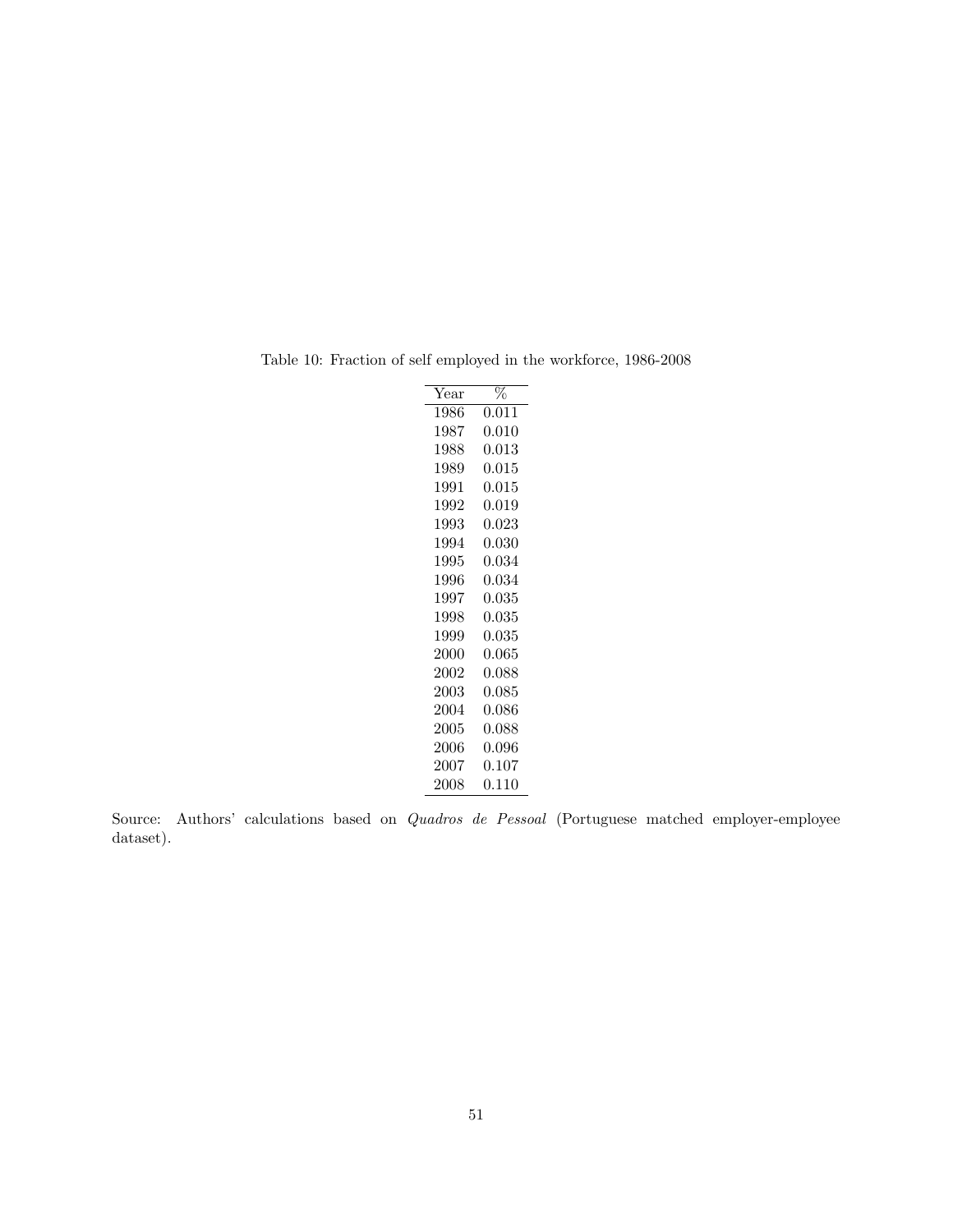| $\operatorname{Year}$ | $\%$      |
|-----------------------|-----------|
| 1986                  | 0.011     |
| 1987                  | 0.010     |
| 1988                  | $0.013\,$ |
| 1989                  | 0.015     |
| 1991                  | 0.015     |
| 1992                  | 0.019     |
| 1993                  | 0.023     |
| 1994                  | 0.030     |
| 1995                  | 0.034     |
| 1996                  | 0.034     |
| 1997                  | 0.035     |
| 1998                  | 0.035     |
| 1999                  | 0.035     |
| 2000                  | 0.065     |
| 2002                  | 0.088     |
| 2003                  | 0.085     |
| 2004                  | 0.086     |
| 2005                  | 0.088     |
| 2006                  | 0.096     |
| 2007                  | 0.107     |
| 2008                  | $0.110\,$ |

Table 10: Fraction of self employed in the workforce, 1986-2008